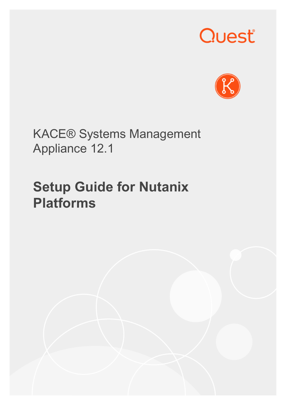# Quest®



KACE® Systems Management Appliance 12.1

## **Setup Guide for Nutanix Platforms**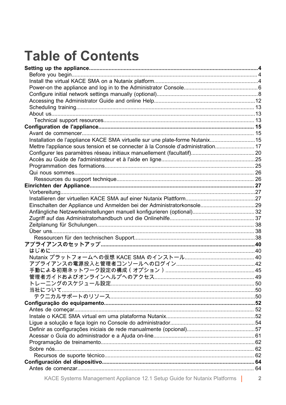## **Table of Contents**

| Installation de l'appliance KACE SMA virtuelle sur une plate-forme Nutanix 15    |  |
|----------------------------------------------------------------------------------|--|
| Mettre l'appliance sous tension et se connecter à la Console d'administration 17 |  |
|                                                                                  |  |
|                                                                                  |  |
|                                                                                  |  |
|                                                                                  |  |
|                                                                                  |  |
|                                                                                  |  |
|                                                                                  |  |
|                                                                                  |  |
| Einschalten der Appliance und Anmelden bei der Administratorkonsole 29           |  |
|                                                                                  |  |
|                                                                                  |  |
|                                                                                  |  |
|                                                                                  |  |
|                                                                                  |  |
|                                                                                  |  |
|                                                                                  |  |
|                                                                                  |  |
|                                                                                  |  |
|                                                                                  |  |
|                                                                                  |  |
|                                                                                  |  |
|                                                                                  |  |
|                                                                                  |  |
|                                                                                  |  |
|                                                                                  |  |
|                                                                                  |  |
|                                                                                  |  |
|                                                                                  |  |
|                                                                                  |  |
|                                                                                  |  |
|                                                                                  |  |
|                                                                                  |  |
|                                                                                  |  |
|                                                                                  |  |
|                                                                                  |  |

KACE Systems Management Appliance 12.1 Setup Guide for Nutanix Platforms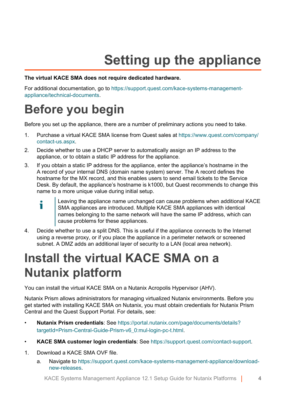## **Setting up the appliance**

#### <span id="page-3-0"></span>**The virtual KACE SMA does not require dedicated hardware.**

For additional documentation, go to [https://support.quest.com/kace-systems-management](https://support.quest.com/kace-systems-management-appliance/technical-documents)[appliance/technical-documents.](https://support.quest.com/kace-systems-management-appliance/technical-documents)

#### <span id="page-3-1"></span>**Before you begin**

Before you set up the appliance, there are a number of preliminary actions you need to take.

- 1. Purchase a virtual KACE SMA license from Quest sales at [https://www.quest.com/company/](https://www.quest.com/company/contact-us.aspx) [contact-us.aspx](https://www.quest.com/company/contact-us.aspx).
- 2. Decide whether to use a DHCP server to automatically assign an IP address to the appliance, or to obtain a static IP address for the appliance.
- 3. If you obtain a static IP address for the appliance, enter the appliance's hostname in the A record of your internal DNS (domain name system) server. The A record defines the hostname for the MX record, and this enables users to send email tickets to the Service Desk. By default, the appliance's hostname is k1000, but Quest recommends to change this name to a more unique value during initial setup.
	- Leaving the appliance name unchanged can cause problems when additional KACE i SMA appliances are introduced. Multiple KACE SMA appliances with identical names belonging to the same network will have the same IP address, which can cause problems for these appliances.
- 4. Decide whether to use a split DNS. This is useful if the appliance connects to the Internet using a reverse proxy, or if you place the appliance in a perimeter network or screened subnet. A DMZ adds an additional layer of security to a LAN (local area network).

#### <span id="page-3-2"></span>**Install the virtual KACE SMA on a Nutanix platform**

You can install the virtual KACE SMA on a Nutanix Acropolis Hypervisor (AHV).

Nutanix Prism allows administrators for managing virtualized Nutanix environments. Before you get started with installing KACE SMA on Nutanix, you must obtain credentials for Nutanix Prism Central and the Quest Support Portal. For details, see:

- **Nutanix Prism credentials**: See [https://portal.nutanix.com/page/documents/details?](https://portal.nutanix.com/page/documents/details?targetId=Prism-Central-Guide-Prism-v6_0:mul-login-pc-t.html) [targetId=Prism-Central-Guide-Prism-v6\\_0:mul-login-pc-t.html](https://portal.nutanix.com/page/documents/details?targetId=Prism-Central-Guide-Prism-v6_0:mul-login-pc-t.html).
- **KACE SMA customer login credentials**: See [https://support.quest.com/contact-support.](https://support.quest.com/contact-support)
- 1. Download a KACE SMA OVF file.
	- a. Navigate to [https://support.quest.com/kace-systems-management-appliance/download](https://support.quest.com/kace-systems-management-appliance/download-new-releases)[new-releases.](https://support.quest.com/kace-systems-management-appliance/download-new-releases)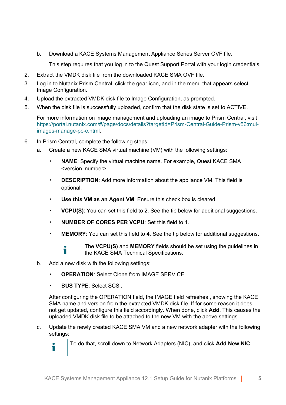b. Download a KACE Systems Management Appliance Series Server OVF file.

This step requires that you log in to the Quest Support Portal with your login credentials.

- 2. Extract the VMDK disk file from the downloaded KACE SMA OVF file.
- 3. Log in to Nutanix Prism Central, click the gear icon, and in the menu that appears select Image Configuration.
- 4. Upload the extracted VMDK disk file to Image Configuration, as prompted.
- 5. When the disk file is successfully uploaded, confirm that the disk state is set to ACTIVE.

For more information on image management and uploading an image to Prism Central, visit [https://portal.nutanix.com/#/page/docs/details?targetId=Prism-Central-Guide-Prism-v56:mul](https://portal.nutanix.com/#/page/docs/details?targetId=Prism-Central-Guide-Prism-v56:mul-images-manage-pc-c.html)[images-manage-pc-c.html](https://portal.nutanix.com/#/page/docs/details?targetId=Prism-Central-Guide-Prism-v56:mul-images-manage-pc-c.html).

- 6. In Prism Central, complete the following steps:
	- a. Create a new KACE SMA virtual machine (VM) with the following settings:
		- **NAME:** Specify the virtual machine name. For example, Quest KACE SMA <version\_number>.
		- **DESCRIPTION:** Add more information about the appliance VM. This field is optional.
		- **Use this VM as an Agent VM**: Ensure this check box is cleared.
		- **VCPU(S)**: You can set this field to 2. See the tip below for additional suggestions.
		- **NUMBER OF CORES PER VCPU: Set this field to 1.**
		- **MEMORY:** You can set this field to 4. See the tip below for additional suggestions.

The **VCPU(S)** and **MEMORY** fields should be set using the guidelines in the KACE SMA Technical Specifications.

- b. Add a new disk with the following settings:
	- **OPERATION**: Select Clone from IMAGE SERVICE.
	- **BUS TYPE**: Select SCSI.

Ť

After configuring the OPERATION field, the IMAGE field refreshes , showing the KACE SMA name and version from the extracted VMDK disk file. If for some reason it does not get updated, configure this field accordingly. When done, click **Add**. This causes the uploaded VMDK disk file to be attached to the new VM with the above settings.

c. Update the newly created KACE SMA VM and a new network adapter with the following settings:

To do that, scroll down to Network Adapters (NIC), and click **Add New NIC**.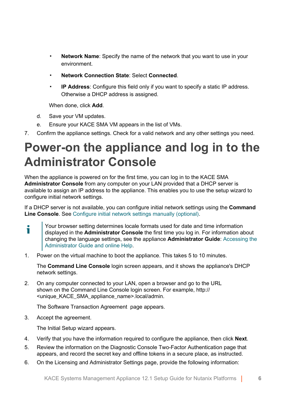- Network Name: Specify the name of the network that you want to use in your environment.
- **Network Connection State**: Select **Connected**.
- **IP Address**: Configure this field only if you want to specify a static IP address. Otherwise a DHCP address is assigned.

When done, click **Add**.

- d. Save your VM updates.
- e. Ensure your KACE SMA VM appears in the list of VMs.
- 7. Confirm the appliance settings. Check for a valid network and any other settings you need.

#### <span id="page-5-0"></span>**Power-on the appliance and log in to the Administrator Console**

When the appliance is powered on for the first time, you can log in to the KACE SMA **Administrator Console** from any computer on your LAN provided that a DHCP server is available to assign an IP address to the appliance. This enables you to use the setup wizard to configure initial network settings.

If a DHCP server is not available, you can configure initial network settings using the **Command Line Console**. See [Configure initial network settings manually \(optional\).](#page-7-0)

- Your browser setting determines locale formats used for date and time information i displayed in the **Administrator Console** the first time you log in. For information about changing the language settings, see the appliance **Administrator Guide**: [Accessing the](#page-11-0) [Administrator Guide and online Help](#page-11-0).
- 1. Power on the virtual machine to boot the appliance. This takes 5 to 10 minutes.

The **Command Line Console** login screen appears, and it shows the appliance's DHCP network settings.

2. On any computer connected to your LAN, open a browser and go to the URL shown on the Command Line Console login screen. For example, http:// <unique\_KACE\_SMA\_appliance\_name>.local/admin.

The Software Transaction Agreement page appears.

3. Accept the agreement.

The Initial Setup wizard appears.

- 4. Verify that you have the information required to configure the appliance, then click **Next**.
- 5. Review the information on the Diagnostic Console Two-Factor Authentication page that appears, and record the secret key and offline tokens in a secure place, as instructed.
- 6. On the Licensing and Administrator Settings page, provide the following information: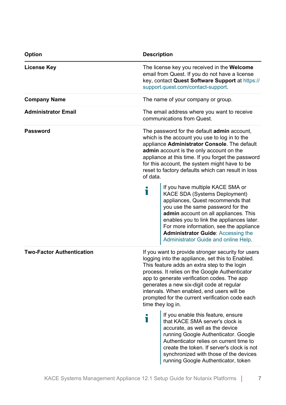| Option                           | <b>Description</b>                                                                                                                                                                                                                                                                                                                                                                                                         |  |  |
|----------------------------------|----------------------------------------------------------------------------------------------------------------------------------------------------------------------------------------------------------------------------------------------------------------------------------------------------------------------------------------------------------------------------------------------------------------------------|--|--|
| License Key                      | The license key you received in the <b>Welcome</b><br>email from Quest. If you do not have a license<br>key, contact Quest Software Support at https://<br>support.quest.com/contact-support.                                                                                                                                                                                                                              |  |  |
| <b>Company Name</b>              | The name of your company or group.                                                                                                                                                                                                                                                                                                                                                                                         |  |  |
| <b>Administrator Email</b>       | The email address where you want to receive<br>communications from Quest.                                                                                                                                                                                                                                                                                                                                                  |  |  |
| <b>Password</b>                  | The password for the default admin account,<br>which is the account you use to log in to the<br>appliance Administrator Console. The default<br>admin account is the only account on the<br>appliance at this time. If you forget the password<br>for this account, the system might have to be<br>reset to factory defaults which can result in loss<br>of data.                                                          |  |  |
|                                  | If you have multiple KACE SMA or<br>Т<br>KACE SDA (Systems Deployment)<br>appliances, Quest recommends that<br>you use the same password for the<br>admin account on all appliances. This<br>enables you to link the appliances later.<br>For more information, see the appliance<br><b>Administrator Guide: Accessing the</b><br>Administrator Guide and online Help.                                                     |  |  |
| <b>Two-Factor Authentication</b> | If you want to provide stronger security for users<br>logging into the appliance, set this to Enabled.<br>This feature adds an extra step to the login<br>process. It relies on the Google Authenticator<br>app to generate verification codes. The app<br>generates a new six-digit code at regular<br>intervals. When enabled, end users will be<br>prompted for the current verification code each<br>time they log in. |  |  |
|                                  | If you enable this feature, ensure<br>Т<br>that KACE SMA server's clock is<br>accurate, as well as the device<br>running Google Authenticator. Google<br>Authenticator relies on current time to<br>create the token. If server's clock is not<br>synchronized with those of the devices<br>running Google Authenticator, token                                                                                            |  |  |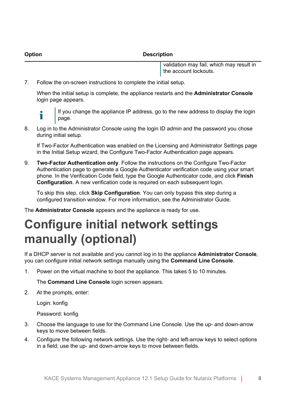**Option Description**

validation may fail, which may result in the account lockouts.

7. Follow the on-screen instructions to complete the initial setup.

When the initial setup is complete, the appliance restarts and the **Administrator Console** login page appears.



If you change the appliance IP address, go to the new address to display the login page.

8. Log in to the Administrator Console using the login ID admin and the password you chose during initial setup.

If Two-Factor Authentication was enabled on the Licensing and Administrator Settings page in the Initial Setup wizard, the Configure Two-Factor Authentication page appears.

9. **Two-Factor Authentication only**. Follow the instructions on the Configure Two-Factor Authentication page to generate a Google Authenticator verification code using your smart phone. In the Verification Code field, type the Google Authenticator code, and click **Finish Configuration**. A new verification code is required on each subsequent login.

To skip this step, click **Skip Configuration**. You can only bypass this step during a configured transition window. For more information, see the Administrator Guide.

The **Administrator Console** appears and the appliance is ready for use.

### <span id="page-7-0"></span>**Configure initial network settings manually (optional)**

If a DHCP server is not available and you cannot log in to the appliance **Administrator Console**, you can configure initial network settings manually using the **Command Line Console**.

1. Power on the virtual machine to boot the appliance. This takes 5 to 10 minutes.

The **Command Line Console** login screen appears.

2. At the prompts, enter:

Login: konfig

Password: konfig

- 3. Choose the language to use for the Command Line Console. Use the up- and down-arrow keys to move between fields.
- 4. Configure the following network settings. Use the right- and left-arrow keys to select options in a field; use the up- and down-arrow keys to move between fields.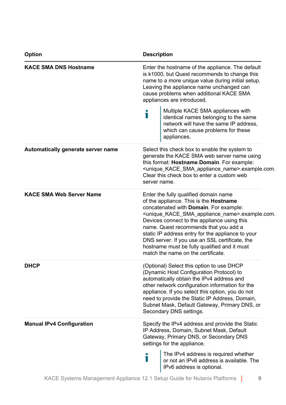| <b>Option</b>                      | <b>Description</b>                                                                                                                                                                                                                                                                                                                                                                                                                                                                                            |  |
|------------------------------------|---------------------------------------------------------------------------------------------------------------------------------------------------------------------------------------------------------------------------------------------------------------------------------------------------------------------------------------------------------------------------------------------------------------------------------------------------------------------------------------------------------------|--|
| <b>KACE SMA DNS Hostname</b>       | Enter the hostname of the appliance. The default<br>is k1000, but Quest recommends to change this<br>name to a more unique value during initial setup.<br>Leaving the appliance name unchanged can<br>cause problems when additional KACE SMA<br>appliances are introduced.<br>Multiple KACE SMA appliances with                                                                                                                                                                                              |  |
|                                    | Т<br>identical names belonging to the same<br>network will have the same IP address,<br>which can cause problems for these<br>appliances.                                                                                                                                                                                                                                                                                                                                                                     |  |
| Automatically generate server name | Select this check box to enable the system to<br>generate the KACE SMA web server name using<br>this format: Hostname.Domain. For example:<br><unique_kace_sma_appliance_name>.example.com.<br/>Clear this check box to enter a custom web<br/>server name.</unique_kace_sma_appliance_name>                                                                                                                                                                                                                  |  |
| <b>KACE SMA Web Server Name</b>    | Enter the fully qualified domain name<br>of the appliance. This is the <b>Hostname</b><br>concatenated with Domain. For example:<br><unique_kace_sma_appliance_name>.example.com.<br/>Devices connect to the appliance using this<br/>name. Quest recommends that you add a<br/>static IP address entry for the appliance to your<br/>DNS server. If you use an SSL certificate, the<br/>hostname must be fully qualified and it must<br/>match the name on the certificate.</unique_kace_sma_appliance_name> |  |
| <b>DHCP</b>                        | (Optional) Select this option to use DHCP<br>(Dynamic Host Configuration Protocol) to<br>automatically obtain the IPv4 address and<br>other network configuration information for the<br>appliance. If you select this option, you do not<br>need to provide the Static IP Address, Domain,<br>Subnet Mask, Default Gateway, Primary DNS, or<br>Secondary DNS settings.                                                                                                                                       |  |
| <b>Manual IPv4 Configuration</b>   | Specify the IPv4 address and provide the Static<br>IP Address, Domain, Subnet Mask, Default<br>Gateway, Primary DNS, or Secondary DNS<br>settings for the appliance.                                                                                                                                                                                                                                                                                                                                          |  |
|                                    | The IPv4 address is required whether<br>Т<br>or not an IPv6 address is available. The<br>IPv6 address is optional.                                                                                                                                                                                                                                                                                                                                                                                            |  |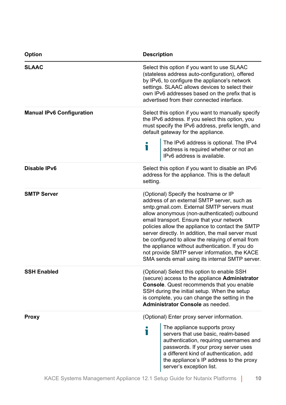| Option                           | <b>Description</b>                                                                                                                                                                                                                                                                                                                                                                                                                                                                                                                                    |  |
|----------------------------------|-------------------------------------------------------------------------------------------------------------------------------------------------------------------------------------------------------------------------------------------------------------------------------------------------------------------------------------------------------------------------------------------------------------------------------------------------------------------------------------------------------------------------------------------------------|--|
| <b>SLAAC</b>                     | Select this option if you want to use SLAAC<br>(stateless address auto-configuration), offered<br>by IPv6, to configure the appliance's network<br>settings. SLAAC allows devices to select their<br>own IPv6 addresses based on the prefix that is<br>advertised from their connected interface.                                                                                                                                                                                                                                                     |  |
| <b>Manual IPv6 Configuration</b> | Select this option if you want to manually specify<br>the IPv6 address. If you select this option, you<br>must specify the IPv6 address, prefix length, and<br>default gateway for the appliance.                                                                                                                                                                                                                                                                                                                                                     |  |
|                                  | The IPv6 address is optional. The IPv4<br>i<br>address is required whether or not an<br>IPv6 address is available.                                                                                                                                                                                                                                                                                                                                                                                                                                    |  |
| Disable IPv6                     | Select this option if you want to disable an IPv6<br>address for the appliance. This is the default<br>setting.                                                                                                                                                                                                                                                                                                                                                                                                                                       |  |
| <b>SMTP Server</b>               | (Optional) Specify the hostname or IP<br>address of an external SMTP server, such as<br>smtp.gmail.com. External SMTP servers must<br>allow anonymous (non-authenticated) outbound<br>email transport. Ensure that your network<br>policies allow the appliance to contact the SMTP<br>server directly. In addition, the mail server must<br>be configured to allow the relaying of email from<br>the appliance without authentication. If you do<br>not provide SMTP server information, the KACE<br>SMA sends email using its internal SMTP server. |  |
| <b>SSH Enabled</b>               | (Optional) Select this option to enable SSH<br>(secure) access to the appliance Administrator<br><b>Console.</b> Quest recommends that you enable<br>SSH during the initial setup. When the setup<br>is complete, you can change the setting in the<br>Administrator Console as needed.                                                                                                                                                                                                                                                               |  |
| Proxy                            | (Optional) Enter proxy server information.                                                                                                                                                                                                                                                                                                                                                                                                                                                                                                            |  |
|                                  | The appliance supports proxy<br>i<br>servers that use basic, realm-based<br>authentication, requiring usernames and<br>passwords. If your proxy server uses<br>a different kind of authentication, add<br>the appliance's IP address to the proxy<br>server's exception list.                                                                                                                                                                                                                                                                         |  |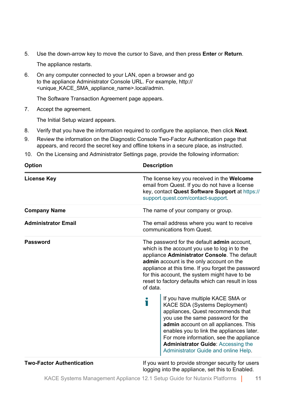5. Use the down-arrow key to move the cursor to Save, and then press **Enter** or **Return**.

The appliance restarts.

6. On any computer connected to your LAN, open a browser and go to the appliance Administrator Console URL. For example, http:// <unique\_KACE\_SMA\_appliance\_name>.local/admin.

The Software Transaction Agreement page appears.

7. Accept the agreement.

The Initial Setup wizard appears.

- 8. Verify that you have the information required to configure the appliance, then click **Next**.
- 9. Review the information on the Diagnostic Console Two-Factor Authentication page that appears, and record the secret key and offline tokens in a secure place, as instructed.
- 10. On the Licensing and Administrator Settings page, provide the following information:

| <b>Option</b>                    | <b>Description</b>                                                                                                                                                                                                                                                                                                                                                       |  |
|----------------------------------|--------------------------------------------------------------------------------------------------------------------------------------------------------------------------------------------------------------------------------------------------------------------------------------------------------------------------------------------------------------------------|--|
| <b>License Key</b>               | The license key you received in the Welcome<br>email from Quest. If you do not have a license<br>key, contact Quest Software Support at https://<br>support.quest.com/contact-support.                                                                                                                                                                                   |  |
| <b>Company Name</b>              | The name of your company or group.                                                                                                                                                                                                                                                                                                                                       |  |
| <b>Administrator Email</b>       | The email address where you want to receive<br>communications from Quest.                                                                                                                                                                                                                                                                                                |  |
| Password                         | The password for the default <b>admin</b> account,<br>which is the account you use to log in to the<br>appliance Administrator Console. The default<br>admin account is the only account on the<br>appliance at this time. If you forget the password<br>for this account, the system might have to be<br>reset to factory defaults which can result in loss<br>of data. |  |
|                                  | If you have multiple KACE SMA or<br>i<br>KACE SDA (Systems Deployment)<br>appliances, Quest recommends that<br>you use the same password for the<br>admin account on all appliances. This<br>enables you to link the appliances later.<br>For more information, see the appliance<br><b>Administrator Guide: Accessing the</b><br>Administrator Guide and online Help.   |  |
| <b>Two-Factor Authentication</b> | If you want to provide stronger security for users<br>logging into the appliance, set this to Enabled.                                                                                                                                                                                                                                                                   |  |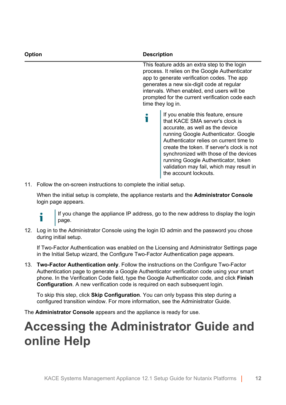| <b>Option</b> | <b>Description</b><br>This feature adds an extra step to the login<br>process. It relies on the Google Authenticator<br>app to generate verification codes. The app<br>generates a new six-digit code at regular<br>intervals. When enabled, end users will be<br>prompted for the current verification code each<br>time they log in.                                                          |  |
|---------------|-------------------------------------------------------------------------------------------------------------------------------------------------------------------------------------------------------------------------------------------------------------------------------------------------------------------------------------------------------------------------------------------------|--|
|               |                                                                                                                                                                                                                                                                                                                                                                                                 |  |
|               | If you enable this feature, ensure<br>that KACE SMA server's clock is<br>accurate, as well as the device<br>running Google Authenticator. Google<br>Authenticator relies on current time to<br>create the token. If server's clock is not<br>synchronized with those of the devices<br>running Google Authenticator, token<br>validation may fail, which may result in<br>the account lockouts. |  |

11. Follow the on-screen instructions to complete the initial setup.

When the initial setup is complete, the appliance restarts and the **Administrator Console** login page appears.

i

If you change the appliance IP address, go to the new address to display the login page.

12. Log in to the Administrator Console using the login ID admin and the password you chose during initial setup.

If Two-Factor Authentication was enabled on the Licensing and Administrator Settings page in the Initial Setup wizard, the Configure Two-Factor Authentication page appears.

13. **Two-Factor Authentication only**. Follow the instructions on the Configure Two-Factor Authentication page to generate a Google Authenticator verification code using your smart phone. In the Verification Code field, type the Google Authenticator code, and click **Finish Configuration**. A new verification code is required on each subsequent login.

To skip this step, click **Skip Configuration**. You can only bypass this step during a configured transition window. For more information, see the Administrator Guide.

The **Administrator Console** appears and the appliance is ready for use.

#### <span id="page-11-0"></span>**Accessing the Administrator Guide and online Help**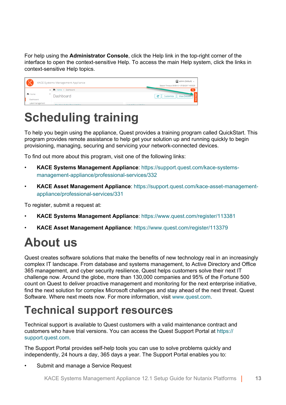For help using the **Administrator Console**, click the Help link in the top-right corner of the interface to open the context-sensitive Help. To access the main Help system, click the links in context-sensitive Help topics.

| 6 Q D               | KACE Systems Management Appliance | admin (Default) v<br>Session Timeout: 00:59:13 . 07/28/2017 16:53:29 |
|---------------------|-----------------------------------|----------------------------------------------------------------------|
|                     | < The Home > Dashboard            | o                                                                    |
| n Home<br>Dashboard | Dashboard                         | e<br><b>View Details</b><br>Customize                                |
| Label Management    | The Result des Bess Lables        | <b>The annual Alberta Anglickers</b>                                 |

#### <span id="page-12-0"></span>**Scheduling training**

To help you begin using the appliance, Quest provides a training program called QuickStart. This program provides remote assistance to help get your solution up and running quickly to begin provisioning, managing, securing and servicing your network-connected devices.

To find out more about this program, visit one of the following links:

- **KACE Systems Management Appliance**: [https://support.quest.com/kace-systems](https://support.quest.com/kace-systems-management-appliance/professional-services/332)[management-appliance/professional-services/332](https://support.quest.com/kace-systems-management-appliance/professional-services/332)
- **KACE Asset Management Appliance**: [https://support.quest.com/kace-asset-management](https://support.quest.com/kace-asset-management-appliance/professional-services/331)[appliance/professional-services/331](https://support.quest.com/kace-asset-management-appliance/professional-services/331)

To register, submit a request at:

- **KACE Systems Management Appliance**: <https://www.quest.com/register/113381>
- **KACE Asset Management Appliance**: <https://www.quest.com/register/113379>

### <span id="page-12-1"></span>**About us**

Quest creates software solutions that make the benefits of new technology real in an increasingly complex IT landscape. From database and systems management, to Active Directory and Office 365 management, and cyber security resilience, Quest helps customers solve their next IT challenge now. Around the globe, more than 130,000 companies and 95% of the Fortune 500 count on Quest to deliver proactive management and monitoring for the next enterprise initiative, find the next solution for complex Microsoft challenges and stay ahead of the next threat. Quest Software. Where next meets now. For more information, visit [www.quest.com](https://www.quest.com/company/contact-us.aspx).

#### <span id="page-12-2"></span>**Technical support resources**

Technical support is available to Quest customers with a valid maintenance contract and customers who have trial versions. You can access the Quest Support Portal at [https://](https://support.quest.com/) [support.quest.com.](https://support.quest.com/)

The Support Portal provides self-help tools you can use to solve problems quickly and independently, 24 hours a day, 365 days a year. The Support Portal enables you to:

Submit and manage a Service Request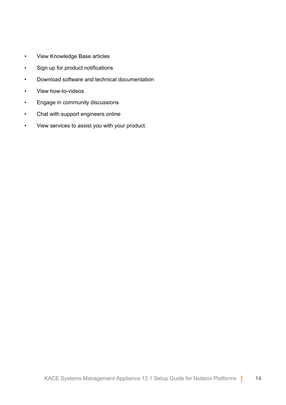- View Knowledge Base articles
- Sign up for product notifications
- Download software and technical documentation
- View how-to-videos
- Engage in community discussions
- Chat with support engineers online
- View services to assist you with your product.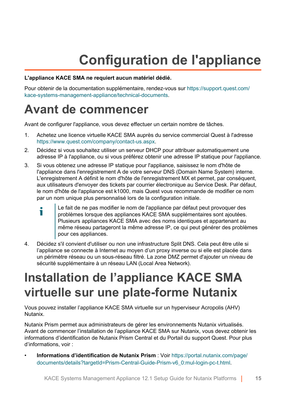## **Configuration de l'appliance**

#### <span id="page-14-0"></span>**L'appliance KACE SMA ne requiert aucun matériel dédié.**

Pour obtenir de la documentation supplémentaire, rendez-vous sur [https://support.quest.com/](https://support.quest.com/kace-systems-management-appliance/technical-documents) [kace-systems-management-appliance/technical-documents.](https://support.quest.com/kace-systems-management-appliance/technical-documents)

#### <span id="page-14-1"></span>**Avant de commencer**

Avant de configurer l'appliance, vous devez effectuer un certain nombre de tâches.

- 1. Achetez une licence virtuelle KACE SMA auprès du service commercial Quest à l'adresse <https://www.quest.com/company/contact-us.aspx>.
- 2. Décidez si vous souhaitez utiliser un serveur DHCP pour attribuer automatiquement une adresse IP à l'appliance, ou si vous préférez obtenir une adresse IP statique pour l'appliance.
- 3. Si vous obtenez une adresse IP statique pour l'appliance, saisissez le nom d'hôte de l'appliance dans l'enregistrement A de votre serveur DNS (Domain Name System) interne. L'enregistrement A définit le nom d'hôte de l'enregistrement MX et permet, par conséquent, aux utilisateurs d'envoyer des tickets par courrier électronique au Service Desk. Par défaut, le nom d'hôte de l'appliance est k1000, mais Quest vous recommande de modifier ce nom par un nom unique plus personnalisé lors de la configuration initiale.
	- Le fait de ne pas modifier le nom de l'appliance par défaut peut provoquer des i problèmes lorsque des appliances KACE SMA supplémentaires sont ajoutées. Plusieurs appliances KACE SMA avec des noms identiques et appartenant au même réseau partageront la même adresse IP, ce qui peut générer des problèmes pour ces appliances.
- 4. Décidez s'il convient d'utiliser ou non une infrastructure Split DNS. Cela peut être utile si l'appliance se connecte à Internet au moyen d'un proxy inverse ou si elle est placée dans un périmètre réseau ou un sous-réseau filtré. La zone DMZ permet d'ajouter un niveau de sécurité supplémentaire à un réseau LAN (Local Area Network).

#### <span id="page-14-2"></span>**Installation de l'appliance KACE SMA virtuelle sur une plate-forme Nutanix**

Vous pouvez installer l'appliance KACE SMA virtuelle sur un hyperviseur Acropolis (AHV) Nutanix.

Nutanix Prism permet aux administrateurs de gérer les environnements Nutanix virtualisés. Avant de commencer l'installation de l'appliance KACE SMA sur Nutanix, vous devez obtenir les informations d'identification de Nutanix Prism Central et du Portail du support Quest. Pour plus d'informations, voir :

• **Informations d'identification de Nutanix Prism** : Voir [https://portal.nutanix.com/page/](https://portal.nutanix.com/page/documents/details?targetId=Prism-Central-Guide-Prism-v6_0:mul-login-pc-t.html) [documents/details?targetId=Prism-Central-Guide-Prism-v6\\_0:mul-login-pc-t.html](https://portal.nutanix.com/page/documents/details?targetId=Prism-Central-Guide-Prism-v6_0:mul-login-pc-t.html).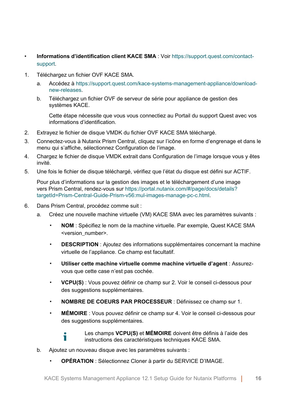- **Informations d'identification client KACE SMA** : Voir [https://support.quest.com/contact](https://support.quest.com/contact-support)[support.](https://support.quest.com/contact-support)
- 1. Téléchargez un fichier OVF KACE SMA.
	- a. Accédez à [https://support.quest.com/kace-systems-management-appliance/download](https://support.quest.com/kace-systems-management-appliance/download-new-releases)[new-releases.](https://support.quest.com/kace-systems-management-appliance/download-new-releases)
	- b. Téléchargez un fichier OVF de serveur de série pour appliance de gestion des systèmes KACE.

Cette étape nécessite que vous vous connectiez au Portail du support Quest avec vos informations d'identification.

- 2. Extrayez le fichier de disque VMDK du fichier OVF KACE SMA téléchargé.
- 3. Connectez-vous à Nutanix Prism Central, cliquez sur l'icône en forme d'engrenage et dans le menu qui s'affiche, sélectionnez Configuration de l'image.
- 4. Chargez le fichier de disque VMDK extrait dans Configuration de l'image lorsque vous y êtes invité.
- 5. Une fois le fichier de disque téléchargé, vérifiez que l'état du disque est défini sur ACTIF.

Pour plus d'informations sur la gestion des images et le téléchargement d'une image vers Prism Central, rendez-vous sur [https://portal.nutanix.com/#/page/docs/details?](https://portal.nutanix.com/#/page/docs/details?targetId=Prism-Central-Guide-Prism-v56:mul-images-manage-pc-c.html) [targetId=Prism-Central-Guide-Prism-v56:mul-images-manage-pc-c.html.](https://portal.nutanix.com/#/page/docs/details?targetId=Prism-Central-Guide-Prism-v56:mul-images-manage-pc-c.html)

- 6. Dans Prism Central, procédez comme suit :
	- a. Créez une nouvelle machine virtuelle (VM) KACE SMA avec les paramètres suivants :
		- **NOM** : Spécifiez le nom de la machine virtuelle. Par exemple, Quest KACE SMA <version\_number>.
		- **DESCRIPTION** : Ajoutez des informations supplémentaires concernant la machine virtuelle de l'appliance. Ce champ est facultatif.
		- **Utiliser cette machine virtuelle comme machine virtuelle d'agent** : Assurezvous que cette case n'est pas cochée.
		- **VCPU(S)** : Vous pouvez définir ce champ sur 2. Voir le conseil ci-dessous pour des suggestions supplémentaires.
		- **NOMBRE DE COEURS PAR PROCESSEUR** : Définissez ce champ sur 1.
		- **MÉMOIRE** : Vous pouvez définir ce champ sur 4. Voir le conseil ci-dessous pour des suggestions supplémentaires.



- b. Ajoutez un nouveau disque avec les paramètres suivants :
	- **OPÉRATION** : Sélectionnez Cloner à partir du SERVICE D'IMAGE.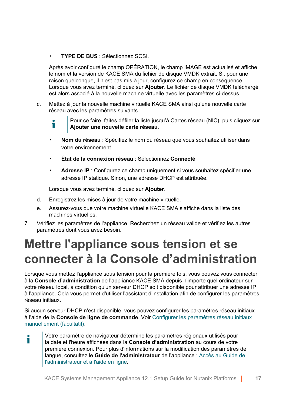▪ **TYPE DE BUS** : Sélectionnez SCSI.

Après avoir configuré le champ OPÉRATION, le champ IMAGE est actualisé et affiche le nom et la version de KACE SMA du fichier de disque VMDK extrait. Si, pour une raison quelconque, il n'est pas mis à jour, configurez ce champ en conséquence. Lorsque vous avez terminé, cliquez sur **Ajouter**. Le fichier de disque VMDK téléchargé est alors associé à la nouvelle machine virtuelle avec les paramètres ci-dessus.

- c. Mettez à jour la nouvelle machine virtuelle KACE SMA ainsi qu'une nouvelle carte réseau avec les paramètres suivants :
	- Pour ce faire, faites défiler la liste jusqu'à Cartes réseau (NIC), puis cliquez sur Ť **Ajouter une nouvelle carte réseau**.
	- **Nom du réseau** : Spécifiez le nom du réseau que vous souhaitez utiliser dans votre environnement.
	- **État de la connexion réseau** : Sélectionnez **Connecté**.
	- **Adresse IP** : Configurez ce champ uniquement si vous souhaitez spécifier une adresse IP statique. Sinon, une adresse DHCP est attribuée.

Lorsque vous avez terminé, cliquez sur **Ajouter**.

- d. Enregistrez les mises à jour de votre machine virtuelle.
- e. Assurez-vous que votre machine virtuelle KACE SMA s'affiche dans la liste des machines virtuelles.
- 7. Vérifiez les paramètres de l'appliance. Recherchez un réseau valide et vérifiez les autres paramètres dont vous avez besoin.

#### <span id="page-16-0"></span>**Mettre l'appliance sous tension et se connecter à la Console d'administration**

Lorsque vous mettez l'appliance sous tension pour la première fois, vous pouvez vous connecter à la **Console d'administration** de l'appliance KACE SMA depuis n'importe quel ordinateur sur votre réseau local, à condition qu'un serveur DHCP soit disponible pour attribuer une adresse IP à l'appliance. Cela vous permet d'utiliser l'assistant d'installation afin de configurer les paramètres réseau initiaux.

Si aucun serveur DHCP n'est disponible, vous pouvez configurer les paramètres réseau initiaux à l'aide de la **Console de ligne de commande**. Voir [Configurer les paramètres réseau initiaux](#page-19-0) [manuellement \(facultatif\).](#page-19-0)

Votre paramètre de navigateur détermine les paramètres régionaux utilisés pour i la date et l'heure affichées dans la **Console d'administration** au cours de votre première connexion. Pour plus d'informations sur la modification des paramètres de langue, consultez le **Guide de l'administrateur** de l'appliance : [Accès au Guide de](#page-24-0) [l'administrateur et à l'aide en ligne](#page-24-0).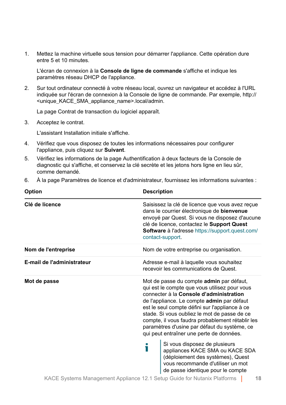1. Mettez la machine virtuelle sous tension pour démarrer l'appliance. Cette opération dure entre 5 et 10 minutes.

L'écran de connexion à la **Console de ligne de commande** s'affiche et indique les paramètres réseau DHCP de l'appliance.

2. Sur tout ordinateur connecté à votre réseau local, ouvrez un navigateur et accédez à l'URL indiquée sur l'écran de connexion à la Console de ligne de commande. Par exemple, http:// <unique\_KACE\_SMA\_appliance\_name>.local/admin.

La page Contrat de transaction du logiciel apparaît.

3. Acceptez le contrat.

L'assistant Installation initiale s'affiche.

- 4. Vérifiez que vous disposez de toutes les informations nécessaires pour configurer l'appliance, puis cliquez sur **Suivant**.
- 5. Vérifiez les informations de la page Authentification à deux facteurs de la Console de diagnostic qui s'affiche, et conservez la clé secrète et les jetons hors ligne en lieu sûr, comme demandé.
- 6. À la page Paramètres de licence et d'administrateur, fournissez les informations suivantes :

| <b>Option</b>              | <b>Description</b>                                                                                                                                                                                                                                                                                                                                                                                                                                                                                                                                                                                                      |  |
|----------------------------|-------------------------------------------------------------------------------------------------------------------------------------------------------------------------------------------------------------------------------------------------------------------------------------------------------------------------------------------------------------------------------------------------------------------------------------------------------------------------------------------------------------------------------------------------------------------------------------------------------------------------|--|
| Clé de licence             | Saisissez la clé de licence que vous avez reçue<br>dans le courrier électronique de bienvenue<br>envoyé par Quest. Si vous ne disposez d'aucune<br>clé de licence, contactez le Support Quest<br><b>Software à l'adresse https://support.quest.com/</b><br>contact-support.                                                                                                                                                                                                                                                                                                                                             |  |
| Nom de l'entreprise        | Nom de votre entreprise ou organisation.                                                                                                                                                                                                                                                                                                                                                                                                                                                                                                                                                                                |  |
| E-mail de l'administrateur | Adresse e-mail à laquelle vous souhaitez<br>recevoir les communications de Quest.                                                                                                                                                                                                                                                                                                                                                                                                                                                                                                                                       |  |
| Mot de passe               | Mot de passe du compte admin par défaut,<br>qui est le compte que vous utilisez pour vous<br>connecter à la Console d'administration<br>de l'appliance. Le compte admin par défaut<br>est le seul compte défini sur l'appliance à ce<br>stade. Si vous oubliez le mot de passe de ce<br>compte, il vous faudra probablement rétablir les<br>paramètres d'usine par défaut du système, ce<br>qui peut entraîner une perte de données.<br>Si vous disposez de plusieurs<br>appliances KACE SMA ou KACE SDA<br>(déploiement des systèmes), Quest<br>vous recommande d'utiliser un mot<br>de passe identique pour le compte |  |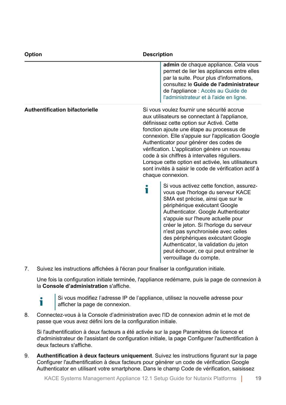| <b>Option</b><br><b>Description</b>   |   |                                                                                                                                                                                                                                                                                                                                                                                                                                                                                                                            |  |
|---------------------------------------|---|----------------------------------------------------------------------------------------------------------------------------------------------------------------------------------------------------------------------------------------------------------------------------------------------------------------------------------------------------------------------------------------------------------------------------------------------------------------------------------------------------------------------------|--|
|                                       |   | admin de chaque appliance. Cela vous<br>permet de lier les appliances entre elles<br>par la suite. Pour plus d'informations,<br>consultez le Guide de l'administrateur<br>de l'appliance : Accès au Guide de<br>l'administrateur et à l'aide en ligne.                                                                                                                                                                                                                                                                     |  |
| <b>Authentification bifactorielle</b> |   | Si vous voulez fournir une sécurité accrue<br>aux utilisateurs se connectant à l'appliance,<br>définissez cette option sur Activé. Cette<br>fonction ajoute une étape au processus de<br>connexion. Elle s'appuie sur l'application Google<br>Authenticator pour générer des codes de<br>vérification. L'application génère un nouveau<br>code à six chiffres à intervalles réguliers.<br>Lorsque cette option est activée, les utilisateurs<br>sont invités à saisir le code de vérification actif à<br>chaque connexion. |  |
|                                       | Т | Si vous activez cette fonction, assurez-<br>vous que l'horloge du serveur KACE<br>SMA est précise, ainsi que sur le<br>périphérique exécutant Google<br>Authenticator. Google Authenticator<br>s'appuie sur l'heure actuelle pour<br>créer le jeton. Si l'horloge du serveur<br>n'est pas synchronisée avec celles<br>des périphériques exécutant Google<br>Authenticator, la validation du jeton<br>peut échouer, ce qui peut entraîner le<br>verrouillage du compte.                                                     |  |

7. Suivez les instructions affichées à l'écran pour finaliser la configuration initiale.

Une fois la configuration initiale terminée, l'appliance redémarre, puis la page de connexion à la **Console d'administration** s'affiche.

i

Si vous modifiez l'adresse IP de l'appliance, utilisez la nouvelle adresse pour afficher la page de connexion.

8. Connectez-vous à la Console d'administration avec l'ID de connexion admin et le mot de passe que vous avez défini lors de la configuration initiale.

Si l'authentification à deux facteurs a été activée sur la page Paramètres de licence et d'administrateur de l'assistant de configuration initiale, la page Configurer l'authentification à deux facteurs s'affiche.

9. **Authentification à deux facteurs uniquement**. Suivez les instructions figurant sur la page Configurer l'authentification à deux facteurs pour générer un code de vérification Google Authenticator en utilisant votre smartphone. Dans le champ Code de vérification, saisissez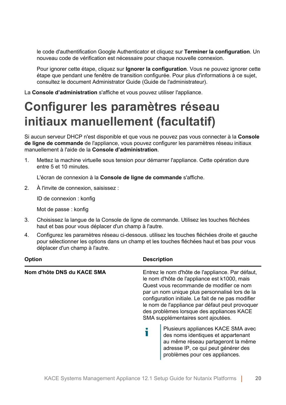le code d'authentification Google Authenticator et cliquez sur **Terminer la configuration**. Un nouveau code de vérification est nécessaire pour chaque nouvelle connexion.

Pour ignorer cette étape, cliquez sur **Ignorer la configuration**. Vous ne pouvez ignorer cette étape que pendant une fenêtre de transition configurée. Pour plus d'informations à ce sujet, consultez le document Administrator Guide (Guide de l'administrateur).

La **Console d'administration** s'affiche et vous pouvez utiliser l'appliance.

#### <span id="page-19-0"></span>**Configurer les paramètres réseau initiaux manuellement (facultatif)**

Si aucun serveur DHCP n'est disponible et que vous ne pouvez pas vous connecter à la **Console de ligne de commande** de l'appliance, vous pouvez configurer les paramètres réseau initiaux manuellement à l'aide de la **Console d'administration**.

1. Mettez la machine virtuelle sous tension pour démarrer l'appliance. Cette opération dure entre 5 et 10 minutes.

L'écran de connexion à la **Console de ligne de commande** s'affiche.

2. À l'invite de connexion, saisissez :

ID de connexion : konfig

Mot de passe : konfig

- 3. Choisissez la langue de la Console de ligne de commande. Utilisez les touches fléchées haut et bas pour vous déplacer d'un champ à l'autre.
- 4. Configurez les paramètres réseau ci-dessous. utilisez les touches fléchées droite et gauche pour sélectionner les options dans un champ et les touches fléchées haut et bas pour vous déplacer d'un champ à l'autre.

| Option                     | <b>Description</b>                                                                                                                                                                                                                                                                                                                                                                         |  |
|----------------------------|--------------------------------------------------------------------------------------------------------------------------------------------------------------------------------------------------------------------------------------------------------------------------------------------------------------------------------------------------------------------------------------------|--|
| Nom d'hôte DNS du KACE SMA | Entrez le nom d'hôte de l'appliance. Par défaut,<br>le nom d'hôte de l'appliance est k1000, mais<br>Quest vous recommande de modifier ce nom<br>par un nom unique plus personnalisé lors de la<br>configuration initiale. Le fait de ne pas modifier<br>le nom de l'appliance par défaut peut provoquer<br>des problèmes lorsque des appliances KACE<br>SMA supplémentaires sont ajoutées. |  |
|                            | Plusieurs appliances KACE SMA avec<br>des noms identiques et appartenant<br>au même réseau partageront la même<br>adresse IP, ce qui peut générer des<br>problèmes pour ces appliances.                                                                                                                                                                                                    |  |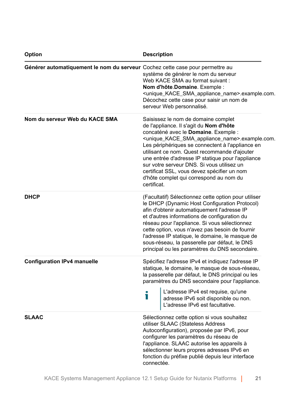| Option                                                                        | <b>Description</b>                                                                                                                                                                                                                                                                                                                                                                                                                                                                                                              |  |
|-------------------------------------------------------------------------------|---------------------------------------------------------------------------------------------------------------------------------------------------------------------------------------------------------------------------------------------------------------------------------------------------------------------------------------------------------------------------------------------------------------------------------------------------------------------------------------------------------------------------------|--|
| Générer automatiquement le nom du serveur Cochez cette case pour permettre au | système de générer le nom du serveur<br>Web KACE SMA au format suivant :<br>Nom d'hôte Domaine. Exemple :<br><unique_kace_sma_appliance_name>.example.com.<br/>Décochez cette case pour saisir un nom de<br/>serveur Web personnalisé.</unique_kace_sma_appliance_name>                                                                                                                                                                                                                                                         |  |
| Nom du serveur Web du KACE SMA                                                | Saisissez le nom de domaine complet<br>de l'appliance. Il s'agit du Nom d'hôte<br>concaténé avec le Domaine. Exemple :<br><unique_kace_sma_appliance_name>.example.com.<br/>Les périphériques se connectent à l'appliance en<br/>utilisant ce nom. Quest recommande d'ajouter<br/>une entrée d'adresse IP statique pour l'appliance<br/>sur votre serveur DNS. Si vous utilisez un<br/>certificat SSL, vous devez spécifier un nom<br/>d'hôte complet qui correspond au nom du<br/>certificat.</unique_kace_sma_appliance_name> |  |
| <b>DHCP</b>                                                                   | (Facultatif) Sélectionnez cette option pour utiliser<br>le DHCP (Dynamic Host Configuration Protocol)<br>afin d'obtenir automatiquement l'adresse IP<br>et d'autres informations de configuration du<br>réseau pour l'appliance. Si vous sélectionnez<br>cette option, vous n'avez pas besoin de fournir<br>l'adresse IP statique, le domaine, le masque de<br>sous-réseau, la passerelle par défaut, le DNS<br>principal ou les paramètres du DNS secondaire.                                                                  |  |
| <b>Configuration IPv4 manuelle</b>                                            | Spécifiez l'adresse IPv4 et indiquez l'adresse IP<br>statique, le domaine, le masque de sous-réseau,<br>la passerelle par défaut, le DNS principal ou les<br>paramètres du DNS secondaire pour l'appliance.<br>L'adresse IPv4 est requise, qu'une<br>adresse IPv6 soit disponible ou non.<br>L'adresse IPv6 est facultative.<br>Т                                                                                                                                                                                               |  |
| <b>SLAAC</b>                                                                  | Sélectionnez cette option si vous souhaitez<br>utiliser SLAAC (Stateless Address<br>Autoconfiguration), proposée par IPv6, pour<br>configurer les paramètres du réseau de<br>l'appliance. SLAAC autorise les appareils à<br>sélectionner leurs propres adresses IPv6 en<br>fonction du préfixe publié depuis leur interface<br>connectée.                                                                                                                                                                                       |  |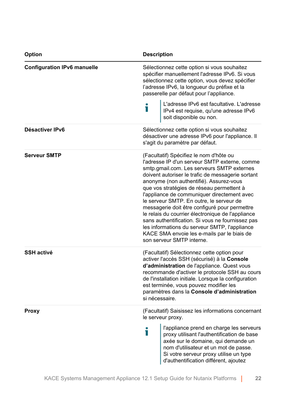| <b>Option</b>               | <b>Description</b>                                                                                                                                                                                                                                                                                                                                                                                                                                                                                                                                                                                                                                                    |
|-----------------------------|-----------------------------------------------------------------------------------------------------------------------------------------------------------------------------------------------------------------------------------------------------------------------------------------------------------------------------------------------------------------------------------------------------------------------------------------------------------------------------------------------------------------------------------------------------------------------------------------------------------------------------------------------------------------------|
| Configuration IPv6 manuelle | Sélectionnez cette option si vous souhaitez<br>spécifier manuellement l'adresse IPv6. Si vous<br>sélectionnez cette option, vous devez spécifier<br>l'adresse IPv6, la longueur du préfixe et la<br>passerelle par défaut pour l'appliance.                                                                                                                                                                                                                                                                                                                                                                                                                           |
|                             | L'adresse IPv6 est facultative. L'adresse<br>Ť<br>IPv4 est requise, qu'une adresse IPv6<br>soit disponible ou non.                                                                                                                                                                                                                                                                                                                                                                                                                                                                                                                                                    |
| Désactiver IPv6             | Sélectionnez cette option si vous souhaitez<br>désactiver une adresse IPv6 pour l'appliance. Il<br>s'agit du paramètre par défaut.                                                                                                                                                                                                                                                                                                                                                                                                                                                                                                                                    |
| <b>Serveur SMTP</b>         | (Facultatif) Spécifiez le nom d'hôte ou<br>l'adresse IP d'un serveur SMTP externe, comme<br>smtp.gmail.com. Les serveurs SMTP externes<br>doivent autoriser le trafic de messagerie sortant<br>anonyme (non authentifié). Assurez-vous<br>que vos stratégies de réseau permettent à<br>l'appliance de communiquer directement avec<br>le serveur SMTP. En outre, le serveur de<br>messagerie doit être configuré pour permettre<br>le relais du courrier électronique de l'appliance<br>sans authentification. Si vous ne fournissez pas<br>les informations du serveur SMTP, l'appliance<br>KACE SMA envoie les e-mails par le biais de<br>son serveur SMTP interne. |
| <b>SSH activé</b>           | (Facultatif) Sélectionnez cette option pour<br>activer l'accès SSH (sécurisé) à la Console<br>d'administration de l'appliance. Quest vous<br>recommande d'activer le protocole SSH au cours<br>de l'installation initiale. Lorsque la configuration<br>est terminée, vous pouvez modifier les<br>paramètres dans la Console d'administration<br>si nécessaire.                                                                                                                                                                                                                                                                                                        |
| Proxy                       | (Facultatif) Saisissez les informations concernant<br>le serveur proxy.                                                                                                                                                                                                                                                                                                                                                                                                                                                                                                                                                                                               |
|                             | l'appliance prend en charge les serveurs<br>i<br>proxy utilisant l'authentification de base<br>axée sur le domaine, qui demande un<br>nom d'utilisateur et un mot de passe.<br>Si votre serveur proxy utilise un type<br>d'authentification différent, ajoutez                                                                                                                                                                                                                                                                                                                                                                                                        |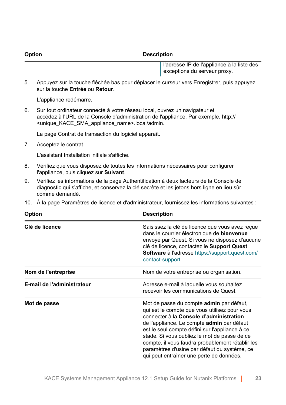**Option Description**

l'adresse IP de l'appliance à la liste des exceptions du serveur proxy.

5. Appuyez sur la touche fléchée bas pour déplacer le curseur vers Enregistrer, puis appuyez sur la touche **Entrée** ou **Retour**.

L'appliance redémarre.

6. Sur tout ordinateur connecté à votre réseau local, ouvrez un navigateur et accédez à l'URL de la Console d'administration de l'appliance. Par exemple, http:// <unique\_KACE\_SMA\_appliance\_name>.local/admin.

La page Contrat de transaction du logiciel apparaît.

7. Acceptez le contrat.

L'assistant Installation initiale s'affiche.

- 8. Vérifiez que vous disposez de toutes les informations nécessaires pour configurer l'appliance, puis cliquez sur **Suivant**.
- 9. Vérifiez les informations de la page Authentification à deux facteurs de la Console de diagnostic qui s'affiche, et conservez la clé secrète et les jetons hors ligne en lieu sûr, comme demandé.
- 10. À la page Paramètres de licence et d'administrateur, fournissez les informations suivantes :

| <b>Option</b>              | <b>Description</b>                                                                                                                                                                                                                                                                                                                                                                                                                   |
|----------------------------|--------------------------------------------------------------------------------------------------------------------------------------------------------------------------------------------------------------------------------------------------------------------------------------------------------------------------------------------------------------------------------------------------------------------------------------|
| Clé de licence             | Saisissez la clé de licence que vous avez reçue<br>dans le courrier électronique de bienvenue<br>envoyé par Quest. Si vous ne disposez d'aucune<br>clé de licence, contactez le Support Quest<br><b>Software à l'adresse https://support.quest.com/</b><br>contact-support.                                                                                                                                                          |
| Nom de l'entreprise        | Nom de votre entreprise ou organisation.                                                                                                                                                                                                                                                                                                                                                                                             |
| E-mail de l'administrateur | Adresse e-mail à laquelle vous souhaitez<br>recevoir les communications de Quest.                                                                                                                                                                                                                                                                                                                                                    |
| Mot de passe               | Mot de passe du compte admin par défaut,<br>qui est le compte que vous utilisez pour vous<br>connecter à la Console d'administration<br>de l'appliance. Le compte admin par défaut<br>est le seul compte défini sur l'appliance à ce<br>stade. Si vous oubliez le mot de passe de ce<br>compte, il vous faudra probablement rétablir les<br>paramètres d'usine par défaut du système, ce<br>qui peut entraîner une perte de données. |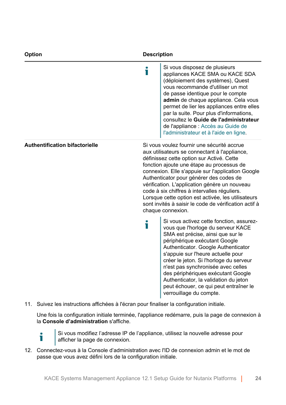| Option                                | <b>Description</b> |                                                                                                                                                                                                                                                                                                                                                                                                                                                                                                                            |
|---------------------------------------|--------------------|----------------------------------------------------------------------------------------------------------------------------------------------------------------------------------------------------------------------------------------------------------------------------------------------------------------------------------------------------------------------------------------------------------------------------------------------------------------------------------------------------------------------------|
|                                       | i                  | Si vous disposez de plusieurs<br>appliances KACE SMA ou KACE SDA<br>(déploiement des systèmes), Quest<br>vous recommande d'utiliser un mot<br>de passe identique pour le compte<br>admin de chaque appliance. Cela vous<br>permet de lier les appliances entre elles<br>par la suite. Pour plus d'informations,<br>consultez le Guide de l'administrateur<br>de l'appliance : Accès au Guide de<br>l'administrateur et à l'aide en ligne.                                                                                  |
| <b>Authentification bifactorielle</b> |                    | Si vous voulez fournir une sécurité accrue<br>aux utilisateurs se connectant à l'appliance,<br>définissez cette option sur Activé. Cette<br>fonction ajoute une étape au processus de<br>connexion. Elle s'appuie sur l'application Google<br>Authenticator pour générer des codes de<br>vérification. L'application génère un nouveau<br>code à six chiffres à intervalles réguliers.<br>Lorsque cette option est activée, les utilisateurs<br>sont invités à saisir le code de vérification actif à<br>chaque connexion. |
|                                       | ٦                  | Si vous activez cette fonction, assurez-<br>vous que l'horloge du serveur KACE<br>SMA est précise, ainsi que sur le<br>périphérique exécutant Google<br>Authenticator. Google Authenticator<br>s'appuie sur l'heure actuelle pour<br>créer le jeton. Si l'horloge du serveur<br>n'est pas synchronisée avec celles<br>des périphériques exécutant Google<br>Authenticator, la validation du jeton<br>peut échouer, ce qui peut entraîner le<br>verrouillage du compte.                                                     |

11. Suivez les instructions affichées à l'écran pour finaliser la configuration initiale.

Une fois la configuration initiale terminée, l'appliance redémarre, puis la page de connexion à la **Console d'administration** s'affiche.

i

Si vous modifiez l'adresse IP de l'appliance, utilisez la nouvelle adresse pour afficher la page de connexion.

12. Connectez-vous à la Console d'administration avec l'ID de connexion admin et le mot de passe que vous avez défini lors de la configuration initiale.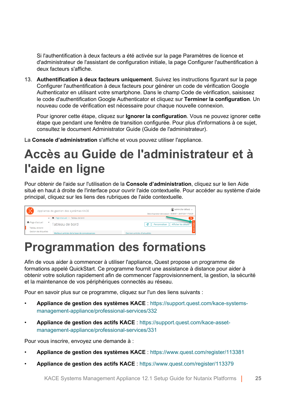Si l'authentification à deux facteurs a été activée sur la page Paramètres de licence et d'administrateur de l'assistant de configuration initiale, la page Configurer l'authentification à deux facteurs s'affiche.

13. **Authentification à deux facteurs uniquement**. Suivez les instructions figurant sur la page Configurer l'authentification à deux facteurs pour générer un code de vérification Google Authenticator en utilisant votre smartphone. Dans le champ Code de vérification, saisissez le code d'authentification Google Authenticator et cliquez sur **Terminer la configuration**. Un nouveau code de vérification est nécessaire pour chaque nouvelle connexion.

Pour ignorer cette étape, cliquez sur **Ignorer la configuration**. Vous ne pouvez ignorer cette étape que pendant une fenêtre de transition configurée. Pour plus d'informations à ce sujet, consultez le document Administrator Guide (Guide de l'administrateur).

La **Console d'administration** s'affiche et vous pouvez utiliser l'appliance.

### <span id="page-24-0"></span>**Accès au Guide de l'administrateur et à l'aide en ligne**

Pour obtenir de l'aide sur l'utilisation de la **Console d'administration**, cliquez sur le lien Aide situé en haut à droite de l'interface pour ouvrir l'aide contextuelle. Pour accéder au système d'aide principal, cliquez sur les liens des rubriques de l'aide contextuelle.



#### <span id="page-24-1"></span>**Programmation des formations**

Afin de vous aider à commencer à utiliser l'appliance, Quest propose un programme de formations appelé QuickStart. Ce programme fournit une assistance à distance pour aider à obtenir votre solution rapidement afin de commencer l'approvisionnement, la gestion, la sécurité et la maintenance de vos périphériques connectés au réseau.

Pour en savoir plus sur ce programme, cliquez sur l'un des liens suivants :

- **Appliance de gestion des systèmes KACE** : [https://support.quest.com/kace-systems](https://support.quest.com/kace-systems-management-appliance/professional-services/332)[management-appliance/professional-services/332](https://support.quest.com/kace-systems-management-appliance/professional-services/332)
- **Appliance de gestion des actifs KACE** : [https://support.quest.com/kace-asset](https://support.quest.com/kace-asset-management-appliance/professional-services/331)[management-appliance/professional-services/331](https://support.quest.com/kace-asset-management-appliance/professional-services/331)

Pour vous inscrire, envoyez une demande à :

- **Appliance de gestion des systèmes KACE** : <https://www.quest.com/register/113381>
- **Appliance de gestion des actifs KACE** : <https://www.quest.com/register/113379>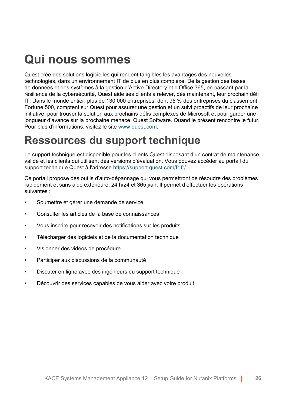### <span id="page-25-0"></span>**Qui nous sommes**

Quest crée des solutions logicielles qui rendent tangibles les avantages des nouvelles technologies, dans un environnement IT de plus en plus complexe. De la gestion des bases de données et des systèmes à la gestion d'Active Directory et d'Office 365, en passant par la résilience de la cybersécurité, Quest aide ses clients à relever, dès maintenant, leur prochain défi IT. Dans le monde entier, plus de 130 000 entreprises, dont 95 % des entreprises du classement Fortune 500, comptent sur Quest pour assurer une gestion et un suivi proactifs de leur prochaine initiative, pour trouver la solution aux prochains défis complexes de Microsoft et pour garder une longueur d'avance sur la prochaine menace. Quest Software. Quand le présent rencontre le futur. Pour plus d'informations, visitez le site [www.quest.com](https://www.quest.com/company/contact-us.aspx).

#### <span id="page-25-1"></span>**Ressources du support technique**

Le support technique est disponible pour les clients Quest disposant d'un contrat de maintenance valide et les clients qui utilisent des versions d'évaluation. Vous pouvez accéder au portail du support technique Quest à l'adresse [https://support.quest.com/fr-fr/.](https://support.quest.com/)

Ce portail propose des outils d'auto-dépannage qui vous permettront de résoudre des problèmes rapidement et sans aide extérieure, 24 h/24 et 365 j/an. Il permet d'effectuer les opérations suivantes :

- Soumettre et gérer une demande de service
- Consulter les articles de la base de connaissances
- Vous inscrire pour recevoir des notifications sur les produits
- Télécharger des logiciels et de la documentation technique
- Visionner des vidéos de procédure
- Participer aux discussions de la communauté
- Discuter en ligne avec des ingénieurs du support technique
- Découvrir des services capables de vous aider avec votre produit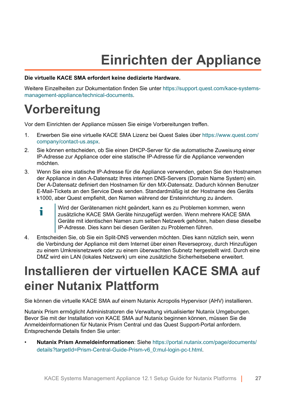## **Einrichten der Appliance**

#### <span id="page-26-0"></span>**Die virtuelle KACE SMA erfordert keine dedizierte Hardware.**

Weitere Einzelheiten zur Dokumentation finden Sie unter [https://support.quest.com/kace-systems](https://support.quest.com/kace-systems-management-appliance/technical-documents)[management-appliance/technical-documents](https://support.quest.com/kace-systems-management-appliance/technical-documents).

#### <span id="page-26-1"></span>**Vorbereitung**

Vor dem Einrichten der Appliance müssen Sie einige Vorbereitungen treffen.

- 1. Erwerben Sie eine virtuelle KACE SMA Lizenz bei Quest Sales über [https://www.quest.com/](https://www.quest.com/company/contact-us.aspx) [company/contact-us.aspx.](https://www.quest.com/company/contact-us.aspx)
- 2. Sie können entscheiden, ob Sie einen DHCP-Server für die automatische Zuweisung einer IP-Adresse zur Appliance oder eine statische IP-Adresse für die Appliance verwenden möchten.
- 3. Wenn Sie eine statische IP-Adresse für die Appliance verwenden, geben Sie den Hostnamen der Appliance in den A-Datensatz Ihres internen DNS-Servers (Domain Name System) ein. Der A-Datensatz definiert den Hostnamen für den MX-Datensatz. Dadurch können Benutzer E-Mail-Tickets an den Service Desk senden. Standardmäßig ist der Hostname des Geräts k1000, aber Quest empfiehlt, den Namen während der Ersteinrichtung zu ändern.
	- Wird der Gerätenamen nicht geändert, kann es zu Problemen kommen, wenn Ť zusätzliche KACE SMA Geräte hinzugefügt werden. Wenn mehrere KACE SMA Geräte mit identischen Namen zum selben Netzwerk gehören, haben diese dieselbe IP-Adresse. Dies kann bei diesen Geräten zu Problemen führen.
- 4. Entscheiden Sie, ob Sie ein Split-DNS verwenden möchten. Dies kann nützlich sein, wenn die Verbindung der Appliance mit dem Internet über einen Reverseproxy, durch Hinzufügen zu einem Umkreisnetzwerk oder zu einem überwachten Subnetz hergestellt wird. Durch eine DMZ wird ein LAN (lokales Netzwerk) um eine zusätzliche Sicherheitsebene erweitert.

#### <span id="page-26-2"></span>**Installieren der virtuellen KACE SMA auf einer Nutanix Plattform**

Sie können die virtuelle KACE SMA auf einem Nutanix Acropolis Hypervisor (AHV) installieren.

Nutanix Prism ermöglicht Administratoren die Verwaltung virtualisierter Nutanix Umgebungen. Bevor Sie mit der Installation von KACE SMA auf Nutanix beginnen können, müssen Sie die Anmeldeinformationen für Nutanix Prism Central und das Quest Support-Portal anfordern. Entsprechende Details finden Sie unter:

• **Nutanix Prism Anmeldeinformationen**: Siehe [https://portal.nutanix.com/page/documents/](https://portal.nutanix.com/page/documents/details?targetId=Prism-Central-Guide-Prism-v6_0:mul-login-pc-t.html) [details?targetId=Prism-Central-Guide-Prism-v6\\_0:mul-login-pc-t.html.](https://portal.nutanix.com/page/documents/details?targetId=Prism-Central-Guide-Prism-v6_0:mul-login-pc-t.html)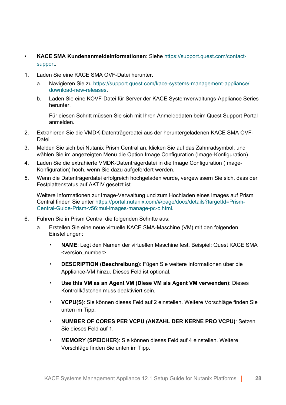- **KACE SMA Kundenanmeldeinformationen**: Siehe [https://support.quest.com/contact](https://support.quest.com/contact-support)[support.](https://support.quest.com/contact-support)
- 1. Laden Sie eine KACE SMA OVF-Datei herunter.
	- a. Navigieren Sie zu [https://support.quest.com/kace-systems-management-appliance/](https://support.quest.com/kace-systems-management-appliance/download-new-releases) [download-new-releases](https://support.quest.com/kace-systems-management-appliance/download-new-releases).
	- b. Laden Sie eine KOVF-Datei für Server der KACE Systemverwaltungs-Appliance Series herunter.

Für diesen Schritt müssen Sie sich mit Ihren Anmeldedaten beim Quest Support Portal anmelden.

- 2. Extrahieren Sie die VMDK-Datenträgerdatei aus der heruntergeladenen KACE SMA OVF-Datei.
- 3. Melden Sie sich bei Nutanix Prism Central an, klicken Sie auf das Zahnradsymbol, und wählen Sie im angezeigten Menü die Option Image Configuration (Image-Konfiguration).
- 4. Laden Sie die extrahierte VMDK-Datenträgerdatei in die Image Configuration (Image-Konfiguration) hoch, wenn Sie dazu aufgefordert werden.
- 5. Wenn die Datenträgerdatei erfolgreich hochgeladen wurde, vergewissern Sie sich, dass der Festplattenstatus auf AKTIV gesetzt ist.

Weitere Informationen zur Image-Verwaltung und zum Hochladen eines Images auf Prism Central finden Sie unter [https://portal.nutanix.com/#/page/docs/details?targetId=Prism-](https://portal.nutanix.com/#/page/docs/details?targetId=Prism-Central-Guide-Prism-v56:mul-images-manage-pc-c.html)[Central-Guide-Prism-v56:mul-images-manage-pc-c.html.](https://portal.nutanix.com/#/page/docs/details?targetId=Prism-Central-Guide-Prism-v56:mul-images-manage-pc-c.html)

- 6. Führen Sie in Prism Central die folgenden Schritte aus:
	- a. Erstellen Sie eine neue virtuelle KACE SMA-Maschine (VM) mit den folgenden Einstellungen:
		- **NAME:** Legt den Namen der virtuellen Maschine fest. Beispiel: Quest KACE SMA <version\_number>.
		- **DESCRIPTION (Beschreibung)**: Fügen Sie weitere Informationen über die Appliance-VM hinzu. Dieses Feld ist optional.
		- **Use this VM as an Agent VM (Diese VM als Agent VM verwenden)**: Dieses Kontrollkästchen muss deaktiviert sein.
		- **VCPU(S)**: Sie können dieses Feld auf 2 einstellen. Weitere Vorschläge finden Sie unten im Tipp.
		- **NUMBER OF CORES PER VCPU (ANZAHL DER KERNE PRO VCPU)**: Setzen Sie dieses Feld auf 1.
		- **MEMORY (SPEICHER)**: Sie können dieses Feld auf 4 einstellen. Weitere Vorschläge finden Sie unten im Tipp.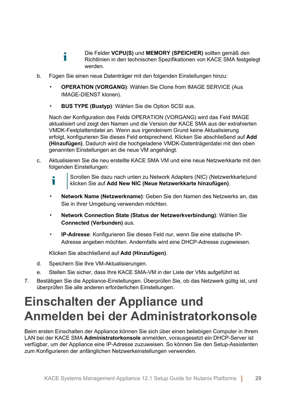- Die Felder **VCPU(S)** und **MEMORY (SPEICHER)** sollten gemäß den Ť Richtlinien in den technischen Spezifikationen von KACE SMA festgelegt werden.
- b. Fügen Sie einen neue Datenträger mit den folgenden Einstellungen hinzu:
	- **OPERATION (VORGANG)**: Wählen Sie Clone from IMAGE SERVICE (Aus IMAGE-DIENST klonen).
	- **BUS TYPE (Bustyp)**: Wählen Sie die Option SCSI aus.

Nach der Konfiguration des Felds OPERATION (VORGANG) wird das Feld IMAGE aktualisiert und zeigt den Namen und die Version der KACE SMA aus der extrahierten VMDK-Festplattendatei an. Wenn aus irgendeinem Grund keine Aktualisierung erfolgt, konfigurieren Sie dieses Feld entsprechend. Klicken Sie abschließend auf **Add (Hinzufügen)**. Dadurch wird die hochgeladene VMDK-Datenträgerdatei mit den oben genannten Einstellungen an die neue VM angehängt.

- c. Aktualisieren Sie die neu erstellte KACE SMA VM und eine neue Netzwerkkarte mit den folgenden Einstellungen:
	- Scrollen Sie dazu nach unten zu Network Adapters (NIC) (Netzwerkkarte)und Ť klicken Sie auf **Add New NIC (Neue Netzwerkkarte hinzufügen)**.
	- Network Name (Netzwerkname): Geben Sie den Namen des Netzwerks an, das Sie in Ihrer Umgebung verwenden möchten.
	- **Network Connection State (Status der Netzwerkverbindung)**: Wählen Sie **Connected (Verbunden)** aus.
	- **IP-Adresse**: Konfigurieren Sie dieses Feld nur, wenn Sie eine statische IP-Adresse angeben möchten. Andernfalls wird eine DHCP-Adresse zugewiesen.

Klicken Sie abschließend auf **Add (Hinzufügen)**.

- d. Speichern Sie Ihre VM-Aktualisierungen.
- e. Stellen Sie sicher, dass Ihre KACE SMA-VM in der Liste der VMs aufgeführt ist.
- 7. Bestätigen Sie die Appliance-Einstellungen. Überprüfen Sie, ob das Netzwerk gültig ist, und überprüfen Sie alle anderen erforderlichen Einstellungen.

#### <span id="page-28-0"></span>**Einschalten der Appliance und Anmelden bei der Administratorkonsole**

Beim ersten Einschalten der Appliance können Sie sich über einen beliebigen Computer in Ihrem LAN bei der KACE SMA **Administratorkonsole** anmelden, vorausgesetzt ein DHCP-Server ist verfügbar, um der Appliance eine IP-Adresse zuzuweisen. So können Sie den Setup-Assistenten zum Konfigurieren der anfänglichen Netzwerkeinstellungen verwenden.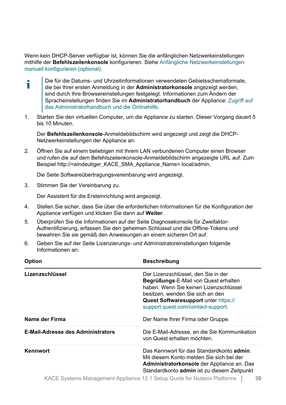Wenn kein DHCP-Server verfügbar ist, können Sie die anfänglichen Netzwerkeinstellungen mithilfe der **Befehlszeilenkonsole** konfigurieren. Siehe [Anfängliche Netzwerkeinstellungen](#page-31-0) [manuell konfigurieren \(optional\)](#page-31-0).

- Die für die Datums- und Uhrzeitinformationen verwendeten Gebietsschemaformate, Ť die bei Ihrer ersten Anmeldung in der **Administratorkonsole** angezeigt werden, sind durch Ihre Browsereinstellungen festgelegt. Informationen zum Ändern der Spracheinstellungen finden Sie im **Administratorhandbuch** der Appliance: [Zugriff auf](#page-36-0) [das Administratorhandbuch und die Onlinehilfe.](#page-36-0)
- 1. Starten Sie den virtuellen Computer, um die Appliance zu starten. Dieser Vorgang dauert 5 bis 10 Minuten.

Der **Befehlszeilenkonsole**-Anmeldebildschirm wird angezeigt und zeigt die DHCP-Netzwerkeinstellungen der Appliance an.

2. Öffnen Sie auf einem beliebigen mit Ihrem LAN verbundenen Computer einen Browser und rufen die auf dem Befehlszeilenkonsole-Anmeldebildschirm angezeigte URL auf. Zum Beispiel http://<eindeutiger\_KACE\_SMA\_Appliance\_Name>.local/admin.

Die Seite Softwareübertragungsvereinbarung wird angezeigt.

3. Stimmen Sie der Vereinbarung zu.

Der Assistent für die Ersteinrichtung wird angezeigt.

- 4. Stellen Sie sicher, dass Sie über die erforderlichen Informationen für die Konfiguration der Appliance verfügen und klicken Sie dann auf **Weiter**.
- 5. Überprüfen Sie die Informationen auf der Seite Diagnosekonsole für Zweifaktor-Authentifizierung, erfassen Sie den geheimen Schlüssel und die Offline-Tokens und bewahren Sie sie gemäß den Anweisungen an einem sicheren Ort auf.
- 6. Geben Sie auf der Seite Lizenzierungs- und Administratoreinstellungen folgende Informationen an:

| Option                                   | <b>Beschreibung</b>                                                                                                                                                                                                                            |
|------------------------------------------|------------------------------------------------------------------------------------------------------------------------------------------------------------------------------------------------------------------------------------------------|
| Lizenzschlüssel                          | Der Lizenzschlüssel, den Sie in der<br><b>Begrüßungs-E-Mail von Quest erhalten</b><br>haben. Wenn Sie keinen Lizenzschlüssel<br>besitzen, wenden Sie sich an den<br>Quest Softwaresupport unter https://<br>support.guest.com/contact-support. |
| Name der Firma                           | Der Name Ihrer Firma oder Gruppe.                                                                                                                                                                                                              |
| <b>E-Mail-Adresse des Administrators</b> | Die E-Mail-Adresse, an die Sie Kommunikation<br>von Quest erhalten möchten.                                                                                                                                                                    |
| Kennwort                                 | Das Kennwort für das Standardkonto <b>admin</b><br>Mit diesem Konto melden Sie sich bei der<br>Administratorkonsole der Appliance an. Das<br>Standardkonto admin ist zu diesem Zeitpunkt                                                       |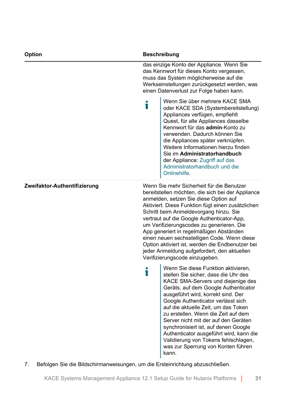| Option                       |   | <b>Beschreibung</b>                                                                                                                                                                                                                                                                                                                                                                                                                                                                                                                                              |
|------------------------------|---|------------------------------------------------------------------------------------------------------------------------------------------------------------------------------------------------------------------------------------------------------------------------------------------------------------------------------------------------------------------------------------------------------------------------------------------------------------------------------------------------------------------------------------------------------------------|
|                              |   | das einzige Konto der Appliance. Wenn Sie<br>das Kennwort für dieses Konto vergessen,<br>muss das System möglicherweise auf die<br>Werkseinstellungen zurückgesetzt werden, was<br>einen Datenverlust zur Folge haben kann.                                                                                                                                                                                                                                                                                                                                      |
|                              | П | Wenn Sie über mehrere KACE SMA<br>oder KACE SDA (Systembereitstellung)<br>Appliances verfügen, empfiehlt<br>Quest, für alle Appliances dasselbe<br>Kennwort für das admin-Konto zu<br>verwenden. Dadurch können Sie<br>die Appliances später verknüpfen.<br>Weitere Informationen hierzu finden<br>Sie im Administratorhandbuch<br>der Appliance: Zugriff auf das<br>Administratorhandbuch und die<br>Onlinehilfe.                                                                                                                                               |
| Zweifaktor-Authentifizierung |   | Wenn Sie mehr Sicherheit für die Benutzer<br>bereitstellen möchten, die sich bei der Appliance<br>anmelden, setzen Sie diese Option auf<br>Aktiviert. Diese Funktion fügt einen zusätzlichen<br>Schritt beim Anmeldevorgang hinzu. Sie<br>vertraut auf die Google Authenticator-App,<br>um Verifizierungscodes zu generieren. Die<br>App generiert in regelmäßigen Abständen<br>einen neuen sechsstelligen Code. Wenn diese<br>Option aktiviert ist, werden die Endbenutzer bei<br>jeder Anmeldung aufgefordert, den aktuellen<br>Verifizierungscode einzugeben. |
|                              | Т | Wenn Sie diese Funktion aktivieren,<br>stellen Sie sicher, dass die Uhr des<br>KACE SMA-Servers und diejenige des<br>Geräts, auf dem Google Authenticator<br>ausgeführt wird, korrekt sind. Der<br>Google Authenticator verlässt sich<br>auf die aktuelle Zeit, um das Token<br>zu erstellen. Wenn die Zeit auf dem<br>Server nicht mit der auf den Geräten<br>synchronisiert ist, auf denen Google<br>Authenticator ausgeführt wird, kann die<br>Validierung von Tokens fehlschlagen,<br>was zur Sperrung von Konten führen<br>kann.                            |

7. Befolgen Sie die Bildschirmanweisungen, um die Ersteinrichtung abzuschließen.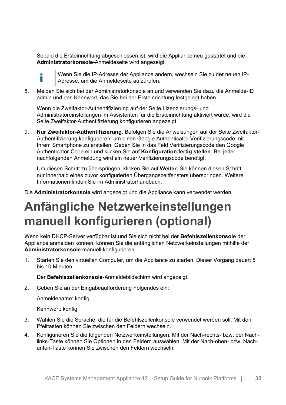Sobald die Ersteinrichtung abgeschlossen ist, wird die Appliance neu gestartet und die **Administratorkonsole**-Anmeldeseite wird angezeigt.



Wenn Sie die IP-Adresse der Appliance ändern, wechseln Sie zu der neuen IP-Adresse, um die Anmeldeseite aufzurufen.

8. Melden Sie sich bei der Administratorkonsole an und verwenden Sie dazu die Anmelde-ID admin und das Kennwort, das Sie bei der Ersteinrichtung festgelegt haben.

Wenn die Zweifaktor-Authentifizierung auf der Seite Lizenzierungs- und Administratoreinstellungen im Assistenten für die Ersteinrichtung aktiviert wurde, wird die Seite Zweifaktor-Authentifizierung konfigurieren angezeigt.

9. **Nur Zweifaktor-Authentifizierung**. Befolgen Sie die Anweisungen auf der Seite Zweifaktor-Authentifizierung konfigurieren, um einen Google Authenticator-Verifizierungscode mit Ihrem Smartphone zu erstellen. Geben Sie in das Feld Verifizierungscode den Google Authenticator-Code ein und klicken Sie auf **Konfiguration fertig stellen**. Bei jeder nachfolgenden Anmeldung wird ein neuer Verifizierungscode benötigt.

Um diesen Schritt zu überspringen, klicken Sie auf **Weiter**. Sie können diesen Schritt nur innerhalb eines zuvor konfigurierten Übergangszeitfensters überspringen. Weitere Informationen finden Sie im Administratorhandbuch:

Die **Administratorkonsole** wird angezeigt und die Appliance kann verwendet werden.

### <span id="page-31-0"></span>**Anfängliche Netzwerkeinstellungen manuell konfigurieren (optional)**

Wenn kein DHCP-Server verfügbar ist und Sie sich nicht bei der **Befehlszeilenkonsole** der Appliance anmelden können, können Sie die anfänglichen Netzwerkeinstellungen mithilfe der **Administratorkonsole** manuell konfigurieren.

1. Starten Sie den virtuellen Computer, um die Appliance zu starten. Dieser Vorgang dauert 5 bis 10 Minuten.

Der **Befehlszeilenkonsole**-Anmeldebildschirm wird angezeigt.

2. Geben Sie an der Eingabeaufforderung Folgendes ein:

Anmeldename: konfig

Kennwort: konfig

- 3. Wählen Sie die Sprache, die für die Befehlszeilenkonsole verwendet werden soll. Mit den Pfeiltasten können Sie zwischen den Feldern wechseln.
- 4. Konfigurieren Sie die folgenden Netzwerkeinstellungen. Mit der Nach-rechts- bzw. der Nachlinks-Taste können Sie Optionen in den Feldern auswählen. Mit der Nach-oben- bzw. Nachunten-Taste können Sie zwischen den Feldern wechseln.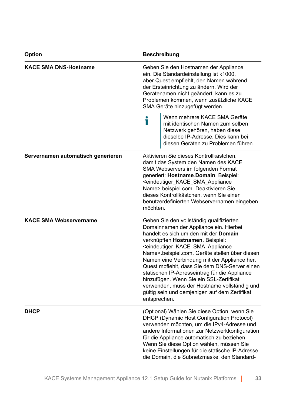| Option                             | <b>Beschreibung</b>                                                                                                                                                                                                                                                                                                                                                                                                                                                                                                                                                                                              |
|------------------------------------|------------------------------------------------------------------------------------------------------------------------------------------------------------------------------------------------------------------------------------------------------------------------------------------------------------------------------------------------------------------------------------------------------------------------------------------------------------------------------------------------------------------------------------------------------------------------------------------------------------------|
| <b>KACE SMA DNS-Hostname</b>       | Geben Sie den Hostnamen der Appliance<br>ein. Die Standardeinstellung ist k1000,<br>aber Quest empfiehlt, den Namen während<br>der Ersteinrichtung zu ändern. Wird der<br>Gerätenamen nicht geändert, kann es zu<br>Problemen kommen, wenn zusätzliche KACE<br>SMA Geräte hinzugefügt werden.<br>Wenn mehrere KACE SMA Geräte<br>Ť<br>mit identischen Namen zum selben<br>Netzwerk gehören, haben diese<br>dieselbe IP-Adresse. Dies kann bei<br>diesen Geräten zu Problemen führen.                                                                                                                             |
| Servernamen automatisch generieren | Aktivieren Sie dieses Kontrollkästchen,<br>damit das System den Namen des KACE<br>SMA Webservers im folgenden Format<br>generiert: Hostname.Domain. Beispiel:<br><eindeutiger_kace_sma_appliance<br>Name&gt;.beispiel.com. Deaktivieren Sie<br/>dieses Kontrollkästchen, wenn Sie einen<br/>benutzerdefinierten Webservernamen eingeben<br/>möchten.</eindeutiger_kace_sma_appliance<br>                                                                                                                                                                                                                         |
| <b>KACE SMA Webservername</b>      | Geben Sie den vollständig qualifizierten<br>Domainnamen der Appliance ein. Hierbei<br>handelt es sich um den mit der Domain<br>verknüpften Hostnamen. Beispiel:<br><eindeutiger_kace_sma_appliance<br>Name&gt;.beispiel.com. Geräte stellen über diesen<br/>Namen eine Verbindung mit der Appliance her.<br/>Quest mpfiehlt, dass Sie dem DNS-Server einen<br/>statischen IP-Adresseintrag für die Appliance<br/>hinzufügen. Wenn Sie ein SSL-Zertifikat<br/>verwenden, muss der Hostname vollständig und<br/>gültig sein und demjenigen auf dem Zertifikat<br/>entsprechen.</eindeutiger_kace_sma_appliance<br> |
| <b>DHCP</b>                        | (Optional) Wählen Sie diese Option, wenn Sie<br>DHCP (Dynamic Host Configuration Protocol)<br>verwenden möchten, um die IPv4-Adresse und<br>andere Informationen zur Netzwerkkonfiguration<br>für die Appliance automatisch zu beziehen.<br>Wenn Sie diese Option wählen, müssen Sie<br>keine Einstellungen für die statische IP-Adresse,<br>die Domain, die Subnetzmaske, den Standard-                                                                                                                                                                                                                         |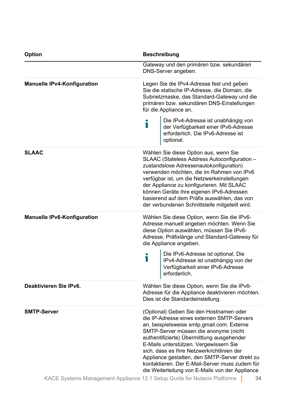| <b>Option</b>                      | <b>Beschreibung</b>                                                                                                                                                                                                                                                                                                                                                                                                                                                       |
|------------------------------------|---------------------------------------------------------------------------------------------------------------------------------------------------------------------------------------------------------------------------------------------------------------------------------------------------------------------------------------------------------------------------------------------------------------------------------------------------------------------------|
|                                    | Gateway und den primären bzw. sekundären<br>DNS-Server angeben.                                                                                                                                                                                                                                                                                                                                                                                                           |
| <b>Manuelle IPv4-Konfiguration</b> | Legen Sie die IPv4-Adresse fest und geben<br>Sie die statische IP-Adresse, die Domain, die<br>Subnetzmaske, das Standard-Gateway und die<br>primären bzw. sekundären DNS-Einstellungen<br>für die Appliance an.                                                                                                                                                                                                                                                           |
|                                    | Die IPv4-Adresse ist unabhängig von<br>Ť<br>der Verfügbarkeit einer IPv6-Adresse<br>erforderlich. Die IPv6-Adresse ist<br>optional.                                                                                                                                                                                                                                                                                                                                       |
| <b>SLAAC</b>                       | Wählen Sie diese Option aus, wenn Sie<br>SLAAC (Stateless Address Autoconfiguration -<br>zustandslose Adressenautokonfiguration)<br>verwenden möchten, die im Rahmen von IPv6<br>verfügbar ist, um die Netzwerkeinstellungen<br>der Appliance zu konfigurieren. Mit SLAAC<br>können Geräte ihre eigenen IPv6-Adressen<br>basierend auf dem Präfix auswählen, das von<br>der verbundenen Schnittstelle mitgeteilt wird.                                                    |
| <b>Manuelle IPv6-Konfiguration</b> | Wählen Sie diese Option, wenn Sie die IPv6-<br>Adresse manuell angeben möchten. Wenn Sie<br>diese Option auswählen, müssen Sie IPv6-<br>Adresse, Präfixlänge und Standard-Gateway für<br>die Appliance angeben.                                                                                                                                                                                                                                                           |
|                                    | Die IPv6-Adresse ist optional. Die<br>Ť<br>IPv4-Adresse ist unabhängig von der<br>Verfügbarkeit einer IPv6-Adresse<br>erforderlich.                                                                                                                                                                                                                                                                                                                                       |
| Deaktivieren Sie IPv6.             | Wählen Sie diese Option, wenn Sie die IPv6-<br>Adresse für die Appliance deaktivieren möchten.<br>Dies ist die Standardeinstellung.                                                                                                                                                                                                                                                                                                                                       |
| <b>SMTP-Server</b>                 | (Optional) Geben Sie den Hostnamen oder<br>die IP-Adresse eines externen SMTP-Servers<br>an, beispielsweise smtp.gmail.com. Externe<br>SMTP-Server müssen die anonyme (nicht<br>authentifizierte) Übermittlung ausgehender<br>E-Mails unterstützen. Vergewissern Sie<br>sich, dass es Ihre Netzwerkrichtlinien der<br>Appliance gestatten, den SMTP-Server direkt zu<br>kontaktieren. Der E-Mail-Server muss zudem für<br>die Weiterleitung von E-Mails von der Appliance |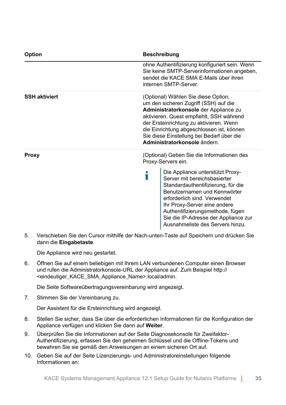| <b>Option</b>        | <b>Beschreibung</b>                                                                                                                                                                                                                                                                                                                   |
|----------------------|---------------------------------------------------------------------------------------------------------------------------------------------------------------------------------------------------------------------------------------------------------------------------------------------------------------------------------------|
|                      | ohne Authentifizierung konfiguriert sein. Wenn<br>Sie keine SMTP-Serverinformationen angeben,<br>sendet die KACE SMA E-Mails über ihren<br>internen SMTP-Server.                                                                                                                                                                      |
| <b>SSH aktiviert</b> | (Optional) Wählen Sie diese Option,<br>um den sicheren Zugriff (SSH) auf die<br>Administratorkonsole der Appliance zu<br>aktivieren. Quest empfiehlt, SSH während<br>der Ersteinrichtung zu aktivieren. Wenn<br>die Einrichtung abgeschlossen ist, können<br>Sie diese Einstellung bei Bedarf über die<br>Administratorkonsole ändern |
| Proxy                | (Optional) Geben Sie die Informationen des<br>Proxy-Servers ein.                                                                                                                                                                                                                                                                      |
|                      | Die Appliance unterstützt Proxy-<br>Ť<br>Server mit bereichsbasierter<br>Standardauthentifizierung, für die<br>Benutzernamen und Kennwörter<br>erforderlich sind. Verwendet<br>Ihr Proxy-Server eine andere<br>Authentifizierungsmethode, fügen<br>Sie die IP-Adresse der Appliance zur<br>Ausnahmeliste des Servers hinzu.           |

5. Verschieben Sie den Cursor mithilfe der Nach-unten-Taste auf Speichern und drücken Sie dann die **Eingabetaste**.

Die Appliance wird neu gestartet.

6. Öffnen Sie auf einem beliebigen mit Ihrem LAN verbundenen Computer einen Browser und rufen die Administratorkonsole-URL der Appliance auf. Zum Beispiel http:// <eindeutiger\_KACE\_SMA\_Appliance\_Name>.local/admin.

Die Seite Softwareübertragungsvereinbarung wird angezeigt.

7. Stimmen Sie der Vereinbarung zu.

Der Assistent für die Ersteinrichtung wird angezeigt.

- 8. Stellen Sie sicher, dass Sie über die erforderlichen Informationen für die Konfiguration der Appliance verfügen und klicken Sie dann auf **Weiter**.
- 9. Überprüfen Sie die Informationen auf der Seite Diagnosekonsole für Zweifaktor-Authentifizierung, erfassen Sie den geheimen Schlüssel und die Offline-Tokens und bewahren Sie sie gemäß den Anweisungen an einem sicheren Ort auf.
- 10. Geben Sie auf der Seite Lizenzierungs- und Administratoreinstellungen folgende Informationen an: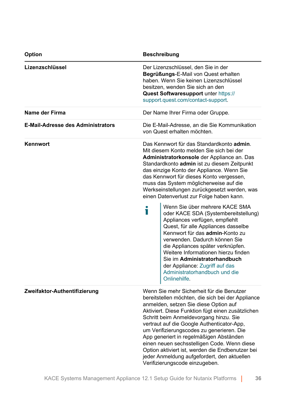| <b>Option</b>                            | <b>Beschreibung</b>                                                                                                                                                                                                                                                                                                                                                                                                                                                                                                                                                                                                                                                                                                                                                                                                                          |
|------------------------------------------|----------------------------------------------------------------------------------------------------------------------------------------------------------------------------------------------------------------------------------------------------------------------------------------------------------------------------------------------------------------------------------------------------------------------------------------------------------------------------------------------------------------------------------------------------------------------------------------------------------------------------------------------------------------------------------------------------------------------------------------------------------------------------------------------------------------------------------------------|
| Lizenzschlüssel                          | Der Lizenzschlüssel, den Sie in der<br>Begrüßungs-E-Mail von Quest erhalten<br>haben. Wenn Sie keinen Lizenzschlüssel<br>besitzen, wenden Sie sich an den<br>Quest Softwaresupport unter https://<br>support.quest.com/contact-support.                                                                                                                                                                                                                                                                                                                                                                                                                                                                                                                                                                                                      |
| Name der Firma                           | Der Name Ihrer Firma oder Gruppe.                                                                                                                                                                                                                                                                                                                                                                                                                                                                                                                                                                                                                                                                                                                                                                                                            |
| <b>E-Mail-Adresse des Administrators</b> | Die E-Mail-Adresse, an die Sie Kommunikation<br>von Quest erhalten möchten.                                                                                                                                                                                                                                                                                                                                                                                                                                                                                                                                                                                                                                                                                                                                                                  |
| Kennwort                                 | Das Kennwort für das Standardkonto admin.<br>Mit diesem Konto melden Sie sich bei der<br>Administratorkonsole der Appliance an. Das<br>Standardkonto admin ist zu diesem Zeitpunkt<br>das einzige Konto der Appliance. Wenn Sie<br>das Kennwort für dieses Konto vergessen,<br>muss das System möglicherweise auf die<br>Werkseinstellungen zurückgesetzt werden, was<br>einen Datenverlust zur Folge haben kann.<br>Wenn Sie über mehrere KACE SMA<br>Т<br>oder KACE SDA (Systembereitstellung)<br>Appliances verfügen, empfiehlt<br>Quest, für alle Appliances dasselbe<br>Kennwort für das admin-Konto zu<br>verwenden. Dadurch können Sie<br>die Appliances später verknüpfen.<br>Weitere Informationen hierzu finden<br>Sie im Administratorhandbuch<br>der Appliance: Zugriff auf das<br>Administratorhandbuch und die<br>Onlinehilfe. |
| Zweifaktor-Authentifizierung             | Wenn Sie mehr Sicherheit für die Benutzer<br>bereitstellen möchten, die sich bei der Appliance<br>anmelden, setzen Sie diese Option auf<br>Aktiviert. Diese Funktion fügt einen zusätzlichen<br>Schritt beim Anmeldevorgang hinzu. Sie<br>vertraut auf die Google Authenticator-App,<br>um Verifizierungscodes zu generieren. Die<br>App generiert in regelmäßigen Abständen<br>einen neuen sechsstelligen Code. Wenn diese<br>Option aktiviert ist, werden die Endbenutzer bei<br>jeder Anmeldung aufgefordert, den aktuellen<br>Verifizierungscode einzugeben.                                                                                                                                                                                                                                                                             |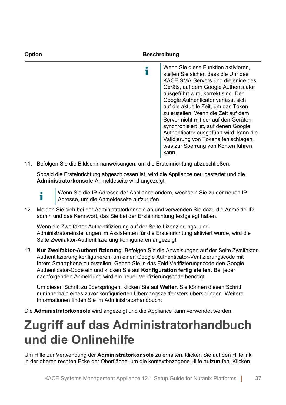| Option | <b>Beschreibung</b>                                                                                                                                                                                                                                                                                                                                                                                                                                                                                                          |  |
|--------|------------------------------------------------------------------------------------------------------------------------------------------------------------------------------------------------------------------------------------------------------------------------------------------------------------------------------------------------------------------------------------------------------------------------------------------------------------------------------------------------------------------------------|--|
|        | Wenn Sie diese Funktion aktivieren,<br>stellen Sie sicher, dass die Uhr des<br>KACE SMA-Servers und diejenige des<br>Geräts, auf dem Google Authenticator<br>ausgeführt wird, korrekt sind. Der<br>Google Authenticator verlässt sich<br>auf die aktuelle Zeit, um das Token<br>zu erstellen. Wenn die Zeit auf dem<br>Server nicht mit der auf den Geräten<br>synchronisiert ist, auf denen Google<br>Authenticator ausgeführt wird, kann die<br>Validierung von Tokens fehlschlagen,<br>was zur Sperrung von Konten führen |  |

11. Befolgen Sie die Bildschirmanweisungen, um die Ersteinrichtung abzuschließen.

Sobald die Ersteinrichtung abgeschlossen ist, wird die Appliance neu gestartet und die **Administratorkonsole**-Anmeldeseite wird angezeigt.

i

Wenn Sie die IP-Adresse der Appliance ändern, wechseln Sie zu der neuen IP-Adresse, um die Anmeldeseite aufzurufen.

kann.

12. Melden Sie sich bei der Administratorkonsole an und verwenden Sie dazu die Anmelde-ID admin und das Kennwort, das Sie bei der Ersteinrichtung festgelegt haben.

Wenn die Zweifaktor-Authentifizierung auf der Seite Lizenzierungs- und Administratoreinstellungen im Assistenten für die Ersteinrichtung aktiviert wurde, wird die Seite Zweifaktor-Authentifizierung konfigurieren angezeigt.

13. **Nur Zweifaktor-Authentifizierung**. Befolgen Sie die Anweisungen auf der Seite Zweifaktor-Authentifizierung konfigurieren, um einen Google Authenticator-Verifizierungscode mit Ihrem Smartphone zu erstellen. Geben Sie in das Feld Verifizierungscode den Google Authenticator-Code ein und klicken Sie auf **Konfiguration fertig stellen**. Bei jeder nachfolgenden Anmeldung wird ein neuer Verifizierungscode benötigt.

Um diesen Schritt zu überspringen, klicken Sie auf **Weiter**. Sie können diesen Schritt nur innerhalb eines zuvor konfigurierten Übergangszeitfensters überspringen. Weitere Informationen finden Sie im Administratorhandbuch:

Die **Administratorkonsole** wird angezeigt und die Appliance kann verwendet werden.

# **Zugriff auf das Administratorhandbuch und die Onlinehilfe**

Um Hilfe zur Verwendung der **Administratorkonsole** zu erhalten, klicken Sie auf den Hilfelink in der oberen rechten Ecke der Oberfläche, um die kontextbezogene Hilfe aufzurufen. Klicken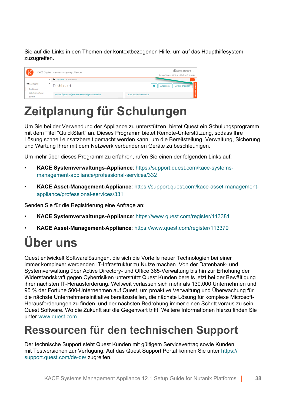Sie auf die Links in den Themen der kontextbezogenen Hilfe, um auf das Haupthilfesystem zuzugreifen.

| $\sqrt{2}$<br>KACE Systemverwaltungs-Appliance |  |                                                  | admin (Standard) v<br>Sitzungs-Timeout: 00:59:51 + 28.07.2017 16:56:54 |
|------------------------------------------------|--|--------------------------------------------------|------------------------------------------------------------------------|
|                                                |  | The Startseite > Dashboard                       | $\alpha$                                                               |
| h Startseite<br>Dashboard                      |  | Dashboard                                        | $\mathbf{C}$<br>Details anzeigen<br>Anpassen                           |
| Label-Verwaltung<br>Suchen                     |  | Am häufigsten aufgerufene Knowledge Base-Artikel | Letzte Nachrichtenartikel                                              |

# **Zeitplanung für Schulungen**

Um Sie bei der Verwendung der Appliance zu unterstützen, bietet Quest ein Schulungsprogramm mit dem Titel "QuickStart" an. Dieses Programm bietet Remote-Unterstützung, sodass Ihre Lösung schnell einsatzbereit gemacht werden kann, um die Bereitstellung, Verwaltung, Sicherung und Wartung Ihrer mit dem Netzwerk verbundenen Geräte zu beschleunigen.

Um mehr über dieses Programm zu erfahren, rufen Sie einen der folgenden Links auf:

- **KACE Systemverwaltungs-Appliance**: [https://support.quest.com/kace-systems](https://support.quest.com/kace-systems-management-appliance/professional-services/332)[management-appliance/professional-services/332](https://support.quest.com/kace-systems-management-appliance/professional-services/332)
- **KACE Asset-Management-Appliance**: [https://support.quest.com/kace-asset-management](https://support.quest.com/kace-asset-management-appliance/professional-services/331)[appliance/professional-services/331](https://support.quest.com/kace-asset-management-appliance/professional-services/331)

Senden Sie für die Registrierung eine Anfrage an:

- **KACE Systemverwaltungs-Appliance**:<https://www.quest.com/register/113381>
- **KACE Asset-Management-Appliance**:<https://www.quest.com/register/113379>

# **Über uns**

Quest entwickelt Softwarelösungen, die sich die Vorteile neuer Technologien bei einer immer komplexer werdenden IT-Infrastruktur zu Nutze machen. Von der Datenbank- und Systemverwaltung über Active Directory- und Office 365-Verwaltung bis hin zur Erhöhung der Widerstandskraft gegen Cyberrisiken unterstützt Quest Kunden bereits jetzt bei der Bewältigung ihrer nächsten IT-Herausforderung. Weltweit verlassen sich mehr als 130.000 Unternehmen und 95 % der Fortune 500-Unternehmen auf Quest, um proaktive Verwaltung und Überwachung für die nächste Unternehmensinitiative bereitzustellen, die nächste Lösung für komplexe Microsoft-Herausforderungen zu finden, und der nächsten Bedrohung immer einen Schritt voraus zu sein. Quest Software. Wo die Zukunft auf die Gegenwart trifft. Weitere Informationen hierzu finden Sie unter www.quest.com

### **Ressourcen für den technischen Support**

Der technische Support steht Quest Kunden mit gültigem Servicevertrag sowie Kunden mit Testversionen zur Verfügung. Auf das Quest Support Portal können Sie unter [https://](https://support.quest.com/) [support.quest.com/de-de/](https://support.quest.com/) zugreifen.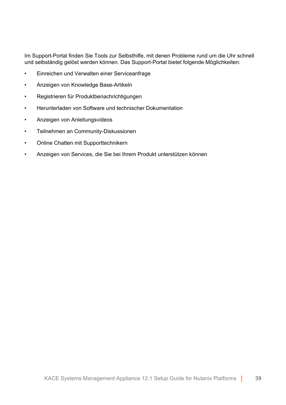Im Support-Portal finden Sie Tools zur Selbsthilfe, mit denen Probleme rund um die Uhr schnell und selbständig gelöst werden können. Das Support-Portal bietet folgende Möglichkeiten:

- Einreichen und Verwalten einer Serviceanfrage
- Anzeigen von Knowledge Base-Artikeln
- Registrieren für Produktbenachrichtigungen
- Herunterladen von Software und technischer Dokumentation
- Anzeigen von Anleitungsvideos
- Teilnehmen an Community-Diskussionen
- Online Chatten mit Supporttechnikern
- Anzeigen von Services, die Sie bei Ihrem Produkt unterstützen können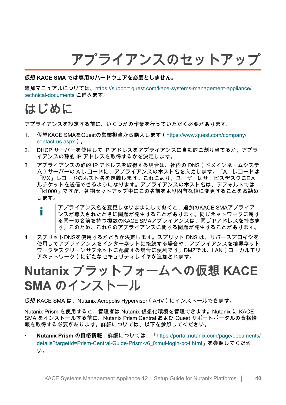# **アプライアンスのセットアップ**

#### **仮想 KACE SMA では専用のハードウェアを必要としません。**

追加マニュアルについては、[https://support.quest.com/kace-systems-management-appliance/](https://support.quest.com/kace-systems-management-appliance/technical-documents) [technical-documents](https://support.quest.com/kace-systems-management-appliance/technical-documents) に進みます。

### **はじめに**

アプライアンスを設定する前に、いくつかの作業を行っていただく必要があります。

- 1. 仮想KACE SMAをQuestの営業担当から購入します([https://www.quest.com/company/](https://www.quest.com/company/contact-us.aspx) [contact-us.aspx](https://www.quest.com/company/contact-us.aspx))。
- 2. DHCP サーバーを使用して IP アドレスをアプライアンスに自動的に割り当てるか、アプラ イアンスの静的 IP アドレスを取得するかを決定します。
- 3. アプライアンスの静的 IP アドレスを取得する場合は、社内の DNS(ドメインネームシステ ム)サーバーの A レコードに、アプライアンスのホスト名を入力します。「A」レコードは 「MX」レコードのホスト名を定義します。これにより、ユーザーはサービスデスクにEメー ルチケットを送信できるようになります。アプライアンスのホスト名は、デフォルトでは 「k1000」ですが、初期セットアップ中にこの名前をより固有な値に変更することをお勧め します。

#### アプライアンス名を変更しないままにしておくと、追加のKACE SMAアプライア Ť ンスが導入されたときに問題が発生することがあります。同じネットワークに属す る同一の名前を持つ複数のKACE SMAアプライアンスは、同じIPアドレスを持ちま す。このため、これらのアプライアンスに関する問題が発生することがあります。

4. スプリットDNSを使用するかどうか決定します。スプリット DNS は、リバースプロキシを 使用してアプライアンスをインターネットに接続する場合や、アプライアンスを境界ネット ワークやスクリーンサブネットに配置する場合に便利です。DMZでは、LAN(ローカルエリ アネットワーク)に新たなセキュリティレイヤが追加されます。

# **Nutanix プラットフォームへの仮想 KACE SMA のインストール**

仮想 KACE SMA は、Nutanix Acropolis Hypervisor(AHV)にインストールできます。

Nutanix Prism を使用すると、管理者は Nutanix 仮想化環境を管理できます。Nutanix に KACE SMA をインストールする前に、Nutanix Prism Central および Quest サポートポータルの資格情 報を取得する必要があります。詳細については、以下を参照してください。

• **Nutanix Prism の資格情報**:詳細については、「[https://portal.nutanix.com/page/documents/](https://portal.nutanix.com/page/documents/details?targetId=Prism-Central-Guide-Prism-v6_0:mul-login-pc-t.html) [details?targetId=Prism-Central-Guide-Prism-v6\\_0:mul-login-pc-t.html」](https://portal.nutanix.com/page/documents/details?targetId=Prism-Central-Guide-Prism-v6_0:mul-login-pc-t.html)を参照してくださ い。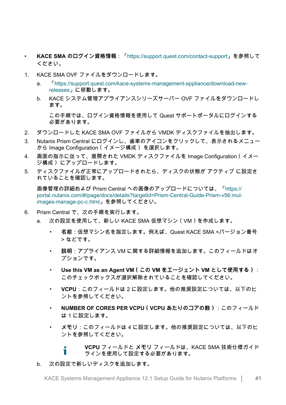- **KACE SMA のログイン資格情報**:「[https://support.quest.com/contact-support」](https://support.quest.com/contact-support)を参照して ください。
- 1. KACE SMA OVF ファイルをダウンロードします。
	- a. 「[https://support.quest.com/kace-systems-management-appliance/download-new](https://support.quest.com/kace-systems-management-appliance/download-new-releases)[releases](https://support.quest.com/kace-systems-management-appliance/download-new-releases)」に移動します。
	- b. KACE システム管理アプライアンスシリーズサーバー OVF ファイルをダウンロードし ます。

この手順では、ログイン資格情報を使用して Quest サポートポータルにログインする 必要があります。

- 2. ダウンロードした KACE SMA OVF ファイルから VMDK ディスクファイルを抽出します。
- 3. Nutanix Prism Central にログインし、歯車のアイコンをクリックして、表示されるメニュー から Image Configuration(イメージ構成) を選択します。
- 4. 画面の指示に従って、展開された VMDK ディスクファイルを Image Configuration(イメー ジ構成) にアップロードします。
- 5. ディスクファイルが正常にアップロードされたら、ディスクの状態が アクティブ に設定さ れていることを確認します。

画像管理の詳細および Prism Central への画像のアップロードについては、「[https://](https://portal.nutanix.com/#/page/docs/details?targetId=Prism-Central-Guide-Prism-v56:mul-images-manage-pc-c.html) [portal.nutanix.com/#/page/docs/details?targetId=Prism-Central-Guide-Prism-v56:mul](https://portal.nutanix.com/#/page/docs/details?targetId=Prism-Central-Guide-Prism-v56:mul-images-manage-pc-c.html)[images-manage-pc-c.html](https://portal.nutanix.com/#/page/docs/details?targetId=Prism-Central-Guide-Prism-v56:mul-images-manage-pc-c.html)」を参照してください。

- 6. Prism Central で、次の手順を実行します。
	- a. 次の設定を使用して、新しい KACE SMA 仮想マシン(VM)を作成します。
		- 名前:仮想マシン名を指定します。例えば、Quest KACE SMA <バージョン番号 > などです。
		- 説明:アプライアンス VM に関する詳細情報を追加します。このフィールドはオ プションです。
		- **Use this VM as an Agent VM ( この VM をエージェント VM として使用する):** このチェックボックスが選択解除されていることを確認してください。
		- **VCPU**:このフィールドは 2 に設定します。他の推奨設定については、以下のヒ ントを参照してください。
		- **NUMBER OF CORES PER VCPU (VCPU あたりのコアの数):このフィールド** は 1 に設定します。
		- **メモリ**:このフィールドは 4 に設定します。他の推奨設定については、以下のヒ ントを参照してください。

**VCPU** フィールドと **メモリ** フィールドは、KACE SMA 技術仕様ガイド Ť ラインを使用して設定する必要があります。

b. 次の設定で新しいディスクを追加します。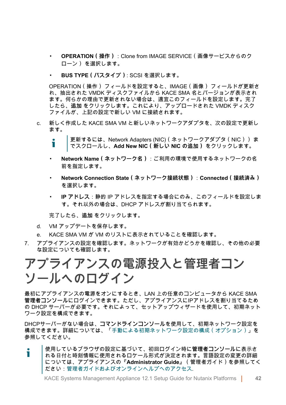- **OPERATION (操作) : Clone from IMAGE SERVICE (画像サービスからのク** ローン) を選択します。
- **BUS TYPE (バスタイプ): SCSI を選択します。**

OPERATION(操作) フィールドを設定すると、IMAGE(画像) フィールドが更新さ れ、抽出された VMDK ディスクファイルから KACE SMA 名とバージョンが表示され ます。何らかの理由で更新されない場合は、適宜このフィールドを設定します。完了 したら、**追加** をクリックします。これにより、アップロードされた VMDK ディスク ファイルが、上記の設定で新しい VM に接続されます。

- c. 新しく作成した KACE SMA VM と新しいネットワークアダプタを、次の設定で更新し ます。
	- 更新するには、Network Adapters (NIC)(ネットワークアダプタ(NIC)) ま でスクロールし、**Add New NIC(新しい NIC の追加)** をクリックします。
	- **Network Name ( ネットワーク名 ) · ご利用の環境で使用するネットワークの名** 前を指定します。
	- **Network Connection State ( ネットワーク接続状態) : Connected ( 接続済み)** を選択します。
	- **IP アドレス**:静的 IP アドレスを指定する場合にのみ、このフィールドを設定しま す。それ以外の場合は、DHCP アドレスが割り当てられます。

完了したら、**追加** をクリックします。

- d. VM アップデートを保存します。
- e. KACE SMA VM が VM のリストに表示されていることを確認します。
- 7. アプライアンスの設定を確認します。ネットワークが有効かどうかを確認し、その他の必要 な設定についても確認します。

## **アプライアンスの電源投入と管理者コン ソールへのログイン**

最初にアプライアンスの電源をオンにするとき、LAN 上の任意のコンピュータから KACE SMA **管理者コンソール**にログインできます。ただし、アプライアンスにIPアドレスを割り当てるため の DHCP サーバーが必要です。それによって、セットアップウィザードを使用して、初期ネット ワーク設定を構成できます。

DHCPサーバーがない場合は、**コマンドラインコンソール**を使用して、初期ネットワーク設定を 構成できます。詳細については、「[手動による初期ネットワーク設定の構成\(オプション\)](#page-44-0)」を 参照してください。

使用しているブラウザの設定に基づいて、初回ログイン時に**管理者コンソール**に表示さ i れる日付と時刻情報に使用されるロケール形式が決定されます。言語設定の変更の詳細 については、アプライアンスの『**Administrator Guide**』(管理者ガイド)を参照してく ださい:[管理者ガイドおよびオンラインヘルプへのアクセス](#page-48-0).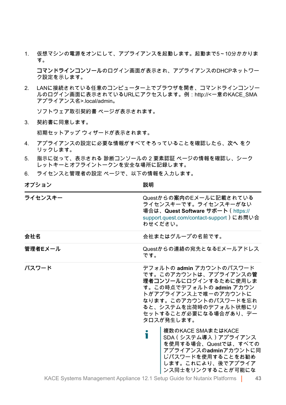1. 仮想マシンの電源をオンにして、アプライアンスを起動します。起動まで5~10分かかりま す。

**コマンドラインコンソール**のログイン画面が表示され、アプライアンスのDHCPネットワー ク設定を示します。

2. LANに接続されている任意のコンピューター上でブラウザを開き、コマンドラインコンソー ルのログイン画面に表示されているURLにアクセスします。例:http://<一意のKACE\_SMA アプライアンス名>.local/admin。

ソフトウェア取引契約書 ページが表示されます。

3. 契約書に同意します。

初期セットアップ ウィザードが表示されます。

- 4. アプライアンスの設定に必要な情報がすべてそろっていることを確認したら、**次へ** をク リックします。
- 5. 指示に従って、表示される 診断コンソールの 2 要素認証 ページの情報を確認し、シーク レットキーとオフライントークンを安全な場所に記録します。
- 6. ライセンスと管理者の設定 ページで、以下の情報を入力します。

| オブション   | 說明                                                                                                                                                                                                                                                                                                                                                                                        |
|---------|-------------------------------------------------------------------------------------------------------------------------------------------------------------------------------------------------------------------------------------------------------------------------------------------------------------------------------------------------------------------------------------------|
| ライセンスキー | Questからの案内のEメールに記載されている<br>ライセンスキーです。ライセンスキーがない<br>場合は、Quest Software サポート(https://<br>support.quest.com/contact-support)にお問い合<br>わせください。                                                                                                                                                                                                                                                 |
| 会社名     | 会社またはグループの名前です。                                                                                                                                                                                                                                                                                                                                                                           |
| 管理者Eメール | Questからの連絡の宛先となるEメールアドレス<br>です。                                                                                                                                                                                                                                                                                                                                                           |
| パスワード   | デフォルトの admin アカウントのパスワード<br>です。このアカウントは、アプライアンスの管<br>理者コンソールにログインするために使用しま<br>す。この時点でデフォルトの admin アカウン<br>トがアプライアンス上で唯一のアカウントに<br>なります。このアカウントのパスワードを忘れ<br>ると、システムを出荷時のデフォルト状態にリ<br>セットすることが必要になる場合があり、デー<br>タロスが発生します。<br>複数のKACE SMAまたはKACE<br>Т<br>SDA (システム導入) アプライアンス<br>を使用する場合、Questでは、すべての<br>アプライアンスのadminアカウントに同<br>じパスワードを使用することをお勧め<br>します。これにより、後でアプライア<br>ンス同士をリンクすることが可能にな |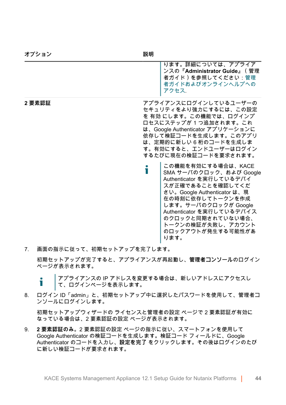| オプション | 説明                                                                                                                                                                                                                                                                                                                                                                                                                                                                                                                             |
|-------|--------------------------------------------------------------------------------------------------------------------------------------------------------------------------------------------------------------------------------------------------------------------------------------------------------------------------------------------------------------------------------------------------------------------------------------------------------------------------------------------------------------------------------|
|       | ります。詳細については、アプライア<br>ンスの『Administrator Guide』 (管理<br>者ガイド)を参照してください:管理<br>者ガイドおよびオンラインヘルプへの<br>アクセス.                                                                                                                                                                                                                                                                                                                                                                                                                           |
| 2要素認証 | アプライアンスにログインしているユーザーの<br>セキュリティをより強力にするには、この設定<br>を 有効 にします。この機能では、ログインプ<br>ロセスにステップが 1 つ追加されます。これ<br>は、Google Authenticator アプリケーションに<br>依存して検証コードを生成します。このアプリ<br>は、定期的に新しい6桁のコードを生成しま<br>す。有効にすると、エンドユーザーはログイン<br>するたびに現在の検証コードを要求されます。<br>この機能を有効にする場合は、KACE<br>Т<br>SMA サーバのクロック、および Google<br>Authenticator を実行しているデバイ<br>スが正確であることを確認してくだ<br>さい。Google Authenticator は、現<br>在の時刻に依存してトークンを作成<br>します。サーバのクロックが Google<br>Authenticator を実行しているデバイス<br>のクロックと同期されていない場合、<br>トークンの検証が失敗し、アカウント<br>のロックアウトが発生する可能性があ<br>ります。 |

7. 画面の指示に従って、初期セットアップを完了します。

初期セットアップが完了すると、アプライアンスが再起動し、**管理者コンソール**のログイン ページが表示されます。

アプライアンスの IP アドレスを変更する場合は、新しいアドレスにアクセスし Ť て、ログインページを表示します。

8. ログイン ID「admin」と、初期セットアップ中に選択したパスワードを使用して、管理者コ ンソールにログインします。

初期セットアップウィザードの ライセンスと管理者の設定 ページで 2 要素認証が有効に なっている場合は、2 要素認証の設定 ページが表示されます。

9. **2 要素認証のみ**。2 要素認証の設定 ページの指示に従い、スマートフォンを使用して Google Authenticator の検証コードを生成します。検証コード フィールドに、Google Authenticator のコードを入力し、**設定を完了** をクリックします。その後はログインのたび に新しい検証コードが要求されます。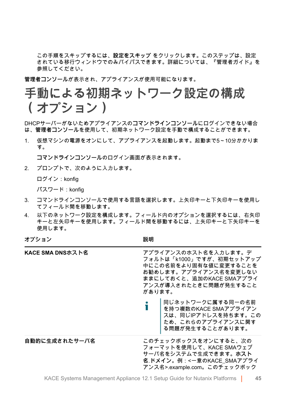この手順をスキップするには、**設定をスキップ** をクリックします。このステップは、設定 されている移行ウィンドウでのみバイパスできます。詳細については、『管理者ガイド』を 参照してください。

**管理者コンソール**が表示され、アプライアンスが使用可能になります。

## <span id="page-44-0"></span>**手動による初期ネットワーク設定の構成 (オプション)**

DHCPサーバーがないためアプライアンスの**コマンドラインコンソール**にログインできない場合 は、**管理者コンソール**を使用して、初期ネットワーク設定を手動で構成することができます。

1. 仮想マシンの電源をオンにして、アプライアンスを起動します。起動まで5~10分かかりま す。

**コマンドラインコンソール**のログイン画面が表示されます。

2. プロンプトで、次のように入力します。

ログイン:konfig

パスワード:konfig

- 3. コマンドラインコンソールで使用する言語を選択します。上矢印キーと下矢印キーを使用し てフィールド間を移動します。
- 4. 以下のネットワーク設定を構成します。フィールド内のオプションを選択するには、右矢印 キーと左矢印キーを使用します。フィールド間を移動するには、上矢印キーと下矢印キーを 使用します。

**オプション 説明**

| KACE SMA DNSホスト名 | アプライアンスのホスト名を入力します。デ<br>フォルトは「k1000」ですが、初期セットアップ<br>中にこの名前をより固有な値に変更することを<br>お勧めします。アプライアンス名を変更しない<br>ままにしておくと、追加のKACE SMAアプライ<br>アンスが導入されたときに問題が発生すること<br>があります。 |  |
|------------------|-------------------------------------------------------------------------------------------------------------------------------------------------------------------|--|
|                  | ●    同じネットワークに属する同一の名前<br>▌    を持つ複数のKACE SMAアプライアン<br>┃スは、同じIPアドレスを持ちます。この<br>┃ため、これらのアプライアンスに関す<br>る問題が発生することがあります。                                             |  |
| 自動的に生成されたサーバ名    | このチェックボックスをオンにすると、次の<br>フォーマットを使用して、KACE SMAウェブ<br>サーバ名をシステムで生成できます。ホスト<br>名 ドメイン。例:<一意のKACE_SMAアプライ<br>アンス名>.example.com。このチェックボック                               |  |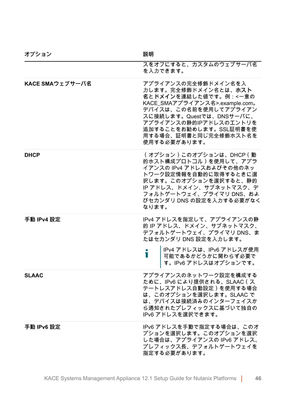| オプション           | 説明                                                                                                                                                                                                                                                       |
|-----------------|----------------------------------------------------------------------------------------------------------------------------------------------------------------------------------------------------------------------------------------------------------|
|                 | スをオフにすると、カスタムのウェブサーバ名<br>を入力できます。                                                                                                                                                                                                                        |
| KACE SMAウェブサーバ名 | アプライアンスの完全修飾ドメイン名を入<br>力します。完全修飾ドメイン名とは、ホスト<br>名とドメインを連結した値です。例:<一意の<br>KACE_SMAアプライアンス名>.example.com。<br>デバイスは、この名前を使用してアプライアン<br>スに接続します。Questでは、DNSサーバに、<br>アプライアンスの静的IPアドレスのエントリを<br>追加することをお勧めします。SSL証明書を使<br>用する場合、証明書と同じ完全修飾ホスト名を<br>使用する必要があります。 |
| <b>DHCP</b>     | (オプション)このオプションは、DHCP(動<br>的ホスト構成プロトコル)を使用して、アプラ<br>イアンスの IPv4 アドレスおよびその他のネッ<br>トワーク設定情報を自動的に取得するときに選<br>択します。このオプションを選択すると、静的<br>IP アドレス、ドメイン、サブネットマスク、デ<br>フォルトゲートウェイ、プライマリ DNS、およ<br>びセカンダリ DNS の設定を入力する必要がなく<br>なります。                                 |
| 手動 IPv4 設定      | IPv4 アドレスを指定して、アプライアンスの静<br>的 IP アドレス、ドメイン、サブネットマスク、<br>デフォルトゲートウェイ、プライマリ DNS、ま<br>たはセカンダリ DNS 設定を入力します。<br>IPv4 アドレスは、IPv6 アドレスが使用<br>Т<br>可能であるかどうかに関わらず必要で<br>す。IPv6 アドレスはオプションです。                                                                    |
| <b>SLAAC</b>    | アプライアンスのネットワーク設定を構成する<br>ために、IPv6 により提供される、SLAAC ( ス<br>テートレスアドレス自動設定)を使用する場合<br>は、このオプションを選択します。SLAAC で<br>は、デバイスは接続済みのインターフェイスか<br>ら通知されたプレフィックスに基づいて独自の<br>IPv6 アドレスを選択できます。                                                                          |
| 手動 IPv6 設定      | IPv6 アドレスを手動で指定する場合は、このオ<br>プションを選択します。このオプションを選択<br>した場合は、アプライアンスの IPv6 アドレス、<br>プレフィックス長、デフォルトゲートウェイを<br>指定する必要があります。                                                                                                                                  |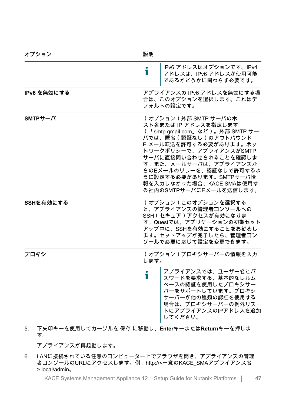| オプション                                        | 説明                                                                                                                                                                                                                                                                                                                        |
|----------------------------------------------|---------------------------------------------------------------------------------------------------------------------------------------------------------------------------------------------------------------------------------------------------------------------------------------------------------------------------|
|                                              | IPv6 アドレスはオプションです。IPv4<br>т<br>アドレスは、IPv6 アドレスが使用可能<br>であるかどうかに関わらず必要です。                                                                                                                                                                                                                                                  |
| IPv6 を無効にする                                  | アプライアンスの IPv6 アドレスを無効にする場<br>合は、このオプションを選択します。これはデ<br>フォルトの設定です。                                                                                                                                                                                                                                                          |
| $SMTPH-X$                                    | (オプション)外部 SMTP サーバのホ<br>スト名または IP アドレスを指定します<br>( 「smtp.gmail.com」など)。外部 SMTP サー<br>バでは、匿名(認証なし)のアウトバウンド<br>E メール転送を許可する必要があります。ネッ<br>トワークポリシーで、アプライアンスがSMTP<br>サーバに直接問い合わせられることを確認しま<br>す。また、メールサーバは、アプライアンスか<br>らのEメールのリレーを、認証なしで許可するよ<br>うに設定する必要があります。SMTPサーバ情<br>報を入力しなかった場合、KACE SMAは使用す<br>る社内のSMTPサーバにEメールを送信します。 |
| SSHを有効にする                                    | (オプション)このオプションを選択する<br>と、アプライアンスの管理者コンソールへの<br>SSH (セキュア)アクセスが有効になりま<br>す。Questでは、アプリケーションの初期セット<br>アップ中に、SSHを有効にすることをお勧めし<br>ます。セットアップが完了したら、管理者コン<br>ソールで必要に応じて設定を変更できます。                                                                                                                                               |
| プロキシ                                         | (オプション)プロキシサーバーの情報を入力<br>します。<br>アプライアンスでは、ユーザー名とパ<br>i<br>スワードを要求する、基本的なレルム<br>ベースの認証を使用したプロキシサー<br>バーをサポートしています。プロキシ<br>サーバーが他の種類の認証を使用する<br>場合は、プロキシサーバーの例外リス<br>トにアプライアンスのIPアドレスを追加<br>してください。                                                                                                                        |
| 下左印土ニを庙田   アカニソ川を  足方 に  乱」 <br>$\mathbf{F}$ | $Entor \pm = \pm t$ : け Doturn $\pm = 5$ 畑 し 圭                                                                                                                                                                                                                                                                            |

5. 下矢印キーを使用してカーソルを 保存 に移動し、**Enter**キーまたは**Return**キーを押しま す。

アプライアンスが再起動します。

6. LANに接続されている任意のコンピューター上でブラウザを開き、アプライアンスの管理 者コンソールのURLにアクセスします。例:http://<一意のKACE\_SMAアプライアンス名 >.local/admin。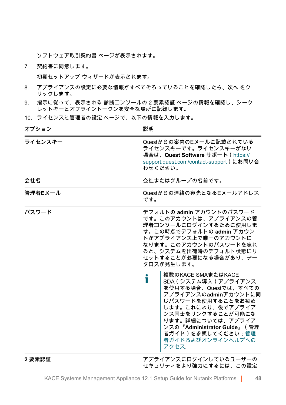ソフトウェア取引契約書 ページが表示されます。

7. 契約書に同意します。

初期セットアップ ウィザードが表示されます。

- 8. アプライアンスの設定に必要な情報がすべてそろっていることを確認したら、**次へ** をク リックします。
- 9. 指示に従って、表示される 診断コンソールの 2 要素認証 ページの情報を確認し、シーク レットキーとオフライントークンを安全な場所に記録します。
- 10. ライセンスと管理者の設定 ページで、以下の情報を入力します。

**オプション おおおお おおおお おおおお 説明** 

| ライセンスキー | Questからの案内のEメールに記載されている<br>ライセンスキーです。ライセンスキーがない<br>場合は、Quest Software サポート ( https://<br>support.quest.com/contact-support)にお問い合<br>わせください。                                                                                                                                                                                                                                                                                                                                                       |
|---------|---------------------------------------------------------------------------------------------------------------------------------------------------------------------------------------------------------------------------------------------------------------------------------------------------------------------------------------------------------------------------------------------------------------------------------------------------------------------------------------------------|
| 会社名     | 会社またはグループの名前です。                                                                                                                                                                                                                                                                                                                                                                                                                                                                                   |
| 管理者Eメール | Questからの連絡の宛先となるEメールアドレス<br>です。                                                                                                                                                                                                                                                                                                                                                                                                                                                                   |
| パスワード   | デフォルトの admin アカウントのパスワード<br>です。このアカウントは、アプライアンスの管<br>理者コンソールにログインするために使用しま<br>す。この時点でデフォルトの admin アカウン<br>トがアプライアンス上で唯一のアカウントに<br>なります。このアカウントのパスワードを忘れ<br>ると、システムを出荷時のデフォルト状態にリ<br>セットすることが必要になる場合があり、デー<br>タロスが発生します。<br>複数のKACE SMAまたはKACE<br>i<br>SDA (システム導入) アプライアンス<br>を使用する場合、Questでは、すべての<br>アプライアンスのadminアカウントに同<br>じパスワードを使用することをお勧め<br>します。これにより、後でアプライア<br>ンス同士をリンクすることが可能にな<br>ります。詳細については、アプライア<br>ンスの『Administrator Guide』 (管理<br>者ガイド)を参照してください:管理<br>者ガイドおよびオンラインヘルプへの<br>アクセス. |
| 2要素認証   | アプライアンスにログインしているユーザーの<br>セキュリティをより強力にするには、この設定                                                                                                                                                                                                                                                                                                                                                                                                                                                    |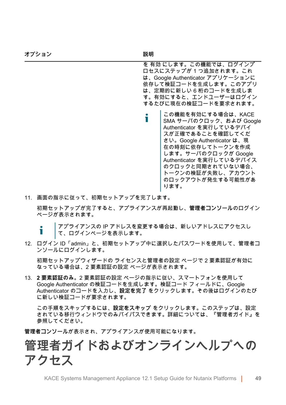を 有効 にします。この機能では、ログインプ ロセスにステップが 1 つ追加されます。これ は、Google Authenticator アプリケーションに 依存して検証コードを生成します。このアプリ は、定期的に新しい 6 桁のコードを生成しま す。有効にすると、エンドユーザーはログイン するたびに現在の検証コードを要求されます。

- この機能を有効にする場合は、KACE Ť SMA サーバのクロック、および Google Authenticator を実行しているデバイ スが正確であることを確認してくだ さい。Google Authenticator は、現 在の時刻に依存してトークンを作成 します。サーバのクロックが Google Authenticator を実行しているデバイス のクロックと同期されていない場合、 トークンの検証が失敗し、アカウント のロックアウトが発生する可能性があ ります。
- 11. 画面の指示に従って、初期セットアップを完了します。

初期セットアップが完了すると、アプライアンスが再起動し、**管理者コンソール**のログイン ページが表示されます。

アプライアンスの IP アドレスを変更する場合は、新しいアドレスにアクセスし Т て、ログインページを表示します。

12. ログイン ID「admin」と、初期セットアップ中に選択したパスワードを使用して、管理者コ ンソールにログインします。

初期セットアップウィザードの ライセンスと管理者の設定 ページで 2 要素認証が有効に なっている場合は、2 要素認証の設定 ページが表示されます。

13. **2 要素認証のみ**。2 要素認証の設定 ページの指示に従い、スマートフォンを使用して Google Authenticator の検証コードを生成します。検証コード フィールドに、Google Authenticator のコードを入力し、**設定を完了** をクリックします。その後はログインのたび に新しい検証コードが要求されます。

この手順をスキップするには、**設定をスキップ** をクリックします。このステップは、設定 されている移行ウィンドウでのみバイパスできます。詳細については、『管理者ガイド』を 参照してください。

**管理者コンソール**が表示され、アプライアンスが使用可能になります。

## <span id="page-48-0"></span>**管理者ガイドおよびオンラインヘルプへの アクセス**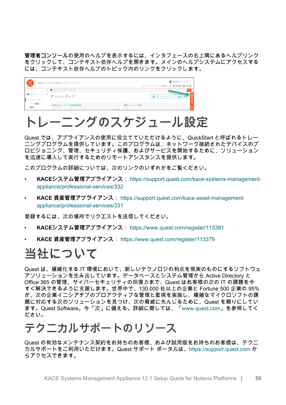**管理者コンソール**の使用のヘルプを表示するには、インタフェースの右上隅にあるヘルプリンク をクリックして、コンテキスト依存ヘルプを開きます。メインのヘルプシステムにアクセスする には、コンテキスト依存ヘルプのトピック内のリンクをクリックします。

|                 | KACE システム管理アプライアンス           | <b>■</b> admin (デフォルト) v<br>セッションタイムアワト: 00:59:51 · 2017年07月28日17時05分54秒 |
|-----------------|------------------------------|--------------------------------------------------------------------------|
| 作ホーム<br>ダッシュボード | ← 青 ホーム > ダッシュボード<br>ダッシュボード | $\alpha$<br>カスタマイズ<br>e                                                  |
| ラベル管理<br>検索     | 検索上位のサポート技術情報記事              | 最新のニュース記事                                                                |

# **トレーニングのスケジュール設定**

Quest では、アプライアンスの使用に役立てていただけるように、QuickStart と呼ばれるトレー ニングプログラムを提供しています。このプログラムは、ネットワーク接続されたデバイスのプ ロビジョニング、管理、セキュリティ保護、およびサービスを開始するために、ソリューション を迅速に導入して実行するためのリモートアシスタンスを提供します。

このプログラムの詳細については、次のリンクのいずれかをご覧ください。

- **KACEシステム管理アプライアンス**: [https://support.quest.com/kace-systems-management](https://support.quest.com/kace-systems-management-appliance/professional-services/332)[appliance/professional-services/332](https://support.quest.com/kace-systems-management-appliance/professional-services/332)
- **KACE 資産管理アプライアンス**: [https://support.quest.com/kace-asset-management](https://support.quest.com/kace-asset-management-appliance/professional-services/331)[appliance/professional-services/331](https://support.quest.com/kace-asset-management-appliance/professional-services/331)

登録するには、次の場所でリクエストを送信してください。

- **KACEシステム管理アプライアンス**: <https://www.quest.com/register/113381>
- **KACE 資産管理アプライアンス**:<https://www.quest.com/register/113379>

### **当社について**

Quest は、複雑化する IT 環境において、新しいテクノロジの利点を現実のものにするソフトウェ アソリューションを生み出しています。データベースとシステム管理から Active Directory と Office 365 の管理、サイバーセキュリティの回復力まで、Quest はお客様の次の IT の課題を今 すぐ解決できるように支援します。世界中で、130,000 社以上の企業と Fortune 500 企業の 95% が、次の企業イニシアチブのプロアクティブな管理と監視を実施し、複雑なマイクロソフトの課 題に対応する次のソリューションを見つけ、次の脅威に先んじるために、Quest を頼りにしてい ます。Quest Software。今「次」に備える。詳細に関しては、[「www.quest.com」](https://www.quest.com/company/contact-us.aspx)を参照してく ださい。

### **テクニカルサポートのリソース**

Quest の有効なメンテナンス契約をお持ちのお客様、および試用版をお持ちのお客様は、テクニ カルサポートをご利用いただけます。Quest サポート ポータルは、[https://support.quest.com](https://support.quest.com/) か らアクセスできます。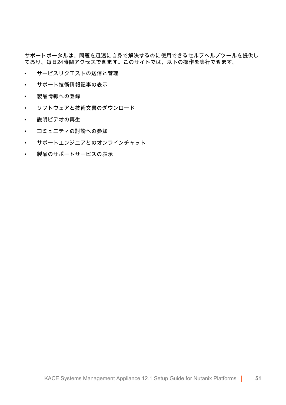サポートポータルは、問題を迅速に自身で解決するのに使用できるセルフヘルプツールを提供し ており、毎日24時間アクセスできます。このサイトでは、以下の操作を実行できます。

- サービスリクエストの送信と管理
- サポート技術情報記事の表示
- 製品情報への登録
- ソフトウェアと技術文書のダウンロード
- 説明ビデオの再生
- コミュニティの討論への参加
- サポートエンジニアとのオンラインチャット
- 製品のサポートサービスの表示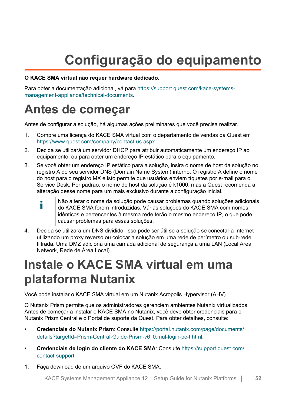# **Configuração do equipamento**

#### **O KACE SMA virtual não requer hardware dedicado.**

Para obter a documentação adicional, vá para [https://support.quest.com/kace-systems](https://support.quest.com/kace-systems-management-appliance/technical-documents)[management-appliance/technical-documents](https://support.quest.com/kace-systems-management-appliance/technical-documents).

## **Antes de começar**

Antes de configurar a solução, há algumas ações preliminares que você precisa realizar.

- 1. Compre uma licença do KACE SMA virtual com o departamento de vendas da Quest em <https://www.quest.com/company/contact-us.aspx>.
- 2. Decida se utilizará um servidor DHCP para atribuir automaticamente um endereço IP ao equipamento, ou para obter um endereço IP estático para o equipamento.
- 3. Se você obter um endereço IP estático para a solução, insira o nome de host da solução no registro A do seu servidor DNS (Domain Name System) interno. O registro A define o nome do host para o registro MX e isto permite que usuários enviem tíquetes por e-mail para o Service Desk. Por padrão, o nome do host da solução é k1000, mas a Quest recomenda a alteração desse nome para um mais exclusivo durante a configuração inicial.
	- Não alterar o nome da solução pode causar problemas quando soluções adicionais i do KACE SMA forem introduzidas. Várias soluções do KACE SMA com nomes idênticos e pertencentes à mesma rede terão o mesmo endereço IP, o que pode causar problemas para essas soluções.
- 4. Decida se utilizará um DNS dividido. Isso pode ser útil se a solução se conectar à Internet utilizando um proxy reverso ou colocar a solução em uma rede de perímetro ou sub-rede filtrada. Uma DMZ adiciona uma camada adicional de segurança a uma LAN (Local Area Network, Rede de Área Local).

# **Instale o KACE SMA virtual em uma plataforma Nutanix**

Você pode instalar o KACE SMA virtual em um Nutanix Acropolis Hypervisor (AHV).

O Nutanix Prism permite que os administradores gerenciem ambientes Nutanix virtualizados. Antes de começar a instalar o KACE SMA no Nutanix, você deve obter credenciais para o Nutanix Prism Central e o Portal de suporte da Quest. Para obter detalhes, consulte:

- **Credenciais do Nutanix Prism**: Consulte [https://portal.nutanix.com/page/documents/](https://portal.nutanix.com/page/documents/details?targetId=Prism-Central-Guide-Prism-v6_0:mul-login-pc-t.html) [details?targetId=Prism-Central-Guide-Prism-v6\\_0:mul-login-pc-t.html.](https://portal.nutanix.com/page/documents/details?targetId=Prism-Central-Guide-Prism-v6_0:mul-login-pc-t.html)
- **Credenciais de login do cliente do KACE SMA**: Consulte [https://support.quest.com/](https://support.quest.com/contact-support) [contact-support](https://support.quest.com/contact-support).
- 1. Faça download de um arquivo OVF do KACE SMA.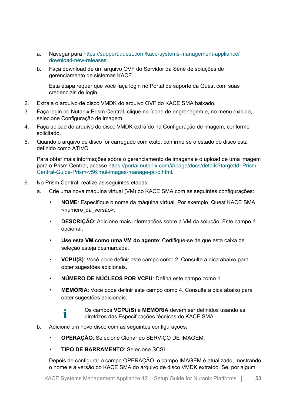- a. Navegar para [https://support.quest.com/kace-systems-management-appliance/](https://support.quest.com/kace-systems-management-appliance/download-new-releases) [download-new-releases](https://support.quest.com/kace-systems-management-appliance/download-new-releases).
- b. Faça download de um arquivo OVF do Servidor da Série de soluções de gerenciamento de sistemas KACE.

Esta etapa requer que você faça login no Portal de suporte da Quest com suas credenciais de login.

- 2. Extraia o arquivo de disco VMDK do arquivo OVF do KACE SMA baixado.
- 3. Faça login no Nutanix Prism Central, clique no ícone de engrenagem e, no menu exibido, selecione Configuração de imagem.
- 4. Faça upload do arquivo de disco VMDK extraído na Configuração de imagem, conforme solicitado.
- 5. Quando o arquivo de disco for carregado com êxito, confirme se o estado do disco está definido como ATIVO.

Para obter mais informações sobre o gerenciamento de imagens e o upload de uma imagem para o Prism Central, acesse [https://portal.nutanix.com/#/page/docs/details?targetId=Prism-](https://portal.nutanix.com/#/page/docs/details?targetId=Prism-Central-Guide-Prism-v56:mul-images-manage-pc-c.html)[Central-Guide-Prism-v56:mul-images-manage-pc-c.html.](https://portal.nutanix.com/#/page/docs/details?targetId=Prism-Central-Guide-Prism-v56:mul-images-manage-pc-c.html)

6. No Prism Central, realize as seguintes etapas:

٠

- a. Crie uma nova máquina virtual (VM) do KACE SMA com as seguintes configurações:
	- **NOME**: Especifique o nome da máquina virtual. Por exemplo, Quest KACE SMA <número\_da\_versão>.
	- **DESCRIÇÃO**: Adicione mais informações sobre a VM da solução. Este campo é opcional.
	- **Use esta VM como uma VM do agente**: Certifique-se de que esta caixa de seleção esteja desmarcada.
	- **VCPU(S)**: Você pode definir este campo como 2. Consulte a dica abaixo para obter sugestões adicionais.
	- **NÚMERO DE NÚCLEOS POR VCPU**: Defina este campo como 1.
	- **MEMÓRIA:** Você pode definir este campo como 4. Consulte a dica abaixo para obter sugestões adicionais.
		- Os campos **VCPU(S)** e **MEMÓRIA** devem ser definidos usando as diretrizes das Especificações técnicas do KACE SMA.
- b. Adicione um novo disco com as seguintes configurações:
	- **OPERAÇÃO**: Selecione Clonar do SERVIÇO DE IMAGEM.
	- **TIPO DE BARRAMENTO**: Selecione SCSI.

Depois de configurar o campo OPERAÇÃO, o campo IMAGEM é atualizado, mostrando o nome e a versão do KACE SMA do arquivo de disco VMDK extraído. Se, por algum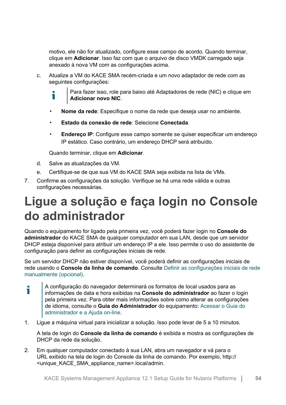motivo, ele não for atualizado, configure esse campo de acordo. Quando terminar, clique em **Adicionar**. Isso faz com que o arquivo de disco VMDK carregado seja anexado à nova VM com as configurações acima.

c. Atualize a VM do KACE SMA recém-criada e um novo adaptador de rede com as seguintes configurações:

Para fazer isso, role para baixo até Adaptadores de rede (NIC) e clique em т **Adicionar novo NIC**.

- **Nome da rede**: Especifique o nome da rede que deseja usar no ambiente.
- **Estado da conexão de rede**: Selecione **Conectada**.
- **Endereco IP:** Configure esse campo somente se quiser especificar um endereco IP estático. Caso contrário, um endereço DHCP será atribuído.

Quando terminar, clique em **Adicionar**.

- d. Salve as atualizações da VM.
- e. Certifique-se de que sua VM do KACE SMA seja exibida na lista de VMs.
- 7. Confirme as configurações da solução. Verifique se há uma rede válida e outras configurações necessárias.

# **Ligue a solução e faça login no Console do administrador**

Quando o equipamento for ligado pela primeira vez, você poderá fazer login no **Console do administrador** do KACE SMA de qualquer computador em sua LAN, desde que um servidor DHCP esteja disponível para atribuir um endereço IP a ele. Isso permite o uso do assistente de configuração para definir as configurações iniciais de rede.

Se um servidor DHCP não estiver disponível, você poderá definir as configurações iniciais de rede usando o **Console da linha de comando**. Consulte [Definir as configurações iniciais de rede](#page-56-0) [manualmente \(opcional\).](#page-56-0)

- A configuração do navegador determinará os formatos de local usados para as i informações de data e hora exibidas na **Console do administrador** ao fazer o login pela primeira vez. Para obter mais informações sobre como alterar as configurações de idioma, consulte o **Guia do Administrador** do equipamento: [Acessar o Guia do](#page-60-0) [administrador e a Ajuda on-line.](#page-60-0)
- 1. Ligue a máquina virtual para inicializar a solução. Isso pode levar de 5 a 10 minutos.

A tela de login do **Console da linha de comando** é exibida e mostra as configurações de DHCP da rede da solução.

2. Em qualquer computador conectado à sua LAN, abra um navegador e vá para o URL exibido na tela de login do Console da linha de comando. Por exemplo, http:// <unique\_KACE\_SMA\_appliance\_name>.local/admin.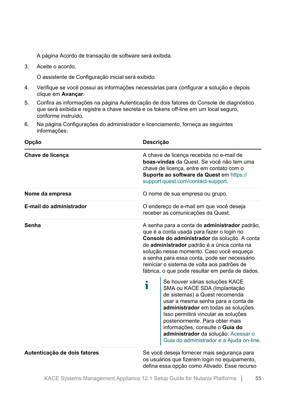A página Acordo de transação de software será exibida.

3. Aceite o acordo.

O assistente de Configuração inicial será exibido.

- 4. Verifique se você possui as informações necessárias para configurar a solução e depois clique em **Avançar**.
- 5. Confira as informações na página Autenticação de dois fatores do Console de diagnóstico que será exibida e registre a chave secreta e os tokens off-line em um local seguro, conforme instruído.
- 6. Na página Configurações do administrador e licenciamento, forneça as seguintes informações:

| Opção                        | Descrição                                                                                                                                                                                                                                                                                                                                                                              |  |
|------------------------------|----------------------------------------------------------------------------------------------------------------------------------------------------------------------------------------------------------------------------------------------------------------------------------------------------------------------------------------------------------------------------------------|--|
| Chave de licença             | A chave de licença recebida no e-mail de<br>boas-vindas da Quest. Se você não tem uma<br>chave de licença, entre em contato com o<br>Suporte ao software da Quest em https://<br>support.quest.com/contact-support.                                                                                                                                                                    |  |
| Nome da empresa              | O nome de sua empresa ou grupo.                                                                                                                                                                                                                                                                                                                                                        |  |
| E-mail do administrador      | O endereço de e-mail em que você deseja<br>receber as comunicações da Quest.                                                                                                                                                                                                                                                                                                           |  |
| Senha                        | A senha para a conta de administrador padrão,<br>que é a conta usada para fazer o login no<br>Console do administrador da solução. A conta<br>de administrador padrão é a única conta na<br>solução nesse momento. Caso você esqueça<br>a senha para essa conta, pode ser necessário<br>reiniciar o sistema de volta aos padrões de<br>fábrica, o que pode resultar em perda de dados. |  |
|                              | Se houver várias soluções KACE<br>i<br>SMA ou KACE SDA (Implantação<br>de sistemas) a Quest recomenda<br>usar a mesma senha para a conta de<br>administrador em todas as soluções.<br>Isso permitirá vincular as soluções<br>posteriormente. Para obter mais<br>informações, consulte o Guia do<br>administrador da solução: Acessar o<br>Guia do administrador e a Ajuda on-line.     |  |
| Autenticação de dois fatores | Se você deseja fornecer mais segurança para<br>os usuários que fizerem login no equipamento,<br>defina essa opção como Ativado. Esse recurso                                                                                                                                                                                                                                           |  |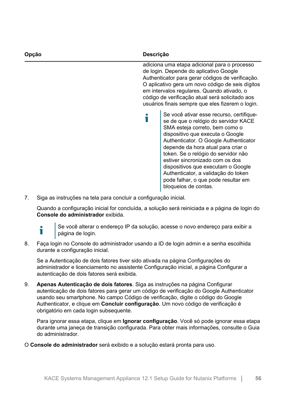| Opcão | Descrição |                                                                                                                                                                                                                                                                                                                                                                                                                                                             |
|-------|-----------|-------------------------------------------------------------------------------------------------------------------------------------------------------------------------------------------------------------------------------------------------------------------------------------------------------------------------------------------------------------------------------------------------------------------------------------------------------------|
|       |           | adiciona uma etapa adicional para o processo<br>de login. Depende do aplicativo Google<br>Authenticator para gerar códigos de verificação.<br>O aplicativo gera um novo código de seis dígitos<br>em intervalos regulares. Quando ativado, o<br>código de verificação atual será solicitado aos<br>usuários finais sempre que eles fizerem o login.                                                                                                         |
|       |           | Se você ativar esse recurso, certifique-<br>se de que o relógio do servidor KACE<br>SMA esteja correto, bem como o<br>dispositivo que executa o Google<br>Authenticator. O Google Authenticator<br>depende da hora atual para criar o<br>token. Se o relógio do servidor não<br>estiver sincronizado com os dos<br>dispositivos que executam o Google<br>Authenticator, a validação do token<br>pode falhar, o que pode resultar em<br>bloqueios de contas. |

7. Siga as instruções na tela para concluir a configuração inicial.

Quando a configuração inicial for concluída, a solução será reiniciada e a página de login do **Console do administrador** exibida.



Se você alterar o endereço IP da solução, acesse o novo endereço para exibir a página de login.

8. Faça login no Console do administrador usando a ID de login admin e a senha escolhida durante a configuração inicial.

Se a Autenticação de dois fatores tiver sido ativada na página Configurações do administrador e licenciamento no assistente Configuração inicial, a página Configurar a autenticação de dois fatores será exibida.

9. **Apenas Autenticação de dois fatores**. Siga as instruções na página Configurar autenticação de dois fatores para gerar um código de verificação do Google Authenticator usando seu smartphone. No campo Código de verificação, digite o código do Google Authenticator, e clique em **Concluir configuração**. Um novo código de verificação é obrigatório em cada login subsequente.

Para ignorar essa etapa, clique em **Ignorar configuração**. Você só pode ignorar essa etapa durante uma janeça de transição configurada. Para obter mais informações, consulte o Guia do administrador.

O **Console do administrador** será exibido e a solução estará pronta para uso.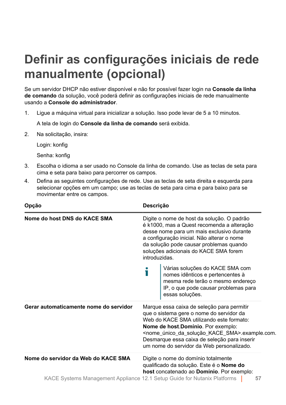# <span id="page-56-0"></span>**Definir as configurações iniciais de rede manualmente (opcional)**

Se um servidor DHCP não estiver disponível e não for possível fazer login na **Console da linha de comando** da solução, você poderá definir as configurações iniciais de rede manualmente usando a **Console do administrador**.

1. Ligue a máquina virtual para inicializar a solução. Isso pode levar de 5 a 10 minutos.

A tela de login do **Console da linha de comando** será exibida.

2. Na solicitação, insira:

Login: konfig

Senha: konfig

- 3. Escolha o idioma a ser usado no Console da linha de comando. Use as teclas de seta para cima e seta para baixo para percorrer os campos.
- 4. Defina as seguintes configurações de rede. Use as teclas de seta direita e esquerda para selecionar opções em um campo; use as teclas de seta para cima e para baixo para se movimentar entre os campos.

| Opção                                                                    |                                                                                                                                                                                                                                                                                                                                                           | Descrição                                                                                                                                                           |  |  |
|--------------------------------------------------------------------------|-----------------------------------------------------------------------------------------------------------------------------------------------------------------------------------------------------------------------------------------------------------------------------------------------------------------------------------------------------------|---------------------------------------------------------------------------------------------------------------------------------------------------------------------|--|--|
| Nome do host DNS do KACE SMA                                             | Digite o nome de host da solução. O padrão<br>é k1000, mas a Quest recomenda a alteração<br>desse nome para um mais exclusivo durante<br>a configuração inicial. Não alterar o nome<br>da solução pode causar problemas quando<br>soluções adicionais do KACE SMA forem<br>introduzidas.                                                                  |                                                                                                                                                                     |  |  |
|                                                                          |                                                                                                                                                                                                                                                                                                                                                           | Várias soluções do KACE SMA com<br>nomes idênticos e pertencentes à<br>mesma rede terão o mesmo endereço<br>IP, o que pode causar problemas para<br>essas soluções. |  |  |
| Gerar automaticamente nome do servidor                                   | Marque essa caixa de seleção para permitir<br>que o sistema gere o nome do servidor da<br>Web do KACE SMA utilizando este formato:<br>Nome de host Domínio. Por exemplo:<br><nome_único_da_solução_kace_sma>.example.com.<br/>Desmarque essa caixa de seleção para inserir<br/>um nome do servidor da Web personalizado.</nome_único_da_solução_kace_sma> |                                                                                                                                                                     |  |  |
| Nome do servidor da Web do KACE SMA                                      |                                                                                                                                                                                                                                                                                                                                                           | Digite o nome do domínio totalmente<br>qualificado da solução. Este é o Nome do<br>host concatenado ao Domínio. Por exemplo:                                        |  |  |
| KACE Systems Management Appliance 12.1 Setup Guide for Nutanix Platforms |                                                                                                                                                                                                                                                                                                                                                           | 57                                                                                                                                                                  |  |  |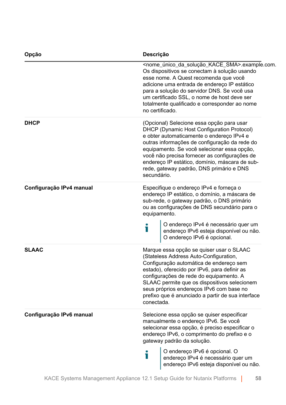| Opção                    | Descrição<br><nome_único_da_solução_kace_sma>.example.com.<br/>Os dispositivos se conectam à solução usando<br/>esse nome. A Quest recomenda que você<br/>adicione uma entrada de endereço IP estático<br/>para a solução do servidor DNS. Se você usa<br/>um certificado SSL, o nome de host deve ser<br/>totalmente qualificado e corresponder ao nome<br/>no certificado.</nome_único_da_solução_kace_sma> |  |  |
|--------------------------|---------------------------------------------------------------------------------------------------------------------------------------------------------------------------------------------------------------------------------------------------------------------------------------------------------------------------------------------------------------------------------------------------------------|--|--|
|                          |                                                                                                                                                                                                                                                                                                                                                                                                               |  |  |
| <b>DHCP</b>              | (Opcional) Selecione essa opção para usar<br>DHCP (Dynamic Host Configuration Protocol)<br>e obter automaticamente o endereço IPv4 e<br>outras informações de configuração da rede do<br>equipamento. Se você selecionar essa opção,<br>você não precisa fornecer as configurações de<br>endereço IP estático, domínio, máscara de sub-<br>rede, gateway padrão, DNS primário e DNS<br>secundário.            |  |  |
| Configuração IPv4 manual | Especifique o endereço IPv4 e forneça o<br>endereço IP estático, o domínio, a máscara de<br>sub-rede, o gateway padrão, o DNS primário<br>ou as configurações de DNS secundário para o<br>equipamento.<br>O endereço IPv4 é necessário quer um<br>Т<br>endereço IPv6 esteja disponível ou não.<br>O endereço IPv6 é opcional.                                                                                 |  |  |
| <b>SLAAC</b>             | Marque essa opção se quiser usar o SLAAC<br>(Stateless Address Auto-Configuration,<br>Configuração automática de endereço sem<br>estado), oferecido por IPv6, para definir as<br>configurações de rede do equipamento. A<br>SLAAC permite que os dispositivos selecionem<br>seus próprios endereços IPv6 com base no<br>prefixo que é anunciado a partir de sua interface<br>conectada.                       |  |  |
| Configuração IPv6 manual | Selecione essa opção se quiser especificar<br>manualmente o endereço IPv6. Se você<br>selecionar essa opção, é preciso especificar o<br>endereço IPv6, o comprimento do prefixo e o<br>gateway padrão da solução.                                                                                                                                                                                             |  |  |
|                          | O endereço IPv6 é opcional. O<br>Т<br>endereço IPv4 é necessário quer um<br>endereço IPv6 esteja disponível ou não.                                                                                                                                                                                                                                                                                           |  |  |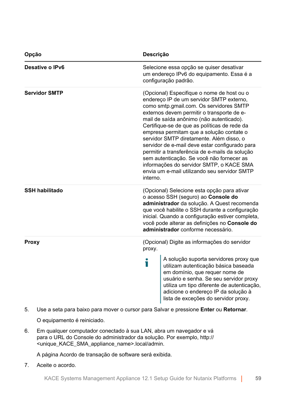| Opção                 | Descrição                                                                                                                                                                                                                                                                                                                                                                                                                                                                                                                                                                                                                    |  |  |
|-----------------------|------------------------------------------------------------------------------------------------------------------------------------------------------------------------------------------------------------------------------------------------------------------------------------------------------------------------------------------------------------------------------------------------------------------------------------------------------------------------------------------------------------------------------------------------------------------------------------------------------------------------------|--|--|
| Desative o IPv6       | Selecione essa opção se quiser desativar<br>um endereço IPv6 do equipamento. Essa é a<br>configuração padrão.                                                                                                                                                                                                                                                                                                                                                                                                                                                                                                                |  |  |
| <b>Servidor SMTP</b>  | (Opcional) Especifique o nome de host ou o<br>endereço IP de um servidor SMTP externo,<br>como smtp.gmail.com. Os servidores SMTP<br>externos devem permitir o transporte de e-<br>mail de saída anônimo (não autenticado).<br>Certifique-se de que as políticas de rede da<br>empresa permitam que a solução contate o<br>servidor SMTP diretamente. Além disso, o<br>servidor de e-mail deve estar configurado para<br>permitir a transferência de e-mails da solução<br>sem autenticação. Se você não fornecer as<br>informações do servidor SMTP, o KACE SMA<br>envia um e-mail utilizando seu servidor SMTP<br>interno. |  |  |
| <b>SSH habilitado</b> | (Opcional) Selecione esta opção para ativar<br>o acesso SSH (seguro) ao Console do<br>administrador da solução. A Quest recomenda<br>que você habilite o SSH durante a configuração<br>inicial. Quando a configuração estiver completa,<br>você pode alterar as definições no Console do<br>administrador conforme necessário.                                                                                                                                                                                                                                                                                               |  |  |
| <b>Proxy</b>          | (Opcional) Digite as informações do servidor<br>proxy.<br>A solução suporta servidores proxy que<br>i<br>utilizam autenticação básica baseada<br>em domínio, que requer nome de<br>usuário e senha. Se seu servidor proxy<br>utiliza um tipo diferente de autenticação,<br>adicione o endereço IP da solução à<br>lista de exceções do servidor proxy.                                                                                                                                                                                                                                                                       |  |  |

5. Use a seta para baixo para mover o cursor para Salvar e pressione **Enter** ou **Retornar**.

O equipamento é reiniciado.

6. Em qualquer computador conectado à sua LAN, abra um navegador e vá para o URL do Console do administrador da solução. Por exemplo, http:// <unique\_KACE\_SMA\_appliance\_name>.local/admin.

A página Acordo de transação de software será exibida.

7. Aceite o acordo.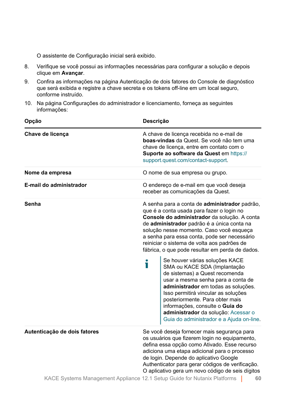O assistente de Configuração inicial será exibido.

- 8. Verifique se você possui as informações necessárias para configurar a solução e depois clique em **Avançar**.
- 9. Confira as informações na página Autenticação de dois fatores do Console de diagnóstico que será exibida e registre a chave secreta e os tokens off-line em um local seguro, conforme instruído.
- 10. Na página Configurações do administrador e licenciamento, forneça as seguintes informações:

| Opção                                                                                                    | Descrição<br>A chave de licença recebida no e-mail de<br>boas-vindas da Quest. Se você não tem uma<br>chave de licença, entre em contato com o<br>Suporte ao software da Quest em https://<br>support.quest.com/contact-support.                                                                                                                                                                                                                                                                                                                                                                                                                                                                                                                                             |    |  |
|----------------------------------------------------------------------------------------------------------|------------------------------------------------------------------------------------------------------------------------------------------------------------------------------------------------------------------------------------------------------------------------------------------------------------------------------------------------------------------------------------------------------------------------------------------------------------------------------------------------------------------------------------------------------------------------------------------------------------------------------------------------------------------------------------------------------------------------------------------------------------------------------|----|--|
| Chave de licença                                                                                         |                                                                                                                                                                                                                                                                                                                                                                                                                                                                                                                                                                                                                                                                                                                                                                              |    |  |
| Nome da empresa                                                                                          | O nome de sua empresa ou grupo.                                                                                                                                                                                                                                                                                                                                                                                                                                                                                                                                                                                                                                                                                                                                              |    |  |
| E-mail do administrador                                                                                  | O endereço de e-mail em que você deseja<br>receber as comunicações da Quest.                                                                                                                                                                                                                                                                                                                                                                                                                                                                                                                                                                                                                                                                                                 |    |  |
| Senha                                                                                                    | A senha para a conta de administrador padrão,<br>que é a conta usada para fazer o login no<br>Console do administrador da solução. A conta<br>de administrador padrão é a única conta na<br>solução nesse momento. Caso você esqueça<br>a senha para essa conta, pode ser necessário<br>reiniciar o sistema de volta aos padrões de<br>fábrica, o que pode resultar em perda de dados.<br>Se houver várias soluções KACE<br>i<br>SMA ou KACE SDA (Implantação<br>de sistemas) a Quest recomenda<br>usar a mesma senha para a conta de<br>administrador em todas as soluções.<br>Isso permitirá vincular as soluções<br>posteriormente. Para obter mais<br>informações, consulte o Guia do<br>administrador da solução: Acessar o<br>Guia do administrador e a Ajuda on-line. |    |  |
| Autenticação de dois fatores<br>KACE Systems Management Appliance 12.1 Setup Guide for Nutanix Platforms | Se você deseja fornecer mais segurança para<br>os usuários que fizerem login no equipamento,<br>defina essa opção como Ativado. Esse recurso<br>adiciona uma etapa adicional para o processo<br>de login. Depende do aplicativo Google<br>Authenticator para gerar códigos de verificação.<br>O aplicativo gera um novo código de seis dígitos                                                                                                                                                                                                                                                                                                                                                                                                                               |    |  |
|                                                                                                          |                                                                                                                                                                                                                                                                                                                                                                                                                                                                                                                                                                                                                                                                                                                                                                              | 60 |  |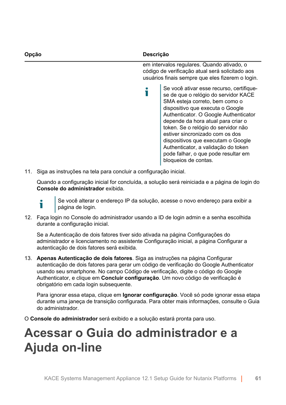| Opcão | Descrição                                                                                                                                                                                                                                                                                                                                                                                                                                                   |  |
|-------|-------------------------------------------------------------------------------------------------------------------------------------------------------------------------------------------------------------------------------------------------------------------------------------------------------------------------------------------------------------------------------------------------------------------------------------------------------------|--|
|       | em intervalos regulares. Quando ativado, o<br>código de verificação atual será solicitado aos<br>usuários finais sempre que eles fizerem o login.                                                                                                                                                                                                                                                                                                           |  |
|       | Se você ativar esse recurso, certifique-<br>se de que o relógio do servidor KACE<br>SMA esteja correto, bem como o<br>dispositivo que executa o Google<br>Authenticator. O Google Authenticator<br>depende da hora atual para criar o<br>token. Se o relógio do servidor não<br>estiver sincronizado com os dos<br>dispositivos que executam o Google<br>Authenticator, a validação do token<br>pode falhar, o que pode resultar em<br>bloqueios de contas. |  |

11. Siga as instruções na tela para concluir a configuração inicial.

Quando a configuração inicial for concluída, a solução será reiniciada e a página de login do **Console do administrador** exibida.

Ť

Se você alterar o endereço IP da solução, acesse o novo endereço para exibir a página de login.

12. Faça login no Console do administrador usando a ID de login admin e a senha escolhida durante a configuração inicial.

Se a Autenticação de dois fatores tiver sido ativada na página Configurações do administrador e licenciamento no assistente Configuração inicial, a página Configurar a autenticação de dois fatores será exibida.

13. **Apenas Autenticação de dois fatores**. Siga as instruções na página Configurar autenticação de dois fatores para gerar um código de verificação do Google Authenticator usando seu smartphone. No campo Código de verificação, digite o código do Google Authenticator, e clique em **Concluir configuração**. Um novo código de verificação é obrigatório em cada login subsequente.

Para ignorar essa etapa, clique em **Ignorar configuração**. Você só pode ignorar essa etapa durante uma janeça de transição configurada. Para obter mais informações, consulte o Guia do administrador.

O **Console do administrador** será exibido e a solução estará pronta para uso.

# <span id="page-60-0"></span>**Acessar o Guia do administrador e a Ajuda on-line**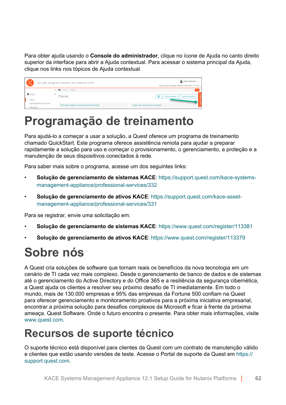Para obter ajuda usando o **Console do administrador**, clique no ícone de Ajuda no canto direito superior da interface para abrir a Ajuda contextual. Para acessar o sistema principal da Ajuda, clique nos links nos tópicos de Ajuda contextual.

| آهي؟                    |  | Solução de gerenclamento de sistemas KACE  | admin (Padrão) +<br>Tempo limite da sessão: 00.59:38 + 28-07-2017 17:18:12 |
|-------------------------|--|--------------------------------------------|----------------------------------------------------------------------------|
|                         |  | < nicio > Painel                           | $\alpha$                                                                   |
| n Início                |  | Painel                                     | e<br><b>Exibir detaihes</b><br>Personalizar                                |
| Painel                  |  |                                            |                                                                            |
| Gerenciamento de rótulo |  | Principais artigos da base de conhecimento | Artigos de notícias mais recentes                                          |
| Pesquisar               |  |                                            |                                                                            |

# **Programação de treinamento**

Para ajudá-lo a começar a usar a solução, a Quest oferece um programa de treinamento chamado QuickStart. Este programa oferece assistência remota para ajudar a preparar rapidamente a solução para uso e começar o provisionamento, o gerenciamento, a proteção e a manutenção de seus dispositivos conectados à rede.

Para saber mais sobre o programa, acesse um dos seguintes links:

- **Solução de gerenciamento de sistemas KACE**: [https://support.quest.com/kace-systems](https://support.quest.com/kace-systems-management-appliance/professional-services/332)[management-appliance/professional-services/332](https://support.quest.com/kace-systems-management-appliance/professional-services/332)
- **Solução de gerenciamento de ativos KACE**: [https://support.quest.com/kace-asset](https://support.quest.com/kace-asset-management-appliance/professional-services/331)[management-appliance/professional-services/331](https://support.quest.com/kace-asset-management-appliance/professional-services/331)

Para se registrar, envie uma solicitação em:

- **Solução de gerenciamento de sistemas KACE**: <https://www.quest.com/register/113381>
- **Solução de gerenciamento de ativos KACE**: <https://www.quest.com/register/113379>

# **Sobre nós**

A Quest cria soluções de software que tornam reais os benefícios da nova tecnologia em um cenário de TI cada vez mais complexo. Desde o gerenciamento de banco de dados e de sistemas até o gerenciamento do Active Directory e do Office 365 e a resiliência da segurança cibernética, a Quest ajuda os clientes a resolver seu próximo desafio de TI imediatamente. Em todo o mundo, mais de 130.000 empresas e 95% das empresas da Fortune 500 confiam na Quest para oferecer gerenciamento e monitoramento proativos para a próxima iniciativa empresarial, encontrar a próxima solução para desafios complexos da Microsoft e ficar à frente da próxima ameaça. Quest Software. Onde o futuro encontra o presente. Para obter mais informações, visite [www.quest.com](https://www.quest.com/company/contact-us.aspx).

#### **Recursos de suporte técnico**

O suporte técnico está disponível para clientes da Quest com um contrato de manutenção válido e clientes que estão usando versões de teste. Acesse o Portal de suporte da Quest em [https://](https://support.quest.com/) [support.quest.com.](https://support.quest.com/)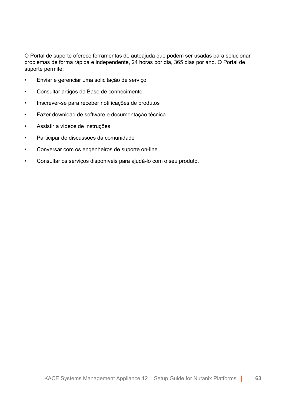O Portal de suporte oferece ferramentas de autoajuda que podem ser usadas para solucionar problemas de forma rápida e independente, 24 horas por dia, 365 dias por ano. O Portal de suporte permite:

- Enviar e gerenciar uma solicitação de serviço
- Consultar artigos da Base de conhecimento
- Inscrever-se para receber notificações de produtos
- Fazer download de software e documentação técnica
- Assistir a vídeos de instruções
- Participar de discussões da comunidade
- Conversar com os engenheiros de suporte on-line
- Consultar os serviços disponíveis para ajudá-lo com o seu produto.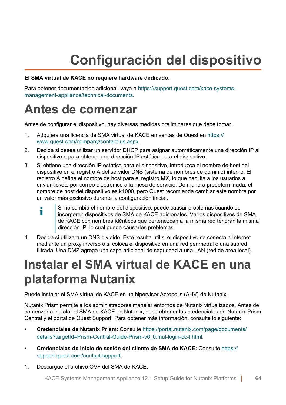# **Configuración del dispositivo**

#### **El SMA virtual de KACE no requiere hardware dedicado.**

Para obtener documentación adicional, vaya a [https://support.quest.com/kace-systems](https://support.quest.com/kace-systems-management-appliance/technical-documents)[management-appliance/technical-documents](https://support.quest.com/kace-systems-management-appliance/technical-documents).

# **Antes de comenzar**

Antes de configurar el dispositivo, hay diversas medidas preliminares que debe tomar.

- 1. Adquiera una licencia de SMA virtual de KACE en ventas de Quest en [https://](https://www.quest.com/company/contact-us.aspx) [www.quest.com/company/contact-us.aspx](https://www.quest.com/company/contact-us.aspx).
- 2. Decida si desea utilizar un servidor DHCP para asignar automáticamente una dirección IP al dispositivo o para obtener una dirección IP estática para el dispositivo.
- 3. Si obtiene una dirección IP estática para el dispositivo, introduzca el nombre de host del dispositivo en el registro A del servidor DNS (sistema de nombres de dominio) interno. El registro A define el nombre de host para el registro MX, lo que habilita a los usuarios a enviar tickets por correo electrónico a la mesa de servicio. De manera predeterminada, el nombre de host del dispositivo es k1000, pero Quest recomienda cambiar este nombre por un valor más exclusivo durante la configuración inicial.
	- Si no cambia el nombre del dispositivo, puede causar problemas cuando se Ť incorporen dispositivos de SMA de KACE adicionales. Varios dispositivos de SMA de KACE con nombres idénticos que pertenezcan a la misma red tendrán la misma dirección IP, lo cual puede causarles problemas.
- 4. Decida si utilizará un DNS dividido. Esto resulta útil si el dispositivo se conecta a Internet mediante un proxy inverso o si coloca el dispositivo en una red perimetral o una subred filtrada. Una DMZ agrega una capa adicional de seguridad a una LAN (red de área local).

# **Instalar el SMA virtual de KACE en una plataforma Nutanix**

Puede instalar el SMA virtual de KACE en un hipervisor Acropolis (AHV) de Nutanix.

Nutanix Prism permite a los administradores manejar entornos de Nutanix virtualizados. Antes de comenzar a instalar el SMA de KACE en Nutanix, debe obtener las credenciales de Nutanix Prism Central y el portal de Quest Support. Para obtener más información, consulte lo siguiente:

- **Credenciales de Nutanix Prism**: Consulte [https://portal.nutanix.com/page/documents/](https://portal.nutanix.com/page/documents/details?targetId=Prism-Central-Guide-Prism-v6_0:mul-login-pc-t.html) [details?targetId=Prism-Central-Guide-Prism-v6\\_0:mul-login-pc-t.html.](https://portal.nutanix.com/page/documents/details?targetId=Prism-Central-Guide-Prism-v6_0:mul-login-pc-t.html)
- **Credenciales de inicio de sesión del cliente de SMA de KACE:** Consulte [https://](https://support.quest.com/contact-support) [support.quest.com/contact-support](https://support.quest.com/contact-support).
- 1. Descargue el archivo OVF del SMA de KACE.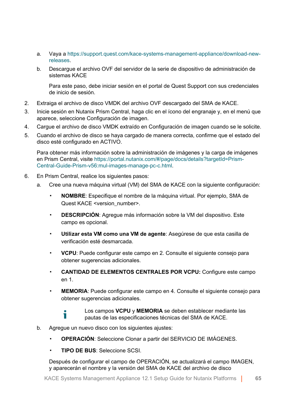- a. Vaya a [https://support.quest.com/kace-systems-management-appliance/download-new](https://support.quest.com/kace-systems-management-appliance/download-new-releases)[releases](https://support.quest.com/kace-systems-management-appliance/download-new-releases).
- b. Descargue el archivo OVF del servidor de la serie de dispositivo de administración de sistemas KACE

Para este paso, debe iniciar sesión en el portal de Quest Support con sus credenciales de inicio de sesión.

- 2. Extraiga el archivo de disco VMDK del archivo OVF descargado del SMA de KACE.
- 3. Inicie sesión en Nutanix Prism Central, haga clic en el ícono del engranaje y, en el menú que aparece, seleccione Configuración de imagen.
- 4. Cargue el archivo de disco VMDK extraído en Configuración de imagen cuando se le solicite.
- 5. Cuando el archivo de disco se haya cargado de manera correcta, confirme que el estado del disco esté configurado en ACTIVO.

Para obtener más información sobre la administración de imágenes y la carga de imágenes en Prism Central, visite [https://portal.nutanix.com/#/page/docs/details?targetId=Prism-](https://portal.nutanix.com/#/page/docs/details?targetId=Prism-Central-Guide-Prism-v56:mul-images-manage-pc-c.html)[Central-Guide-Prism-v56:mul-images-manage-pc-c.html.](https://portal.nutanix.com/#/page/docs/details?targetId=Prism-Central-Guide-Prism-v56:mul-images-manage-pc-c.html)

- 6. En Prism Central, realice los siguientes pasos:
	- a. Cree una nueva máquina virtual (VM) del SMA de KACE con la siguiente configuración:
		- **NOMBRE**: Especifique el nombre de la máquina virtual. Por ejemplo, SMA de Quest KACE <version\_number>.
		- **DESCRIPCIÓN**: Agregue más información sobre la VM del dispositivo. Este campo es opcional.
		- **Utilizar esta VM como una VM de agente**: Asegúrese de que esta casilla de verificación esté desmarcada.
		- **VCPU**: Puede configurar este campo en 2. Consulte el siguiente consejo para obtener sugerencias adicionales.
		- **CANTIDAD DE ELEMENTOS CENTRALES POR VCPU:** Configure este campo en 1.
		- **MEMORIA:** Puede configurar este campo en 4. Consulte el siguiente consejo para obtener sugerencias adicionales.

Los campos **VCPU** y **MEMORIA** se deben establecer mediante las pautas de las especificaciones técnicas del SMA de KACE.

- b. Agregue un nuevo disco con los siguientes ajustes:
	- **OPERACIÓN**: Seleccione Clonar a partir del SERVICIO DE IMÁGENES.
	- **TIPO DE BUS**: Seleccione SCSI.

Ť

Después de configurar el campo de OPERACIÓN, se actualizará el campo IMAGEN, y aparecerán el nombre y la versión del SMA de KACE del archivo de disco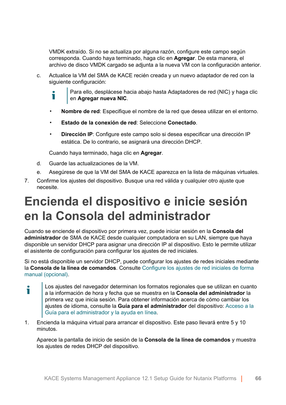VMDK extraído. Si no se actualiza por alguna razón, configure este campo según corresponda. Cuando haya terminado, haga clic en **Agregar**. De esta manera, el archivo de disco VMDK cargado se adjunta a la nueva VM con la configuración anterior.

- c. Actualice la VM del SMA de KACE recién creada y un nuevo adaptador de red con la siguiente configuración:
	- Para ello, desplácese hacia abajo hasta Adaptadores de red (NIC) y haga clic т en **Agregar nueva NIC**.
	- **Nombre de red**: Especifique el nombre de la red que desea utilizar en el entorno.
	- **Estado de la conexión de red**: Seleccione **Conectado**.
	- **Dirección IP**: Configure este campo solo si desea especificar una dirección IP estática. De lo contrario, se asignará una dirección DHCP.

Cuando haya terminado, haga clic en **Agregar**.

- d. Guarde las actualizaciones de la VM.
- e. Asegúrese de que la VM del SMA de KACE aparezca en la lista de máquinas virtuales.
- 7. Confirme los ajustes del dispositivo. Busque una red válida y cualquier otro ajuste que necesite.

# **Encienda el dispositivo e inicie sesión en la Consola del administrador**

Cuando se enciende el dispositivo por primera vez, puede iniciar sesión en la **Consola del administrador** de SMA de KACE desde cualquier computadora en su LAN, siempre que haya disponible un servidor DHCP para asignar una dirección IP al dispositivo. Esto le permite utilizar el asistente de configuración para configurar los ajustes de red iniciales.

Si no está disponible un servidor DHCP, puede configurar los ajustes de redes iniciales mediante la **Consola de la línea de comandos**. Consulte [Configure los ajustes de red iniciales de forma](#page-68-0) [manual \(opcional\).](#page-68-0)

- Los ajustes del navegador determinan los formatos regionales que se utilizan en cuanto i a la información de hora y fecha que se muestra en la **Consola del administrador** la primera vez que inicia sesión. Para obtener información acerca de cómo cambiar los ajustes de idioma, consulte la **Guía para el administrador** del dispositivo: [Acceso a la](#page-73-0) [Guía para el administrador y la ayuda en línea.](#page-73-0)
- 1. Encienda la máquina virtual para arrancar el dispositivo. Este paso llevará entre 5 y 10 minutos.

Aparece la pantalla de inicio de sesión de la **Consola de la línea de comandos** y muestra los ajustes de redes DHCP del dispositivo.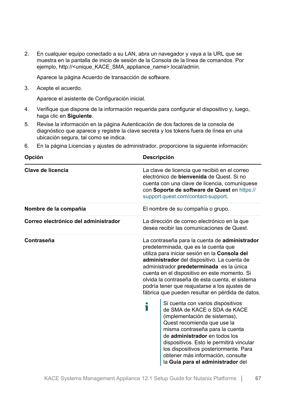2. En cualquier equipo conectado a su LAN, abra un navegador y vaya a la URL que se muestra en la pantalla de inicio de sesión de la Consola de la línea de comandos. Por ejemplo, http://<unique\_KACE\_SMA\_appliance\_name>.local/admin.

Aparece la página Acuerdo de transacción de software.

3. Acepte el acuerdo.

Aparece el asistente de Configuración inicial.

- 4. Verifique que dispone de la información requerida para configurar el dispositivo y, luego, haga clic en **Siguiente**.
- 5. Revise la información en la página Autenticación de dos factores de la consola de diagnóstico que aparece y registre la clave secreta y los tokens fuera de línea en una ubicación segura, tal como se indica.
- 6. En la página Licencias y ajustes de administrador, proporcione la siguiente información:

| Opción                               | <b>Descripción</b>                                                                                                                                                                                                                                                                                                                                                                                                                                                                                                                                                                                                                                                                                                                                                                                                     |  |  |
|--------------------------------------|------------------------------------------------------------------------------------------------------------------------------------------------------------------------------------------------------------------------------------------------------------------------------------------------------------------------------------------------------------------------------------------------------------------------------------------------------------------------------------------------------------------------------------------------------------------------------------------------------------------------------------------------------------------------------------------------------------------------------------------------------------------------------------------------------------------------|--|--|
| Clave de licencia                    | La clave de licencia que recibió en el correo<br>electrónico de <b>bienvenida</b> de Quest. Si no<br>cuenta con una clave de licencia, comuníquese<br>con Soporte de software de Quest en https://<br>support.quest.com/contact-support.                                                                                                                                                                                                                                                                                                                                                                                                                                                                                                                                                                               |  |  |
| Nombre de la compañía                | El nombre de su compañía o grupo.                                                                                                                                                                                                                                                                                                                                                                                                                                                                                                                                                                                                                                                                                                                                                                                      |  |  |
| Correo electrónico del administrador | La dirección de correo electrónico en la que<br>desea recibir las comunicaciones de Quest.                                                                                                                                                                                                                                                                                                                                                                                                                                                                                                                                                                                                                                                                                                                             |  |  |
| Contraseña                           | La contraseña para la cuenta de administrador<br>predeterminada, que es la cuenta que<br>utiliza para iniciar sesión en la Consola del<br>administrador del dispositivo. La cuenta de<br>administrador predeterminada es la única<br>cuenta en el dispositivo en este momento. Si<br>olvida la contraseña de esta cuenta, el sistema<br>podría tener que reajustarse a los ajustes de<br>fábrica que pueden resultar en pérdida de datos.<br>Si cuenta con varios dispositivos<br>i<br>de SMA de KACE o SDA de KACE<br>(implementación de sistemas),<br>Quest recomienda que use la<br>misma contraseña para la cuenta<br>de administrador en todos los<br>dispositivos. Esto le permitirá vincular<br>los dispositivos posteriormente. Para<br>obtener más información, consulte<br>la Guía para el administrador del |  |  |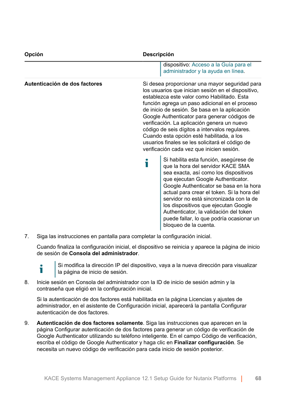| Opción                        | Descripción                                                                                                                                                                                                                                                                                                                                                                                                                                                                                                                                          |  |  |
|-------------------------------|------------------------------------------------------------------------------------------------------------------------------------------------------------------------------------------------------------------------------------------------------------------------------------------------------------------------------------------------------------------------------------------------------------------------------------------------------------------------------------------------------------------------------------------------------|--|--|
|                               | dispositivo: Acceso a la Guía para el<br>administrador y la ayuda en línea.                                                                                                                                                                                                                                                                                                                                                                                                                                                                          |  |  |
| Autenticación de dos factores | Si desea proporcionar una mayor seguridad para<br>los usuarios que inician sesión en el dispositivo,<br>establezca este valor como Habilitado. Esta<br>función agrega un paso adicional en el proceso<br>de inicio de sesión. Se basa en la aplicación<br>Google Authenticator para generar códigos de<br>verificación. La aplicación genera un nuevo<br>código de seis dígitos a intervalos regulares.<br>Cuando esta opción esté habilitada, a los<br>usuarios finales se les solicitará el código de<br>verificación cada vez que inicien sesión. |  |  |
|                               | Si habilita esta función, asegúrese de<br>que la hora del servidor KACE SMA<br>sea exacta, así como los dispositivos<br>que ejecutan Google Authenticator.<br>Google Authenticator se basa en la hora<br>actual para crear el token. Si la hora del<br>servidor no está sincronizada con la de<br>los dispositivos que ejecutan Google<br>Authenticator, la validación del token<br>puede fallar, lo que podría ocasionar un<br>bloqueo de la cuenta.                                                                                                |  |  |

7. Siga las instrucciones en pantalla para completar la configuración inicial.

Cuando finaliza la configuración inicial, el dispositivo se reinicia y aparece la página de inicio de sesión de **Consola del administrador**.

Ť

Si modifica la dirección IP del dispositivo, vaya a la nueva dirección para visualizar la página de inicio de sesión.

8. Inicie sesión en Consola del administrador con la ID de inicio de sesión admin y la contraseña que eligió en la configuración inicial.

Si la autenticación de dos factores está habilitada en la página Licencias y ajustes de administrador, en el asistente de Configuración inicial, aparecerá la pantalla Configurar autenticación de dos factores.

9. **Autenticación de dos factores solamente**. Siga las instrucciones que aparecen en la página Configurar autenticación de dos factores para generar un código de verificación de Google Authenticator utilizando su teléfono inteligente. En el campo Código de verificación, escriba el código de Google Authenticator y haga clic en **Finalizar configuración**. Se necesita un nuevo código de verificación para cada inicio de sesión posterior.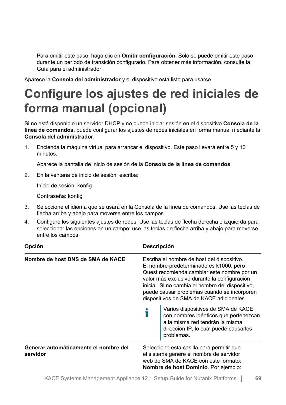Para omitir este paso, haga clic en **Omitir configuración**. Solo se puede omitir este paso durante un período de transición configurado. Para obtener más información, consulte la Guía para el administrador.

Aparece la **Consola del administrador** y el dispositivo está listo para usarse.

# <span id="page-68-0"></span>**Configure los ajustes de red iniciales de forma manual (opcional)**

Si no está disponible un servidor DHCP y no puede iniciar sesión en el dispositivo **Consola de la línea de comandos**, puede configurar los ajustes de redes iniciales en forma manual mediante la **Consola del administrador**.

1. Encienda la máquina virtual para arrancar el dispositivo. Este paso llevará entre 5 y 10 minutos.

Aparece la pantalla de inicio de sesión de la **Consola de la línea de comandos**.

2. En la ventana de inicio de sesión, escriba:

Inicio de sesión: konfig

Contraseña: konfig

- 3. Seleccione el idioma que se usará en la Consola de la línea de comandos. Use las teclas de flecha arriba y abajo para moverse entre los campos.
- 4. Configure los siguientes ajustes de redes. Use las teclas de flecha derecha e izquierda para seleccionar las opciones en un campo; use las teclas de flecha arriba y abajo para moverse entre los campos.

| Opción                                            | Descripción<br>Escriba el nombre de host del dispositivo.<br>El nombre predeterminado es k1000, pero<br>Quest recomienda cambiar este nombre por un<br>valor más exclusivo durante la configuración<br>inicial. Si no cambia el nombre del dispositivo,<br>puede causar problemas cuando se incorporen<br>dispositivos de SMA de KACE adicionales. |                                                                                                                                                                       |  |
|---------------------------------------------------|----------------------------------------------------------------------------------------------------------------------------------------------------------------------------------------------------------------------------------------------------------------------------------------------------------------------------------------------------|-----------------------------------------------------------------------------------------------------------------------------------------------------------------------|--|
| Nombre de host DNS de SMA de KACE                 |                                                                                                                                                                                                                                                                                                                                                    |                                                                                                                                                                       |  |
|                                                   |                                                                                                                                                                                                                                                                                                                                                    | Varios dispositivos de SMA de KACE<br>con nombres idénticos que pertenezcan<br>a la misma red tendrán la misma<br>dirección IP, lo cual puede causarles<br>problemas. |  |
| Generar automáticamente el nombre del<br>servidor | Seleccione esta casilla para permitir que<br>el sistema genere el nombre de servidor<br>web de SMA de KACE con este formato:<br>Nombre de host Dominio. Por ejemplo:                                                                                                                                                                               |                                                                                                                                                                       |  |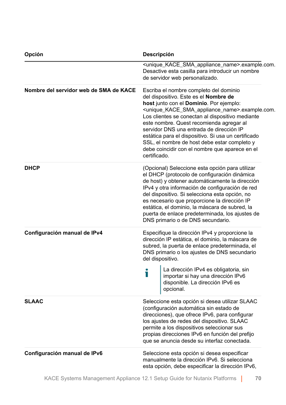| Opción                                 | Descripción<br><unique_kace_sma_appliance_name>.example.com.<br/>Desactive esta casilla para introducir un nombre<br/>de servidor web personalizado.</unique_kace_sma_appliance_name>                                                                                                                                                                                                                                                                                                                                                    |  |  |  |
|----------------------------------------|------------------------------------------------------------------------------------------------------------------------------------------------------------------------------------------------------------------------------------------------------------------------------------------------------------------------------------------------------------------------------------------------------------------------------------------------------------------------------------------------------------------------------------------|--|--|--|
|                                        |                                                                                                                                                                                                                                                                                                                                                                                                                                                                                                                                          |  |  |  |
| Nombre del servidor web de SMA de KACE | Escriba el nombre completo del dominio<br>del dispositivo. Este es el Nombre de<br>host junto con el Dominio. Por ejemplo:<br><unique_kace_sma_appliance_name>.example.com.<br/>Los clientes se conectan al dispositivo mediante<br/>este nombre. Quest recomienda agregar al<br/>servidor DNS una entrada de dirección IP<br/>estática para el dispositivo. Si usa un certificado<br/>SSL, el nombre de host debe estar completo y<br/>debe coincidir con el nombre que aparece en el<br/>certificado.</unique_kace_sma_appliance_name> |  |  |  |
| <b>DHCP</b>                            | (Opcional) Seleccione esta opción para utilizar<br>el DHCP (protocolo de configuración dinámica<br>de host) y obtener automáticamente la dirección<br>IPv4 y otra información de configuración de red<br>del dispositivo. Si selecciona esta opción, no<br>es necesario que proporcione la dirección IP<br>estática, el dominio, la máscara de subred, la<br>puerta de enlace predeterminada, los ajustes de<br>DNS primario o de DNS secundario.                                                                                        |  |  |  |
| Configuración manual de IPv4           | Especifique la dirección IPv4 y proporcione la<br>dirección IP estática, el dominio, la máscara de<br>subred, la puerta de enlace predeterminada, el<br>DNS primario o los ajustes de DNS secundario<br>del dispositivo.                                                                                                                                                                                                                                                                                                                 |  |  |  |
|                                        | La dirección IPv4 es obligatoria, sin<br>Т<br>importar si hay una dirección IPv6<br>disponible. La dirección IPv6 es<br>opcional.                                                                                                                                                                                                                                                                                                                                                                                                        |  |  |  |
| <b>SLAAC</b>                           | Seleccione esta opción si desea utilizar SLAAC<br>(configuración automática sin estado de<br>direcciones), que ofrece IPv6, para configurar<br>los ajustes de redes del dispositivo. SLAAC<br>permite a los dispositivos seleccionar sus<br>propias direcciones IPv6 en función del prefijo<br>que se anuncia desde su interfaz conectada.                                                                                                                                                                                               |  |  |  |
| Configuración manual de IPv6           | Seleccione esta opción si desea especificar<br>manualmente la dirección IPv6. Si selecciona<br>esta opción, debe especificar la dirección IPv6,                                                                                                                                                                                                                                                                                                                                                                                          |  |  |  |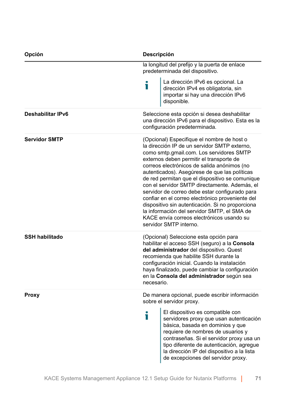| Opción<br>Descripción    |                                                                                                                                                                                                                                                                                                                                                                                                                                                                                                                                                                                                                                                                        |                                                                                                                                                                                                                                                                                                                                  |  |
|--------------------------|------------------------------------------------------------------------------------------------------------------------------------------------------------------------------------------------------------------------------------------------------------------------------------------------------------------------------------------------------------------------------------------------------------------------------------------------------------------------------------------------------------------------------------------------------------------------------------------------------------------------------------------------------------------------|----------------------------------------------------------------------------------------------------------------------------------------------------------------------------------------------------------------------------------------------------------------------------------------------------------------------------------|--|
|                          | la longitud del prefijo y la puerta de enlace<br>predeterminada del dispositivo.                                                                                                                                                                                                                                                                                                                                                                                                                                                                                                                                                                                       |                                                                                                                                                                                                                                                                                                                                  |  |
|                          | Ť                                                                                                                                                                                                                                                                                                                                                                                                                                                                                                                                                                                                                                                                      | La dirección IPv6 es opcional. La<br>dirección IPv4 es obligatoria, sin<br>importar si hay una dirección IPv6<br>disponible.                                                                                                                                                                                                     |  |
| <b>Deshabilitar IPv6</b> |                                                                                                                                                                                                                                                                                                                                                                                                                                                                                                                                                                                                                                                                        | Seleccione esta opción si desea deshabilitar<br>una dirección IPv6 para el dispositivo. Esta es la<br>configuración predeterminada.                                                                                                                                                                                              |  |
| <b>Servidor SMTP</b>     | (Opcional) Especifique el nombre de host o<br>la dirección IP de un servidor SMTP externo,<br>como smtp.gmail.com. Los servidores SMTP<br>externos deben permitir el transporte de<br>correos electrónicos de salida anónimos (no<br>autenticados). Asegúrese de que las políticas<br>de red permitan que el dispositivo se comunique<br>con el servidor SMTP directamente. Además, el<br>servidor de correo debe estar configurado para<br>confiar en el correo electrónico proveniente del<br>dispositivo sin autenticación. Si no proporciona<br>la información del servidor SMTP, el SMA de<br>KACE envía correos electrónicos usando su<br>servidor SMTP interno. |                                                                                                                                                                                                                                                                                                                                  |  |
| <b>SSH habilitado</b>    | (Opcional) Seleccione esta opción para<br>habilitar el acceso SSH (seguro) a la Consola<br>del administrador del dispositivo. Quest<br>recomienda que habilite SSH durante la<br>configuración inicial. Cuando la instalación<br>haya finalizado, puede cambiar la configuración<br>en la Consola del administrador según sea<br>necesario.                                                                                                                                                                                                                                                                                                                            |                                                                                                                                                                                                                                                                                                                                  |  |
| Proxy                    | De manera opcional, puede escribir información<br>sobre el servidor proxy.                                                                                                                                                                                                                                                                                                                                                                                                                                                                                                                                                                                             |                                                                                                                                                                                                                                                                                                                                  |  |
|                          | Ť                                                                                                                                                                                                                                                                                                                                                                                                                                                                                                                                                                                                                                                                      | El dispositivo es compatible con<br>servidores proxy que usan autenticación<br>básica, basada en dominios y que<br>requiere de nombres de usuarios y<br>contraseñas. Si el servidor proxy usa un<br>tipo diferente de autenticación, agregue<br>la dirección IP del dispositivo a la lista<br>de excepciones del servidor proxy. |  |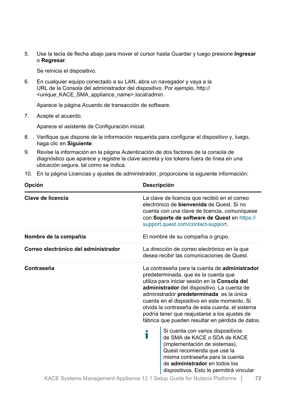5. Use la tecla de flecha abajo para mover el cursor hasta Guardar y luego presione **Ingresar**  o **Regresar**.

Se reinicia el dispositivo.

6. En cualquier equipo conectado a su LAN, abra un navegador y vaya a la URL de la Consola del administrador del dispositivo. Por ejemplo, http:// <unique\_KACE\_SMA\_appliance\_name>.local/admin.

Aparece la página Acuerdo de transacción de software.

7. Acepte el acuerdo.

Aparece el asistente de Configuración inicial.

- 8. Verifique que dispone de la información requerida para configurar el dispositivo y, luego, haga clic en **Siguiente**.
- 9. Revise la información en la página Autenticación de dos factores de la consola de diagnóstico que aparece y registre la clave secreta y los tokens fuera de línea en una ubicación segura, tal como se indica.
- 10. En la página Licencias y ajustes de administrador, proporcione la siguiente información:

| Opción                               | <b>Descripción</b>                                                                                                                                                                                                                                                                                                                                                                                                                        |  |  |
|--------------------------------------|-------------------------------------------------------------------------------------------------------------------------------------------------------------------------------------------------------------------------------------------------------------------------------------------------------------------------------------------------------------------------------------------------------------------------------------------|--|--|
| Clave de licencia                    | La clave de licencia que recibió en el correo<br>electrónico de bienvenida de Quest. Si no<br>cuenta con una clave de licencia, comuníquese<br>con Soporte de software de Quest en https://<br>support.quest.com/contact-support.                                                                                                                                                                                                         |  |  |
| Nombre de la compañía                | El nombre de su compañía o grupo.                                                                                                                                                                                                                                                                                                                                                                                                         |  |  |
| Correo electrónico del administrador | La dirección de correo electrónico en la que<br>desea recibir las comunicaciones de Quest.                                                                                                                                                                                                                                                                                                                                                |  |  |
| Contraseña                           | La contraseña para la cuenta de administrador<br>predeterminada, que es la cuenta que<br>utiliza para iniciar sesión en la Consola del<br>administrador del dispositivo. La cuenta de<br>administrador predeterminada es la única<br>cuenta en el dispositivo en este momento. Si<br>olvida la contraseña de esta cuenta, el sistema<br>podría tener que reajustarse a los ajustes de<br>fábrica que pueden resultar en pérdida de datos. |  |  |
|                                      | Si cuenta con varios dispositivos<br>i<br>de SMA de KACE o SDA de KACE<br>(implementación de sistemas),<br>Quest recomienda que use la<br>misma contraseña para la cuenta<br>de administrador en todos los<br>dispositivos. Esto le permitirá vincular                                                                                                                                                                                    |  |  |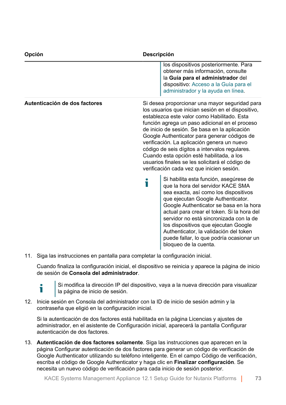| Opción                        | Descripción |                                                                                                                                                                                                                                                                                                                                                                                                                                                                                                                                                      |  |
|-------------------------------|-------------|------------------------------------------------------------------------------------------------------------------------------------------------------------------------------------------------------------------------------------------------------------------------------------------------------------------------------------------------------------------------------------------------------------------------------------------------------------------------------------------------------------------------------------------------------|--|
|                               |             | los dispositivos posteriormente. Para<br>obtener más información, consulte<br>la Guía para el administrador del<br>dispositivo: Acceso a la Guía para el<br>administrador y la ayuda en línea.                                                                                                                                                                                                                                                                                                                                                       |  |
| Autenticación de dos factores |             | Si desea proporcionar una mayor seguridad para<br>los usuarios que inician sesión en el dispositivo,<br>establezca este valor como Habilitado. Esta<br>función agrega un paso adicional en el proceso<br>de inicio de sesión. Se basa en la aplicación<br>Google Authenticator para generar códigos de<br>verificación. La aplicación genera un nuevo<br>código de seis dígitos a intervalos regulares.<br>Cuando esta opción esté habilitada, a los<br>usuarios finales se les solicitará el código de<br>verificación cada vez que inicien sesión. |  |
|                               | Т           | Si habilita esta función, asegúrese de<br>que la hora del servidor KACE SMA<br>sea exacta, así como los dispositivos<br>que ejecutan Google Authenticator.<br>Google Authenticator se basa en la hora<br>actual para crear el token. Si la hora del<br>servidor no está sincronizada con la de<br>los dispositivos que ejecutan Google<br>Authenticator, la validación del token<br>puede fallar, lo que podría ocasionar un<br>bloqueo de la cuenta.                                                                                                |  |

11. Siga las instrucciones en pantalla para completar la configuración inicial.

Cuando finaliza la configuración inicial, el dispositivo se reinicia y aparece la página de inicio de sesión de **Consola del administrador**.



Si modifica la dirección IP del dispositivo, vaya a la nueva dirección para visualizar la página de inicio de sesión.

12. Inicie sesión en Consola del administrador con la ID de inicio de sesión admin y la contraseña que eligió en la configuración inicial.

Si la autenticación de dos factores está habilitada en la página Licencias y ajustes de administrador, en el asistente de Configuración inicial, aparecerá la pantalla Configurar autenticación de dos factores.

13. **Autenticación de dos factores solamente**. Siga las instrucciones que aparecen en la página Configurar autenticación de dos factores para generar un código de verificación de Google Authenticator utilizando su teléfono inteligente. En el campo Código de verificación, escriba el código de Google Authenticator y haga clic en **Finalizar configuración**. Se necesita un nuevo código de verificación para cada inicio de sesión posterior.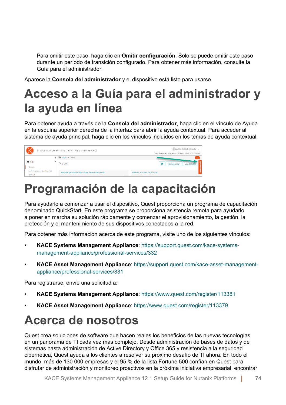Para omitir este paso, haga clic en **Omitir configuración**. Solo se puede omitir este paso durante un período de transición configurado. Para obtener más información, consulte la Guía para el administrador.

Aparece la **Consola del administrador** y el dispositivo está listo para usarse.

## <span id="page-73-0"></span>**Acceso a la Guía para el administrador y la ayuda en línea**

Para obtener ayuda a través de la **Consola del administrador**, haga clic en el vínculo de Ayuda en la esquina superior derecha de la interfaz para abrir la ayuda contextual. Para acceder al sistema de ayuda principal, haga clic en los vínculos incluidos en los temas de ayuda contextual.

| P<br>Dispositivo de administración de sistemas KACE |                             |  |                                                   | admin (Predeterminado) v<br>Tiempo de espera de la sesión: 00:59:46 + 28/07/2017 17:02:50 |  |
|-----------------------------------------------------|-----------------------------|--|---------------------------------------------------|-------------------------------------------------------------------------------------------|--|
|                                                     |                             |  | < <sup>h</sup> inicio > Panel                     | $\alpha$                                                                                  |  |
| n Inicio                                            |                             |  | Panel                                             | c<br>Ver detalle<br>Personalizar                                                          |  |
| Panel                                               |                             |  |                                                   |                                                                                           |  |
|                                                     | Administración de etiquetas |  | Artículos principales de la base de conocimientos | Últimos artículos de noticias                                                             |  |
| Buscar                                              |                             |  |                                                   |                                                                                           |  |

## **Programación de la capacitación**

Para ayudarlo a comenzar a usar el dispositivo, Quest proporciona un programa de capacitación denominado QuickStart. En este programa se proporciona asistencia remota para ayudarlo a poner en marcha su solución rápidamente y comenzar el aprovisionamiento, la gestión, la protección y el mantenimiento de sus dispositivos conectados a la red.

Para obtener más información acerca de este programa, visite uno de los siguientes vínculos:

- **KACE Systems Management Appliance**: [https://support.quest.com/kace-systems](https://support.quest.com/kace-systems-management-appliance/professional-services/332)[management-appliance/professional-services/332](https://support.quest.com/kace-systems-management-appliance/professional-services/332)
- **KACE Asset Management Appliance**: [https://support.quest.com/kace-asset-management](https://support.quest.com/kace-asset-management-appliance/professional-services/331)[appliance/professional-services/331](https://support.quest.com/kace-asset-management-appliance/professional-services/331)

Para registrarse, envíe una solicitud a:

- **KACE Systems Management Appliance**: <https://www.quest.com/register/113381>
- **KACE Asset Management Appliance**: <https://www.quest.com/register/113379>

## **Acerca de nosotros**

Quest crea soluciones de software que hacen reales los beneficios de las nuevas tecnologías en un panorama de TI cada vez más complejo. Desde administración de bases de datos y de sistemas hasta administración de Active Directory y Office 365 y resistencia a la seguridad cibernética, Quest ayuda a los clientes a resolver su próximo desafío de TI ahora. En todo el mundo, más de 130 000 empresas y el 95 % de la lista Fortune 500 confían en Quest para disfrutar de administración y monitoreo proactivos en la próxima iniciativa empresarial, encontrar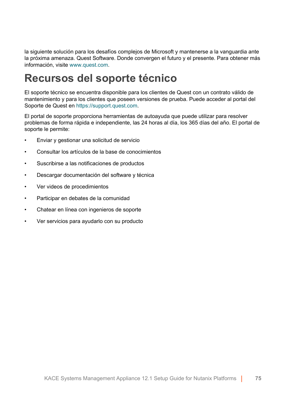la siguiente solución para los desafíos complejos de Microsoft y mantenerse a la vanguardia ante la próxima amenaza. Quest Software. Donde convergen el futuro y el presente. Para obtener más información, visite [www.quest.com.](https://www.quest.com/company/contact-us.aspx)

### **Recursos del soporte técnico**

El soporte técnico se encuentra disponible para los clientes de Quest con un contrato válido de mantenimiento y para los clientes que poseen versiones de prueba. Puede acceder al portal del Soporte de Quest en [https://support.quest.com.](https://support.quest.com/)

El portal de soporte proporciona herramientas de autoayuda que puede utilizar para resolver problemas de forma rápida e independiente, las 24 horas al día, los 365 días del año. El portal de soporte le permite:

- Enviar y gestionar una solicitud de servicio
- Consultar los artículos de la base de conocimientos
- Suscribirse a las notificaciones de productos
- Descargar documentación del software y técnica
- Ver videos de procedimientos
- Participar en debates de la comunidad
- Chatear en línea con ingenieros de soporte
- Ver servicios para ayudarlo con su producto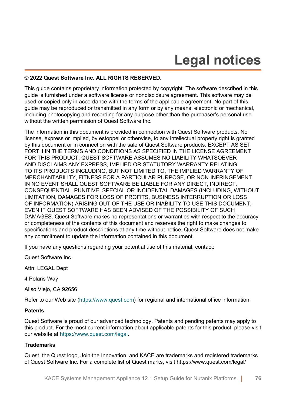# **Legal notices**

### **© 2022 Quest Software Inc. ALL RIGHTS RESERVED.**

This guide contains proprietary information protected by copyright. The software described in this guide is furnished under a software license or nondisclosure agreement. This software may be used or copied only in accordance with the terms of the applicable agreement. No part of this guide may be reproduced or transmitted in any form or by any means, electronic or mechanical, including photocopying and recording for any purpose other than the purchaser's personal use without the written permission of Quest Software Inc.

The information in this document is provided in connection with Quest Software products. No license, express or implied, by estoppel or otherwise, to any intellectual property right is granted by this document or in connection with the sale of Quest Software products. EXCEPT AS SET FORTH IN THE TERMS AND CONDITIONS AS SPECIFIED IN THE LICENSE AGREEMENT FOR THIS PRODUCT, QUEST SOFTWARE ASSUMES NO LIABILITY WHATSOEVER AND DISCLAIMS ANY EXPRESS, IMPLIED OR STATUTORY WARRANTY RELATING TO ITS PRODUCTS INCLUDING, BUT NOT LIMITED TO, THE IMPLIED WARRANTY OF MERCHANTABILITY, FITNESS FOR A PARTICULAR PURPOSE, OR NON-INFRINGEMENT. IN NO EVENT SHALL QUEST SOFTWARE BE LIABLE FOR ANY DIRECT, INDIRECT, CONSEQUENTIAL, PUNITIVE, SPECIAL OR INCIDENTAL DAMAGES (INCLUDING, WITHOUT LIMITATION, DAMAGES FOR LOSS OF PROFITS, BUSINESS INTERRUPTION OR LOSS OF INFORMATION) ARISING OUT OF THE USE OR INABILITY TO USE THIS DOCUMENT, EVEN IF QUEST SOFTWARE HAS BEEN ADVISED OF THE POSSIBILITY OF SUCH DAMAGES. Quest Software makes no representations or warranties with respect to the accuracy or completeness of the contents of this document and reserves the right to make changes to specifications and product descriptions at any time without notice. Quest Software does not make any commitment to update the information contained in this document.

If you have any questions regarding your potential use of this material, contact:

Quest Software Inc.

Attn: LEGAL Dept

4 Polaris Way

Aliso Viejo, CA 92656

Refer to our Web site [\(https://www.quest.com\)](https://www.quest.com) for regional and international office information.

#### **Patents**

Quest Software is proud of our advanced technology. Patents and pending patents may apply to this product. For the most current information about applicable patents for this product, please visit our website at [https://www.quest.com/legal.](https://www.quest.com/legal)

### **Trademarks**

Quest, the Quest logo, Join the Innovation, and KACE are trademarks and registered trademarks of Quest Software Inc. For a complete list of Quest marks, visit [https://www.quest.com/legal/](https://www.quest.com/legal/trademark-information.aspx)